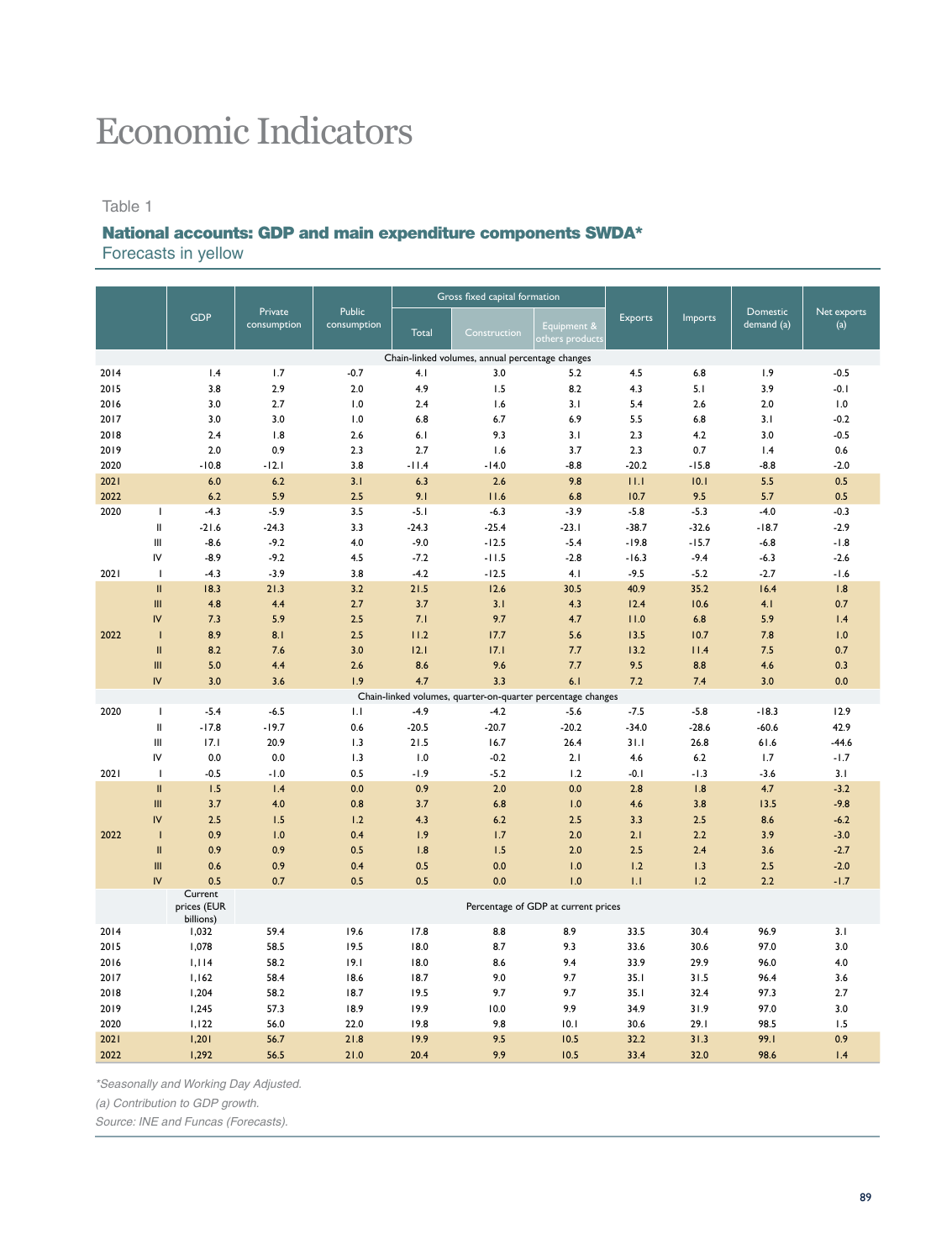# Economic Indicators

#### Table 1

#### National accounts: GDP and main expenditure components SWDA\*

Forecasts in yellow

|      |               |                          |                        |                       |              | Gross fixed capital formation                               |                                     |         |         |                               |                    |
|------|---------------|--------------------------|------------------------|-----------------------|--------------|-------------------------------------------------------------|-------------------------------------|---------|---------|-------------------------------|--------------------|
|      |               | <b>GDP</b>               | Private<br>consumption | Public<br>consumption | <b>Total</b> | Construction                                                | Equipment &<br>others products      | Exports | Imports | <b>Domestic</b><br>demand (a) | Net exports<br>(a) |
|      |               |                          |                        |                       |              | Chain-linked volumes, annual percentage changes             |                                     |         |         |                               |                    |
| 2014 |               | 1.4                      | 1.7                    | $-0.7$                | 4.1          | 3.0                                                         | 5.2                                 | 4.5     | 6.8     | 1.9                           | $-0.5$             |
| 2015 |               | 3.8                      | 2.9                    | 2.0                   | 4.9          | 1.5                                                         | 8.2                                 | 4.3     | 5.1     | 3.9                           | $-0.1$             |
| 2016 |               | 3.0                      | 2.7                    | 1.0                   | 2.4          | 1.6                                                         | 3.1                                 | 5.4     | 2.6     | 2.0                           | 1.0                |
| 2017 |               | 3.0                      | 3.0                    | 1.0                   | 6.8          | 6.7                                                         | 6.9                                 | 5.5     | 6.8     | 3.1                           | $-0.2$             |
| 2018 |               | 2.4                      | 1.8                    | 2.6                   | 6.1          | 9.3                                                         | 3.1                                 | 2.3     | 4.2     | 3.0                           | $-0.5$             |
| 2019 |               | 2.0                      | 0.9                    | 2.3                   | 2.7          | 1.6                                                         | 3.7                                 | 2.3     | 0.7     | 1.4                           | 0.6                |
| 2020 |               | $-10.8$                  | $-12.1$                | 3.8                   | $-11.4$      | $-14.0$                                                     | $-8.8$                              | $-20.2$ | $-15.8$ | $-8.8$                        | $-2.0$             |
| 2021 |               | 6.0                      | 6.2                    | 3.1                   | 6.3          | 2.6                                                         | 9.8                                 | 11.1    | 10.1    | 5.5                           | 0.5                |
| 2022 |               | 6.2                      | 5.9                    | 2.5                   | 9.1          | 11.6                                                        | 6.8                                 | 10.7    | 9.5     | 5.7                           | 0.5                |
| 2020 | $\mathbf{I}$  | $-4.3$                   | $-5.9$                 | 3.5                   | $-5.1$       | $-6.3$                                                      | $-3.9$                              | $-5.8$  | $-5.3$  | $-4.0$                        | $-0.3$             |
|      | $\mathbf{I}$  | $-21.6$                  | $-24.3$                | 3.3                   | $-24.3$      | $-25.4$                                                     | $-23.1$                             | $-38.7$ | $-32.6$ | $-18.7$                       | $-2.9$             |
|      | Ш             | $-8.6$                   | $-9.2$                 | 4.0                   | $-9.0$       | $-12.5$                                                     | $-5.4$                              | $-19.8$ | $-15.7$ | $-6.8$                        | $-1.8$             |
|      | IV            | $-8.9$                   | $-9.2$                 | 4.5                   | $-7.2$       | $-11.5$                                                     | $-2.8$                              | $-16.3$ | $-9.4$  | $-6.3$                        | $-2.6$             |
| 2021 | $\mathbf{I}$  | $-4.3$                   | $-3.9$                 | 3.8                   | $-4.2$       | $-12.5$                                                     | 4.1                                 | $-9.5$  | $-5.2$  | $-2.7$                        | $-1.6$             |
|      | Ш             | 18.3                     | 21.3                   | 3.2                   | 21.5         | 12.6                                                        | 30.5                                | 40.9    | 35.2    | 16.4                          | 1.8                |
|      | Ш             | 4.8                      | 4.4                    | 2.7                   | 3.7          | 3.1                                                         | 4.3                                 | 12.4    | 10.6    | 4.1                           | 0.7                |
|      | IV            | 7.3                      | 5.9                    | 2.5                   | 7.1          | 9.7                                                         | 4.7                                 | 11.0    | 6.8     | 5.9                           | 1.4                |
| 2022 | $\mathbf{I}$  | 8.9                      | 8.1                    | 2.5                   | 11.2         | 17.7                                                        | 5.6                                 | 13.5    | 10.7    | 7.8                           | 1.0                |
|      | $\mathbf{II}$ | 8.2                      | 7.6                    | 3.0                   | 12.1         | 17.1                                                        | 7.7                                 | 13.2    | 11.4    | 7.5                           | 0.7                |
|      | Ш             | 5.0                      | 4.4                    | 2.6                   | 8.6          | 9.6                                                         | 7.7                                 | 9.5     | 8.8     | 4.6                           | 0.3                |
|      | IV            | 3.0                      | 3.6                    | 1.9                   | 4.7          | 3.3                                                         | 6.1                                 | 7.2     | 7.4     | 3.0                           | 0.0                |
|      |               |                          |                        |                       |              | Chain-linked volumes, quarter-on-quarter percentage changes |                                     |         |         |                               |                    |
| 2020 | $\mathbf{I}$  | $-5.4$                   | $-6.5$                 | 1.1                   | $-4.9$       | $-4.2$                                                      | $-5.6$                              | $-7.5$  | $-5.8$  | $-18.3$                       | 12.9               |
|      | Ш             | $-17.8$                  | $-19.7$                | 0.6                   | $-20.5$      | $-20.7$                                                     | $-20.2$                             | $-34.0$ | $-28.6$ | $-60.6$                       | 42.9               |
|      | Ш             | 17.1                     | 20.9                   | 1.3                   | 21.5         | 16.7                                                        | 26.4                                | 31.1    | 26.8    | 61.6                          | $-44.6$            |
|      | IV            | 0.0                      | 0.0                    | 1.3                   | 1.0          | $-0.2$                                                      | 2.1                                 | 4.6     | 6.2     | 1.7                           | $-1.7$             |
| 2021 | $\mathbf{I}$  | $-0.5$                   | $-1.0$                 | 0.5                   | $-1.9$       | $-5.2$                                                      | 1.2                                 | $-0.1$  | $-1.3$  | $-3.6$                        | 3.1                |
|      | $\mathbf{II}$ | 1.5                      | 1.4                    | 0.0                   | 0.9          | 2.0                                                         | 0.0                                 | 2.8     | 1.8     | 4.7                           | $-3.2$             |
|      | III           | 3.7                      | 4.0                    | 0.8                   | 3.7          | 6.8                                                         | 1.0                                 | 4.6     | 3.8     | 13.5                          | $-9.8$             |
|      | IV            | 2.5                      | 1.5                    | 1.2                   | 4.3          | 6.2                                                         | 2.5                                 | 3.3     | 2.5     | 8.6                           | $-6.2$             |
| 2022 | $\mathbf{I}$  | 0.9                      | 1.0                    | 0.4                   | 1.9          | 1.7                                                         | 2.0                                 | 2.1     | 2.2     | 3.9                           | $-3.0$             |
|      | $\mathbf{II}$ | 0.9                      | 0.9                    | 0.5                   | 1.8          | 1.5                                                         | 2.0                                 | 2.5     | 2.4     | 3.6                           | $-2.7$             |
|      | Ш             | 0.6                      | 0.9                    | 0.4                   | 0.5          | 0.0                                                         | 1.0                                 | 1.2     | 1.3     | 2.5                           | $-2.0$             |
|      | IV            | 0.5                      | 0.7                    | 0.5                   | 0.5          | 0.0                                                         | 1.0                                 | 1.1     | 1.2     | 2.2                           | $-1.7$             |
|      |               | Current                  |                        |                       |              |                                                             |                                     |         |         |                               |                    |
|      |               | prices (EUR<br>billions) |                        |                       |              |                                                             | Percentage of GDP at current prices |         |         |                               |                    |
| 2014 |               | 1,032                    | 59.4                   | 19.6                  | 17.8         | 8.8                                                         | 8.9                                 | 33.5    | 30.4    | 96.9                          | 3.1                |
| 2015 |               | 1,078                    | 58.5                   | 19.5                  | 18.0         | 8.7                                                         | 9.3                                 | 33.6    | 30.6    | 97.0                          | 3.0                |
| 2016 |               | 1,114                    | 58.2                   | 19.1                  | 18.0         | 8.6                                                         | 9.4                                 | 33.9    | 29.9    | 96.0                          | 4.0                |
| 2017 |               | 1,162                    | 58.4                   | 18.6                  | 18.7         | 9.0                                                         | 9.7                                 | 35.1    | 31.5    | 96.4                          | 3.6                |
| 2018 |               | 1,204                    | 58.2                   | 18.7                  | 19.5         | 9.7                                                         | 9.7                                 | 35.1    | 32.4    | 97.3                          | 2.7                |
| 2019 |               | 1,245                    | 57.3                   | 18.9                  | 19.9         | 10.0                                                        | 9.9                                 | 34.9    | 31.9    | 97.0                          | 3.0                |
| 2020 |               | 1,122                    | 56.0                   | 22.0                  | 19.8         | 9.8                                                         | 10.1                                | 30.6    | 29.1    | 98.5                          | 1.5                |
| 2021 |               | 1,201                    | 56.7                   | 21.8                  | 19.9         | 9.5                                                         | 10.5                                | 32.2    | 31.3    | 99.1                          | 0.9                |
| 2022 |               | 1.292                    | 56.5                   | 21.0                  | 20.4         | 9.9                                                         | 10.5                                | 33.4    | 32.0    | 98.6                          | 1.4                |

*\*Seasonally and Working Day Adjusted.*

*(a) Contribution to GDP growth.*

*Source: INE and Funcas (Forecasts).*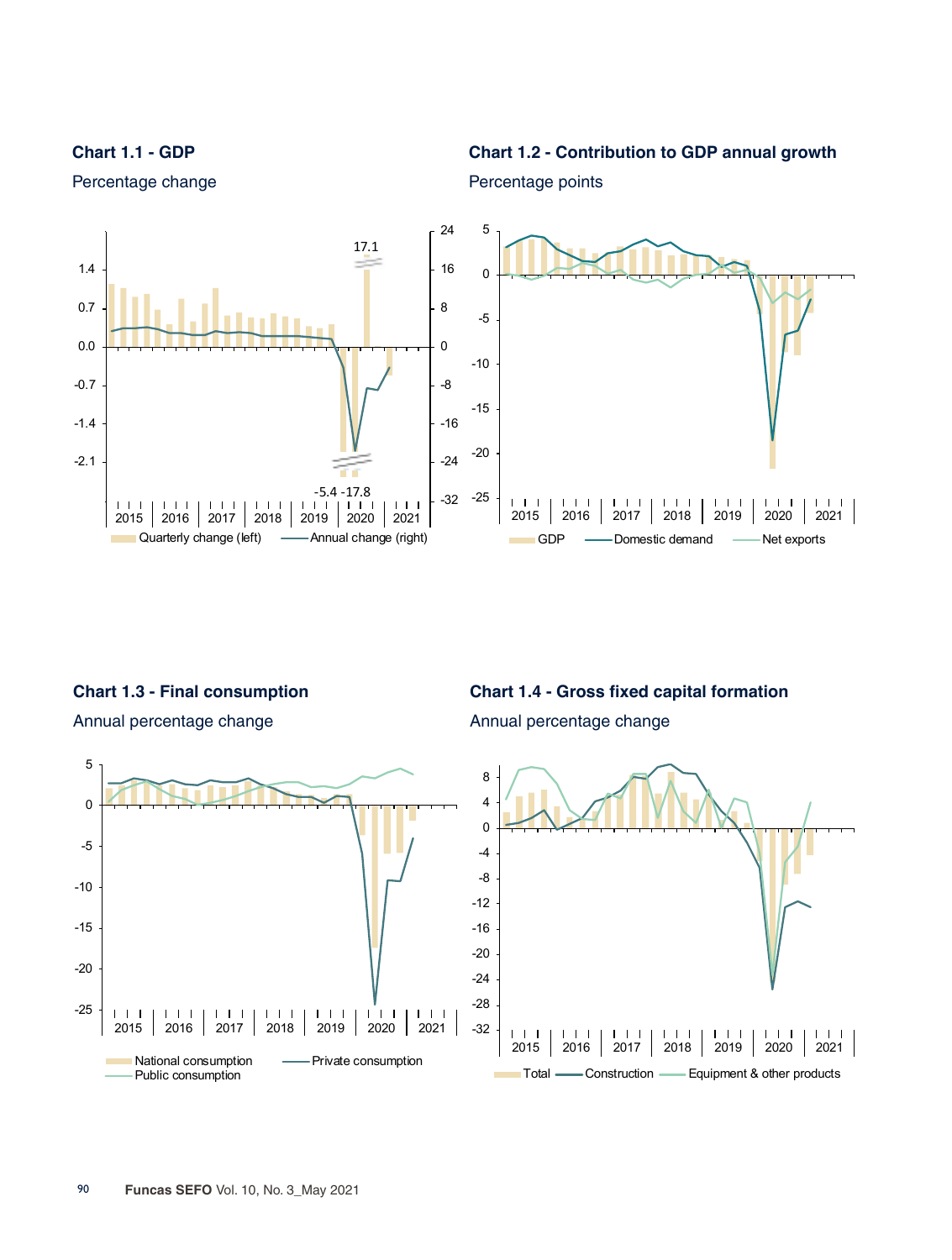**Chart 1.1 - GDP**

#### **Chart 1.2 - Contribution to GDP annual growth**



Percentage change

**Chart 1.3 - Final consumption**

Annual percentage change



Annual percentage change



Percentage points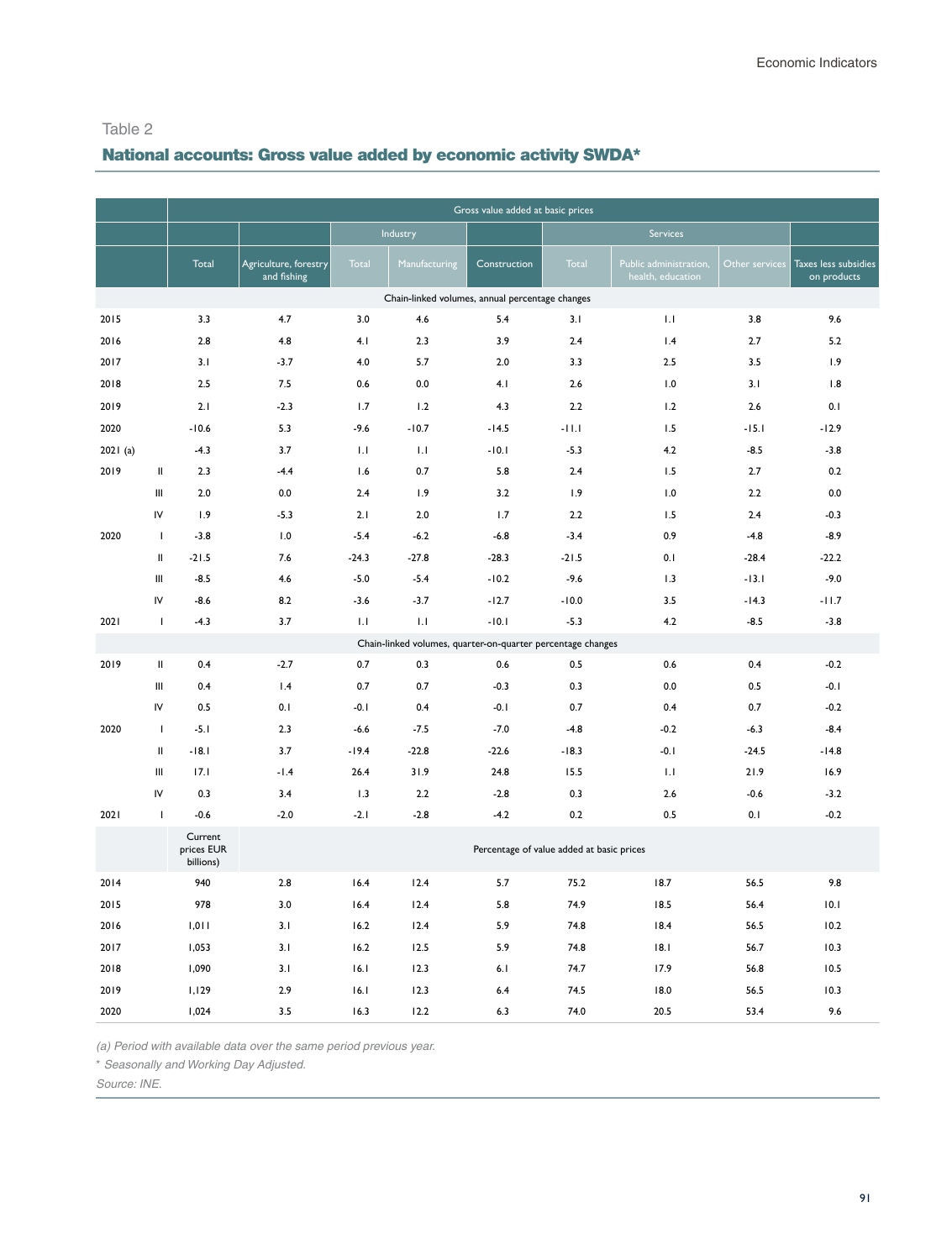# National accounts: Gross value added by economic activity SWDA\*

|         |              |                                    |                                      |         |                                                             | Gross value added at basic prices         |         |                                             |                |                                     |
|---------|--------------|------------------------------------|--------------------------------------|---------|-------------------------------------------------------------|-------------------------------------------|---------|---------------------------------------------|----------------|-------------------------------------|
|         |              |                                    |                                      |         | Industry                                                    |                                           |         | Services                                    |                |                                     |
|         |              | Total                              | Agriculture, forestry<br>and fishing | Total   | Manufacturing                                               | Construction                              | Total   | Public administration,<br>health, education | Other services | Taxes less subsidies<br>on products |
|         |              |                                    |                                      |         | Chain-linked volumes, annual percentage changes             |                                           |         |                                             |                |                                     |
| 2015    |              | 3.3                                | 4.7                                  | 3.0     | 4.6                                                         | 5.4                                       | 3.1     | 1.1                                         | 3.8            | 9.6                                 |
| 2016    |              | 2.8                                | 4.8                                  | 4.1     | 2.3                                                         | 3.9                                       | 2.4     | 1.4                                         | 2.7            | 5.2                                 |
| 2017    |              | 3.1                                | $-3.7$                               | 4.0     | 5.7                                                         | 2.0                                       | 3.3     | 2.5                                         | 3.5            | 1.9                                 |
| 2018    |              | 2.5                                | 7.5                                  | 0.6     | 0.0                                                         | 4.1                                       | 2.6     | 1.0                                         | 3.1            | 1.8                                 |
| 2019    |              | 2.1                                | $-2.3$                               | 1.7     | 1.2                                                         | 4.3                                       | 2.2     | 1.2                                         | 2.6            | 0.1                                 |
| 2020    |              | $-10.6$                            | 5.3                                  | $-9.6$  | $-10.7$                                                     | $-14.5$                                   | $-11.1$ | 1.5                                         | $-15.1$        | $-12.9$                             |
| 2021(a) |              | $-4.3$                             | 3.7                                  | 1.1     | 1.1                                                         | $-10.1$                                   | $-5.3$  | 4.2                                         | $-8.5$         | $-3.8$                              |
| 2019    | Ш            | 2.3                                | $-4.4$                               | 1.6     | 0.7                                                         | 5.8                                       | 2.4     | 1.5                                         | 2.7            | 0.2                                 |
|         | Ш            | 2.0                                | 0.0                                  | 2.4     | 1.9                                                         | 3.2                                       | 1.9     | 1.0                                         | 2.2            | 0.0                                 |
|         | IV           | 1.9                                | $-5.3$                               | 2.1     | 2.0                                                         | 1.7                                       | 2.2     | 1.5                                         | 2.4            | $-0.3$                              |
| 2020    | $\mathbf{I}$ | $-3.8$                             | 1.0                                  | $-5.4$  | $-6.2$                                                      | $-6.8$                                    | $-3.4$  | 0.9                                         | $-4.8$         | $-8.9$                              |
|         | $\mathbf{H}$ | $-21.5$                            | 7.6                                  | $-24.3$ | $-27.8$                                                     | $-28.3$                                   | $-21.5$ | 0.1                                         | $-28.4$        | $-22.2$                             |
|         | Ш            | $-8.5$                             | 4.6                                  | $-5.0$  | $-5.4$                                                      | $-10.2$                                   | $-9.6$  | 1.3                                         | $-13.1$        | $-9.0$                              |
|         | IV           | $-8.6$                             | 8.2                                  | $-3.6$  | $-3.7$                                                      | $-12.7$                                   | $-10.0$ | 3.5                                         | $-14.3$        | $-11.7$                             |
| 2021    | $\mathbf{I}$ | $-4.3$                             | 3.7                                  | 1.1     | 1.1                                                         | $-10.1$                                   | $-5.3$  | 4.2                                         | $-8.5$         | $-3.8$                              |
|         |              |                                    |                                      |         | Chain-linked volumes, quarter-on-quarter percentage changes |                                           |         |                                             |                |                                     |
| 2019    | $\,$ II      | 0.4                                | $-2.7$                               | 0.7     | 0.3                                                         | 0.6                                       | 0.5     | 0.6                                         | 0.4            | $-0.2$                              |
|         | Ш            | 0.4                                | 1.4                                  | 0.7     | 0.7                                                         | $-0.3$                                    | 0.3     | 0.0                                         | 0.5            | $-0.1$                              |
|         | IV           | 0.5                                | 0.1                                  | $-0.1$  | 0.4                                                         | $-0.1$                                    | 0.7     | 0.4                                         | 0.7            | $-0.2$                              |
| 2020    | $\mathbf{I}$ | $-5.1$                             | 2.3                                  | $-6.6$  | $-7.5$                                                      | $-7.0$                                    | $-4.8$  | $-0.2$                                      | $-6.3$         | $-8.4$                              |
|         | $\mathbf{H}$ | $-18.1$                            | 3.7                                  | $-19.4$ | $-22.8$                                                     | $-22.6$                                   | $-18.3$ | $-0.1$                                      | $-24.5$        | $-14.8$                             |
|         | Ш            | 17.1                               | $-1.4$                               | 26.4    | 31.9                                                        | 24.8                                      | 15.5    | 1.1                                         | 21.9           | 16.9                                |
|         | IV           | 0.3                                | 3.4                                  | 1.3     | 2.2                                                         | $-2.8$                                    | 0.3     | 2.6                                         | $-0.6$         | $-3.2$                              |
| 2021    | $\mathbf{I}$ | $-0.6$                             | $-2.0$                               | $-2.1$  | $-2.8$                                                      | $-4.2$                                    | 0.2     | 0.5                                         | 0.1            | $-0.2$                              |
|         |              | Current<br>prices EUR<br>billions) |                                      |         |                                                             | Percentage of value added at basic prices |         |                                             |                |                                     |
| 2014    |              | 940                                | 2.8                                  | 16.4    | 12.4                                                        | 5.7                                       | 75.2    | 18.7                                        | 56.5           | 9.8                                 |
| 2015    |              | 978                                | 3.0                                  | 16.4    | 12.4                                                        | 5.8                                       | 74.9    | 18.5                                        | 56.4           | 10.1                                |
| 2016    |              | 1,011                              | 3.1                                  | 16.2    | 12.4                                                        | 5.9                                       | 74.8    | 18.4                                        | 56.5           | 10.2                                |
| 2017    |              | 1,053                              | 3.1                                  | 16.2    | 12.5                                                        | 5.9                                       | 74.8    | 18.1                                        | 56.7           | 10.3                                |
| 2018    |              | 1,090                              | 3.1                                  | 16.1    | 12.3                                                        | 6.1                                       | 74.7    | 17.9                                        | 56.8           | 10.5                                |
| 2019    |              | 1,129                              | 2.9                                  | 16.1    | 12.3                                                        | 6.4                                       | 74.5    | 18.0                                        | 56.5           | 10.3                                |
| 2020    |              | 1,024                              | 3.5                                  | 16.3    | 12.2                                                        | 6.3                                       | 74.0    | 20.5                                        | 53.4           | 9.6                                 |

*(a) Period with available data over the same period previous year.*

\* *Seasonally and Working Day Adjusted.*

Source: INE.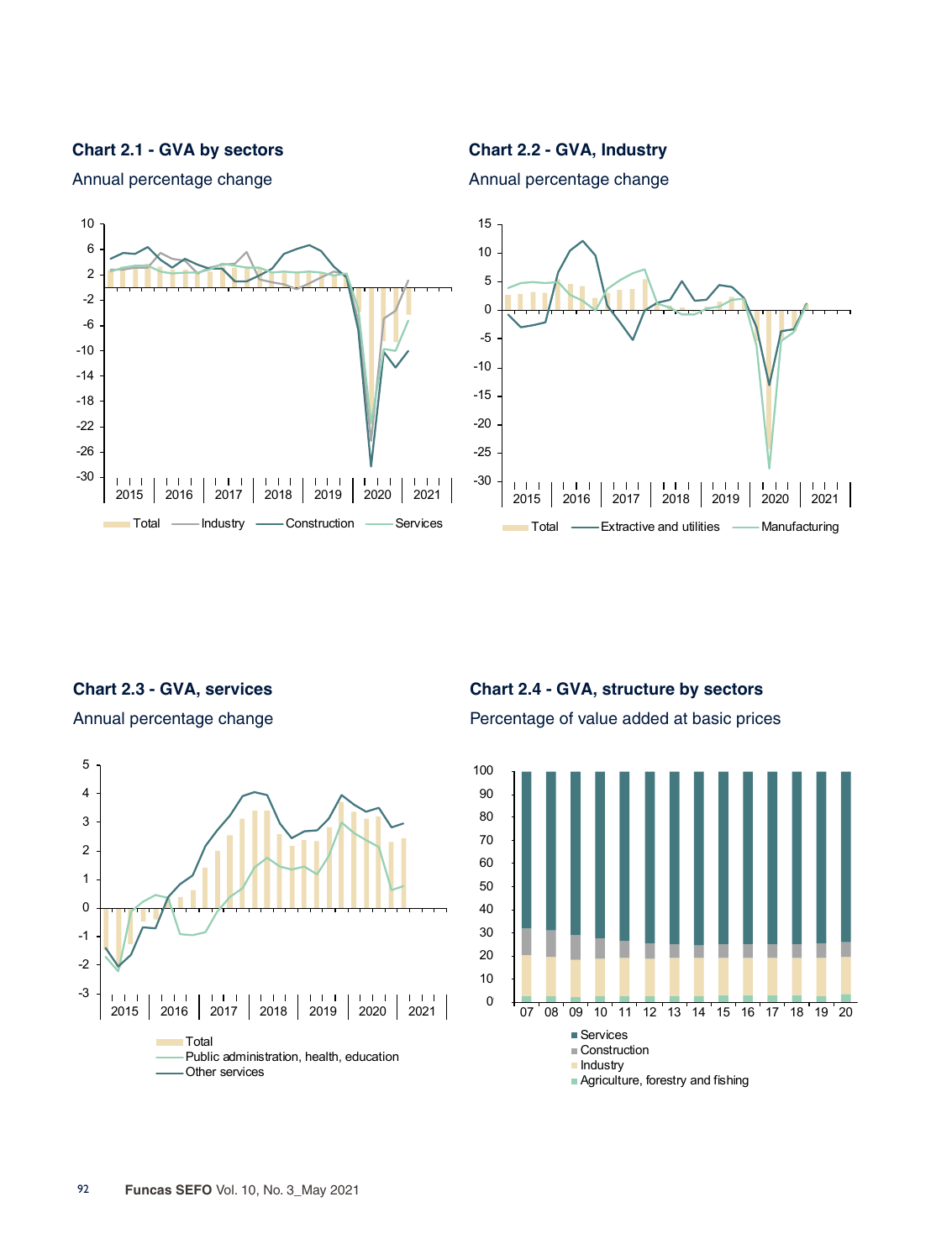**Chart 2.1 - GVA by sectors**

**Chart 2.2 - GVA, Industry** Annual percentage change



Annual percentage change

**Chart 2.3 - GVA, services** 

Annual percentage change



**Chart 2.4 - GVA, structure by sectors** Percentage of value added at basic prices

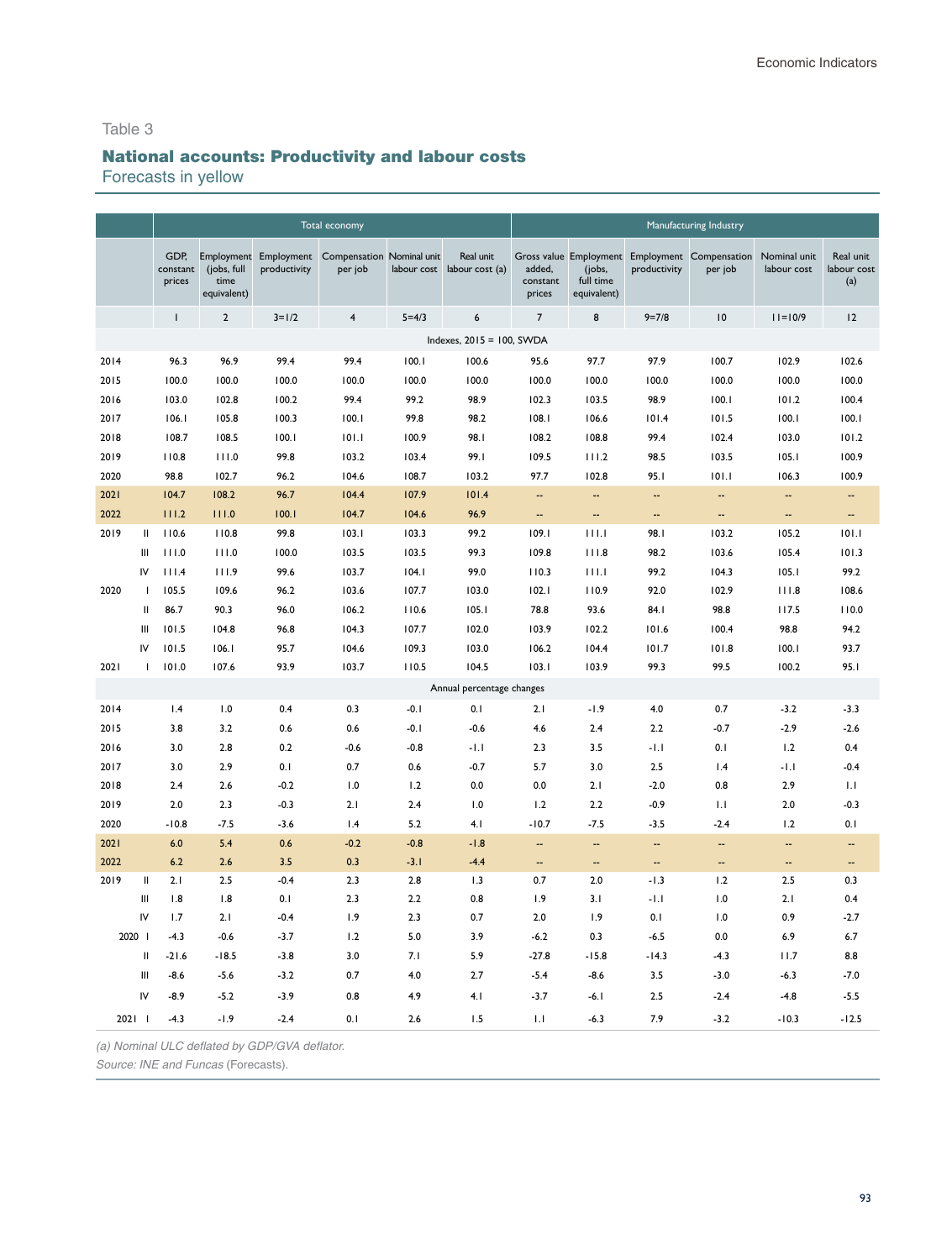# National accounts: Productivity and labour costs

Forecasts in yellow

|        |               |                            |                                                  |                            | Total economy                               |             |                              |                              |                                    |              | Manufacturing Industry                                    |                             |                                 |
|--------|---------------|----------------------------|--------------------------------------------------|----------------------------|---------------------------------------------|-------------|------------------------------|------------------------------|------------------------------------|--------------|-----------------------------------------------------------|-----------------------------|---------------------------------|
|        |               | GDP,<br>constant<br>prices | Employment<br>(jobs, full<br>time<br>equivalent) | Employment<br>productivity | <b>Compensation Nominal unit</b><br>per job | labour cost | Real unit<br>labour cost (a) | added,<br>constant<br>prices | (jobs,<br>full time<br>equivalent) | productivity | Gross value Employment Employment Compensation<br>per job | Nominal unit<br>labour cost | Real unit<br>labour cost<br>(a) |
|        |               | $\mathbf{I}$               | $\mathbf 2$                                      | $3 = 1/2$                  | $\overline{\mathbf{4}}$                     | $5 = 4/3$   | $\boldsymbol{6}$             | $\overline{7}$               | 8                                  | $9 = 7/8$    | 10                                                        | $11 = 10/9$                 | 12                              |
|        |               |                            |                                                  |                            |                                             |             | Indexes, 2015 = 100, SWDA    |                              |                                    |              |                                                           |                             |                                 |
| 2014   |               | 96.3                       | 96.9                                             | 99.4                       | 99.4                                        | 100.1       | 100.6                        | 95.6                         | 97.7                               | 97.9         | 100.7                                                     | 102.9                       | 102.6                           |
| 2015   |               | 100.0                      | 100.0                                            | 100.0                      | 100.0                                       | 100.0       | 100.0                        | 100.0                        | 100.0                              | 100.0        | 100.0                                                     | 100.0                       | 100.0                           |
| 2016   |               | 103.0                      | 102.8                                            | 100.2                      | 99.4                                        | 99.2        | 98.9                         | 102.3                        | 103.5                              | 98.9         | 100.1                                                     | 101.2                       | 100.4                           |
| 2017   |               | 106.1                      | 105.8                                            | 100.3                      | 100.1                                       | 99.8        | 98.2                         | 108.1                        | 106.6                              | 101.4        | 101.5                                                     | 100.1                       | 100.1                           |
| 2018   |               | 108.7                      | 108.5                                            | 100.1                      | 101.1                                       | 100.9       | 98.I                         | 108.2                        | 108.8                              | 99.4         | 102.4                                                     | 103.0                       | 101.2                           |
| 2019   |               | 110.8                      | 111.0                                            | 99.8                       | 103.2                                       | 103.4       | 99.I                         | 109.5                        | 111.2                              | 98.5         | 103.5                                                     | 105.1                       | 100.9                           |
| 2020   |               | 98.8                       | 102.7                                            | 96.2                       | 104.6                                       | 108.7       | 103.2                        | 97.7                         | 102.8                              | 95.I         | 101.1                                                     | 106.3                       | 100.9                           |
| 2021   |               | 104.7                      | 108.2                                            | 96.7                       | 104.4                                       | 107.9       | 101.4                        | Щ,                           | $\overline{\phantom{a}}$           | Ξ.           | $\overline{a}$                                            | Ξ.                          | Ш,                              |
| 2022   |               | 111.2                      | 111.0                                            | 100.1                      | 104.7                                       | 104.6       | 96.9                         | --                           | Щ,                                 | Ξ.           | $\overline{a}$                                            | Ξ.                          | Ш,                              |
| 2019   | $\mathbf{II}$ | 110.6                      | 110.8                                            | 99.8                       | 103.1                                       | 103.3       | 99.2                         | 109.1                        | 111.1                              | 98.I         | 103.2                                                     | 105.2                       | 101.1                           |
|        | Ш             | 111.0                      | 111.0                                            | 100.0                      | 103.5                                       | 103.5       | 99.3                         | 109.8                        | 111.8                              | 98.2         | 103.6                                                     | 105.4                       | 101.3                           |
|        | IV            | 111.4                      | 111.9                                            | 99.6                       | 103.7                                       | 104.1       | 99.0                         | 110.3                        | 111.1                              | 99.2         | 104.3                                                     | 105.1                       | 99.2                            |
| 2020   | I.            | 105.5                      | 109.6                                            | 96.2                       | 103.6                                       | 107.7       | 103.0                        | 102.1                        | 110.9                              | 92.0         | 102.9                                                     | 111.8                       | 108.6                           |
|        | Ш             | 86.7                       | 90.3                                             | 96.0                       | 106.2                                       | 110.6       | 105.1                        | 78.8                         | 93.6                               | 84.I         | 98.8                                                      | 117.5                       | 110.0                           |
|        | Ш             | 101.5                      | 104.8                                            | 96.8                       | 104.3                                       | 107.7       | 102.0                        | 103.9                        | 102.2                              | 101.6        | 100.4                                                     | 98.8                        | 94.2                            |
|        | IV            | 101.5                      | 106.1                                            | 95.7                       | 104.6                                       | 109.3       | 103.0                        | 106.2                        | 104.4                              | 101.7        | 101.8                                                     | 100.1                       | 93.7                            |
| 2021   | I.            | 101.0                      | 107.6                                            | 93.9                       | 103.7                                       | 110.5       | 104.5                        | 103.1                        | 103.9                              | 99.3         | 99.5                                                      | 100.2                       | 95.I                            |
|        |               |                            |                                                  |                            |                                             |             | Annual percentage changes    |                              |                                    |              |                                                           |                             |                                 |
| 2014   |               | 1.4                        | 1.0                                              | 0.4                        | 0.3                                         | $-0.1$      | 0.1                          | 2.1                          | $-1.9$                             | 4.0          | 0.7                                                       | $-3.2$                      | $-3.3$                          |
| 2015   |               | 3.8                        | 3.2                                              | 0.6                        | 0.6                                         | $-0.1$      | $-0.6$                       | 4.6                          | 2.4                                | 2.2          | $-0.7$                                                    | $-2.9$                      | $-2.6$                          |
| 2016   |               | 3.0                        | 2.8                                              | 0.2                        | $-0.6$                                      | $-0.8$      | $-1.1$                       | 2.3                          | 3.5                                | -1.1         | 0.1                                                       | 1.2                         | 0.4                             |
| 2017   |               | 3.0                        | 2.9                                              | 0.1                        | 0.7                                         | 0.6         | $-0.7$                       | 5.7                          | 3.0                                | 2.5          | 1.4                                                       | -1.1                        | $-0.4$                          |
| 2018   |               | 2.4                        | 2.6                                              | $-0.2$                     | 1.0                                         | 1.2         | 0.0                          | 0.0                          | 2.1                                | $-2.0$       | 0.8                                                       | 2.9                         | 1.1                             |
| 2019   |               | 2.0                        | 2.3                                              | $-0.3$                     | 2.1                                         | 2.4         | 1.0                          | 1.2                          | 2.2                                | $-0.9$       | 1.1                                                       | 2.0                         | $-0.3$                          |
| 2020   |               | $-10.8$                    | $-7.5$                                           | $-3.6$                     | 1.4                                         | 5.2         | 4.1                          | $-10.7$                      | $-7.5$                             | $-3.5$       | $-2.4$                                                    | 1.2                         | 0.1                             |
| 2021   |               | 6.0                        | 5.4                                              | 0.6                        | $-0.2$                                      | $-0.8$      | $-1.8$                       | $\overline{\phantom{a}}$     | Ξ.                                 | Ξ.           | $\overline{a}$                                            | Ξ.                          | $\overline{\phantom{a}}$        |
| 2022   |               | 6.2                        | 2.6                                              | 3.5                        | 0.3                                         | $-3.1$      | $-4.4$                       | --                           | --                                 | --           | $\overline{\phantom{a}}$                                  | --                          | $\overline{\phantom{a}}$        |
| 2019   | $\mathbf{I}$  | 2.1                        | 2.5                                              | $-0.4$                     | 2.3                                         | 2.8         | 1.3                          | 0.7                          | 2.0                                | $-1.3$       | 1.2                                                       | 2.5                         | 0.3                             |
|        | Ш             | 1.8                        | 1.8                                              | 0.1                        | 2.3                                         | 2.2         | 0.8                          | 1.9                          | 3.1                                | $-1.1$       | 1.0                                                       | 2.1                         | 0.4                             |
|        | IV            | 1.7                        | 2.1                                              | $-0.4$                     | 1.9                                         | 2.3         | 0.7                          | 2.0                          | 1.9                                | 0.1          | 1.0                                                       | 0.9                         | $-2.7$                          |
| 2020   |               | $-4.3$                     | $-0.6$                                           | $-3.7$                     | 1.2                                         | 5.0         | 3.9                          | $-6.2$                       | 0.3                                | $-6.5$       | 0.0                                                       | 6.9                         | 6.7                             |
|        | $\sf II$      | $-21.6$                    | $-18.5$                                          | $-3.8$                     | 3.0                                         | 7.1         | 5.9                          | $-27.8$                      | $-15.8$                            | $-14.3$      | $-4.3$                                                    | 11.7                        | 8.8                             |
|        | Ш             | $-8.6$                     | $-5.6$                                           | $-3.2$                     | 0.7                                         | 4.0         | 2.7                          | $-5.4$                       | $-8.6$                             | 3.5          | $-3.0$                                                    | $-6.3$                      | $-7.0$                          |
|        | IV            | $-8.9$                     | $-5.2$                                           | $-3.9$                     | 0.8                                         | 4.9         | 4.1                          | $-3.7$                       | -6. I                              | 2.5          | $-2.4$                                                    | $-4.8$                      | $-5.5$                          |
| 2021 1 |               | $-4.3$                     | $-1.9$                                           | $-2.4$                     | 0.1                                         | 2.6         | 1.5                          | 1.1                          | $-6.3$                             | 7.9          | $-3.2$                                                    | $-10.3$                     | $-12.5$                         |

*(a) Nominal ULC deflated by GDP/GVA deflator.*

*Source: INE and Funcas* (Forecasts).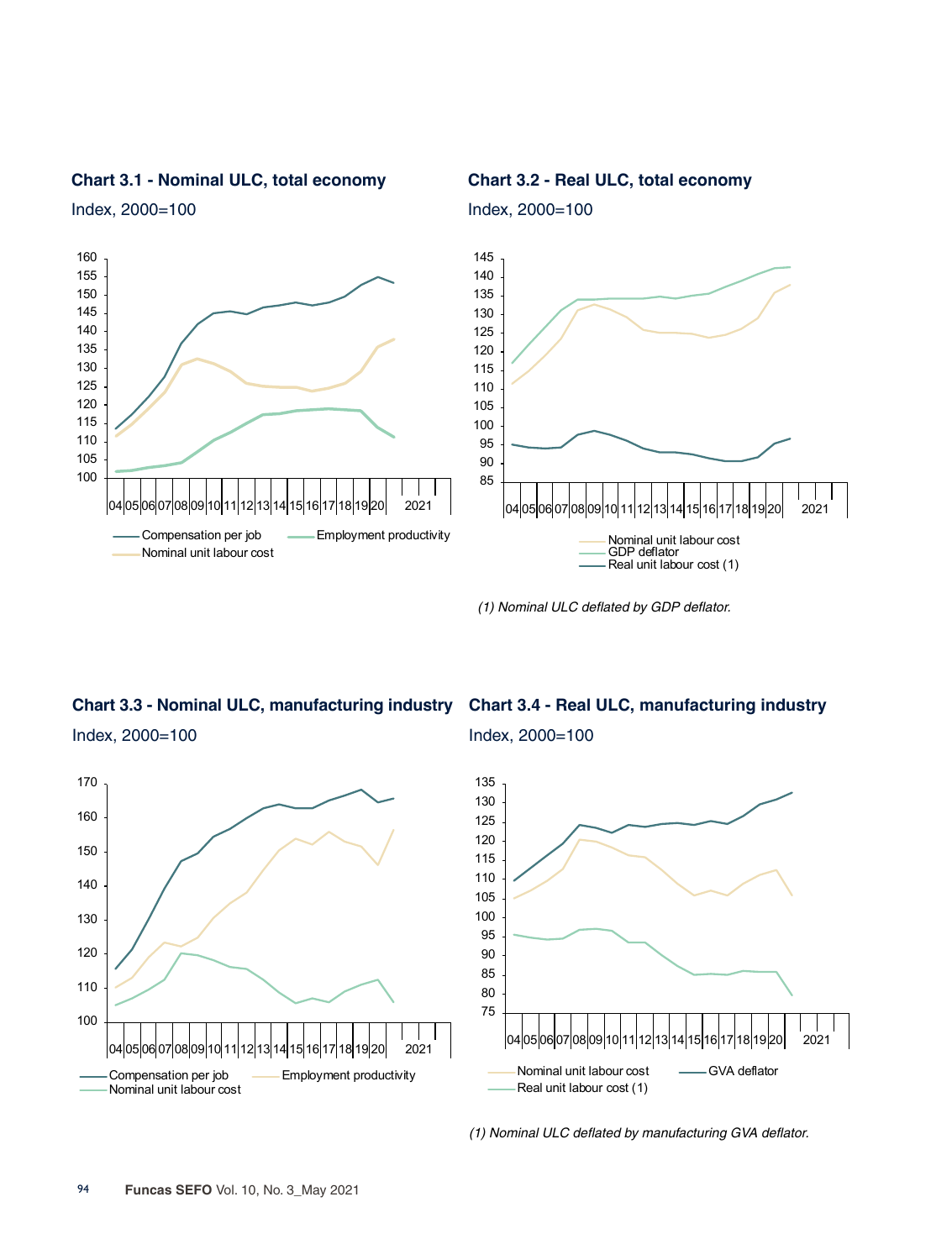

**Chart 3.1 - Nominal ULC, total economy**

Index, 2000=100

**Chart 3.2 - Real ULC, total economy**

Index, 2000=100

*(1) Nominal ULC deflated by GDP deflator.*

# **Chart 3.3 - Nominal ULC, manufacturing industry** Index, 2000=100



#### **Chart 3.4 - Real ULC, manufacturing industry**

Index, 2000=100



*(1) Nominal ULC deflated by manufacturing GVA deflator.*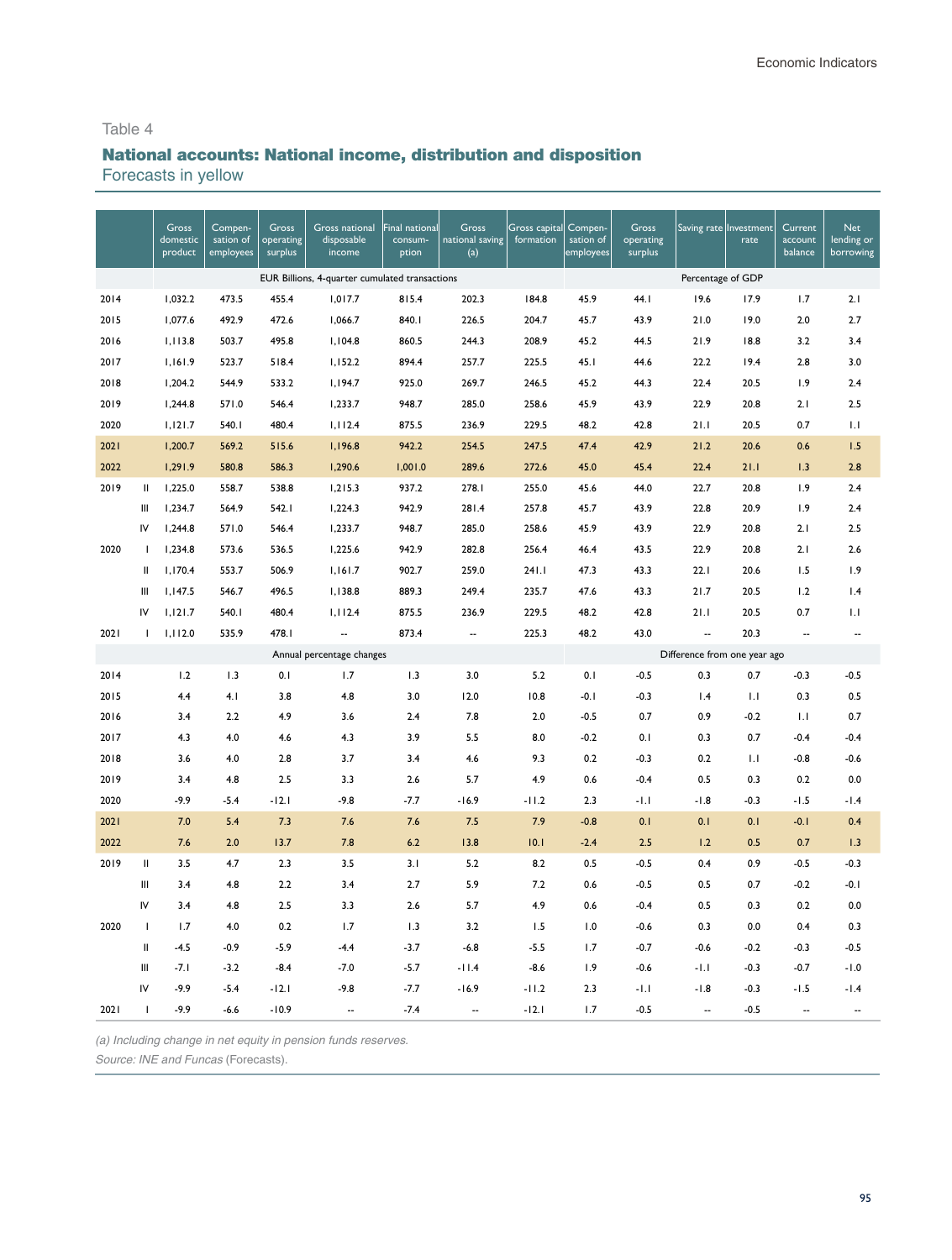# National accounts: National income, distribution and disposition

Forecasts in yellow

|      |                | Gross<br>domestic<br>product | Compen-<br>sation of<br>employees | Gross<br>operating<br>surplus | Gross national<br>disposable<br>income         | Final national<br>consum-<br>ption | Gross<br>national saving<br>(a) | Gross capital<br>formation | Compen-<br>sation of<br>employees | <b>Gross</b><br>operating<br>surplus |                              | Saving rate Investment<br>rate | Current<br>account<br>balance | <b>Net</b><br>lending or<br>borrowing |
|------|----------------|------------------------------|-----------------------------------|-------------------------------|------------------------------------------------|------------------------------------|---------------------------------|----------------------------|-----------------------------------|--------------------------------------|------------------------------|--------------------------------|-------------------------------|---------------------------------------|
|      |                |                              |                                   |                               | EUR Billions, 4-quarter cumulated transactions |                                    |                                 |                            |                                   |                                      | Percentage of GDP            |                                |                               |                                       |
| 2014 |                | 1,032.2                      | 473.5                             | 455.4                         | 1,017.7                                        | 815.4                              | 202.3                           | 184.8                      | 45.9                              | 44.I                                 | 19.6                         | 17.9                           | 1.7                           | 2.1                                   |
| 2015 |                | 1,077.6                      | 492.9                             | 472.6                         | 1,066.7                                        | 840.1                              | 226.5                           | 204.7                      | 45.7                              | 43.9                                 | 21.0                         | 19.0                           | 2.0                           | 2.7                                   |
| 2016 |                | 1,113.8                      | 503.7                             | 495.8                         | 1,104.8                                        | 860.5                              | 244.3                           | 208.9                      | 45.2                              | 44.5                                 | 21.9                         | 18.8                           | 3.2                           | 3.4                                   |
| 2017 |                | 1,161.9                      | 523.7                             | 518.4                         | 1,152.2                                        | 894.4                              | 257.7                           | 225.5                      | 45.1                              | 44.6                                 | 22.2                         | 19.4                           | 2.8                           | 3.0                                   |
| 2018 |                | 1,204.2                      | 544.9                             | 533.2                         | 1,194.7                                        | 925.0                              | 269.7                           | 246.5                      | 45.2                              | 44.3                                 | 22.4                         | 20.5                           | 1.9                           | 2.4                                   |
| 2019 |                | 1,244.8                      | 571.0                             | 546.4                         | 1,233.7                                        | 948.7                              | 285.0                           | 258.6                      | 45.9                              | 43.9                                 | 22.9                         | 20.8                           | 2.1                           | 2.5                                   |
| 2020 |                | 1,121.7                      | 540.1                             | 480.4                         | 1,112.4                                        | 875.5                              | 236.9                           | 229.5                      | 48.2                              | 42.8                                 | 21.1                         | 20.5                           | 0.7                           | 1.1                                   |
| 2021 |                | 1,200.7                      | 569.2                             | 515.6                         | 1,196.8                                        | 942.2                              | 254.5                           | 247.5                      | 47.4                              | 42.9                                 | 21.2                         | 20.6                           | 0.6                           | 1.5                                   |
| 2022 |                | 1,291.9                      | 580.8                             | 586.3                         | 1,290.6                                        | 1,001.0                            | 289.6                           | 272.6                      | 45.0                              | 45.4                                 | 22.4                         | 21.1                           | 1.3                           | 2.8                                   |
| 2019 | Ш              | 1,225.0                      | 558.7                             | 538.8                         | 1,215.3                                        | 937.2                              | 278.1                           | 255.0                      | 45.6                              | 44.0                                 | 22.7                         | 20.8                           | 1.9                           | 2.4                                   |
|      | $\mathbf{III}$ | 1,234.7                      | 564.9                             | 542.I                         | 1,224.3                                        | 942.9                              | 281.4                           | 257.8                      | 45.7                              | 43.9                                 | 22.8                         | 20.9                           | 1.9                           | 2.4                                   |
|      | IV             | 1,244.8                      | 571.0                             | 546.4                         | 1,233.7                                        | 948.7                              | 285.0                           | 258.6                      | 45.9                              | 43.9                                 | 22.9                         | 20.8                           | 2.1                           | 2.5                                   |
| 2020 | I.             | 1,234.8                      | 573.6                             | 536.5                         | 1,225.6                                        | 942.9                              | 282.8                           | 256.4                      | 46.4                              | 43.5                                 | 22.9                         | 20.8                           | 2.1                           | 2.6                                   |
|      | Ш              | 1.170.4                      | 553.7                             | 506.9                         | 1,161.7                                        | 902.7                              | 259.0                           | 241.1                      | 47.3                              | 43.3                                 | 22.1                         | 20.6                           | 1.5                           | 1.9                                   |
|      | Ш              | 1,147.5                      | 546.7                             | 496.5                         | 1,138.8                                        | 889.3                              | 249.4                           | 235.7                      | 47.6                              | 43.3                                 | 21.7                         | 20.5                           | 1.2                           | 1.4                                   |
|      | IV             | 1,121.7                      | 540.I                             | 480.4                         | 1,112.4                                        | 875.5                              | 236.9                           | 229.5                      | 48.2                              | 42.8                                 | 21.1                         | 20.5                           | 0.7                           | 1.1                                   |
| 2021 | $\mathbf{I}$   | 1,112.0                      | 535.9                             | 478.I                         | $\overline{\phantom{a}}$                       | 873.4                              | $\overline{\phantom{a}}$        | 225.3                      | 48.2                              | 43.0                                 | $\overline{\phantom{a}}$     | 20.3                           | $\overline{\phantom{a}}$      | $\overline{\phantom{a}}$              |
|      |                |                              |                                   |                               | Annual percentage changes                      |                                    |                                 |                            |                                   |                                      | Difference from one year ago |                                |                               |                                       |
| 2014 |                | 1.2                          | 1.3                               | 0.1                           | 1.7                                            | 1.3                                | 3.0                             | 5.2                        | 0.1                               | $-0.5$                               | 0.3                          | 0.7                            | $-0.3$                        | $-0.5$                                |
| 2015 |                | 4.4                          | 4.1                               | 3.8                           | 4.8                                            | 3.0                                | 12.0                            | 10.8                       | $-0.1$                            | $-0.3$                               | 1.4                          | 1.1                            | 0.3                           | 0.5                                   |
| 2016 |                | 3.4                          | 2.2                               | 4.9                           | 3.6                                            | 2.4                                | 7.8                             | 2.0                        | $-0.5$                            | 0.7                                  | 0.9                          | $-0.2$                         | 1.1                           | 0.7                                   |
| 2017 |                | 4.3                          | 4.0                               | 4.6                           | 4.3                                            | 3.9                                | 5.5                             | 8.0                        | $-0.2$                            | 0.1                                  | 0.3                          | 0.7                            | $-0.4$                        | $-0.4$                                |
| 2018 |                | 3.6                          | 4.0                               | 2.8                           | 3.7                                            | 3.4                                | 4.6                             | 9.3                        | 0.2                               | $-0.3$                               | 0.2                          | 1.1                            | $-0.8$                        | $-0.6$                                |
| 2019 |                | 3.4                          | 4.8                               | 2.5                           | 3.3                                            | 2.6                                | 5.7                             | 4.9                        | 0.6                               | $-0.4$                               | 0.5                          | 0.3                            | 0.2                           | 0.0                                   |
| 2020 |                | $-9.9$                       | $-5.4$                            | $-12.1$                       | $-9.8$                                         | $-7.7$                             | $-16.9$                         | $-11.2$                    | 2.3                               | $-1.1$                               | $-1.8$                       | $-0.3$                         | $-1.5$                        | $-1.4$                                |
| 2021 |                | 7.0                          | 5.4                               | 7.3                           | 7.6                                            | 7.6                                | 7.5                             | 7.9                        | $-0.8$                            | 0.1                                  | 0.1                          | 0.1                            | $-0.1$                        | 0.4                                   |
| 2022 |                | 7.6                          | 2.0                               | 13.7                          | 7.8                                            | 6.2                                | 13.8                            | 10.1                       | $-2.4$                            | 2.5                                  | 1.2                          | 0.5                            | 0.7                           | 1.3                                   |
| 2019 | $\sf II$       | 3.5                          | 4.7                               | 2.3                           | 3.5                                            | 3.1                                | 5.2                             | 8.2                        | 0.5                               | $-0.5$                               | 0.4                          | 0.9                            | $-0.5$                        | $-0.3$                                |
|      | Ш              | 3.4                          | 4.8                               | 2.2                           | 3.4                                            | 2.7                                | 5.9                             | 7.2                        | 0.6                               | $-0.5$                               | 0.5                          | 0.7                            | $-0.2$                        | $-0.1$                                |
|      | IV             | 3.4                          | 4.8                               | 2.5                           | 3.3                                            | 2.6                                | 5.7                             | 4.9                        | 0.6                               | $-0.4$                               | 0.5                          | 0.3                            | 0.2                           | 0.0                                   |
| 2020 | $\mathbf{I}$   | 1.7                          | 4.0                               | 0.2                           | 1.7                                            | 1.3                                | 3.2                             | 1.5                        | 1.0                               | $-0.6$                               | 0.3                          | 0.0                            | 0.4                           | 0.3                                   |
|      | Ш              | $-4.5$                       | $-0.9$                            | $-5.9$                        | $-4.4$                                         | $-3.7$                             | $-6.8$                          | $-5.5$                     | 1.7                               | $-0.7$                               | $-0.6$                       | $-0.2$                         | $-0.3$                        | $-0.5$                                |
|      | Ш              | $-7.1$                       | $-3.2$                            | $-8.4$                        | $-7.0$                                         | $-5.7$                             | $-11.4$                         | $-8.6$                     | 1.9                               | $-0.6$                               | $-1.1$                       | $-0.3$                         | $-0.7$                        | $-1.0$                                |
|      | IV             | $-9.9$                       | $-5.4$                            | $-12.1$                       | $-9.8$                                         | $-7.7$                             | $-16.9$                         | $-11.2$                    | 2.3                               | $-1.1$                               | $-1.8$                       | $-0.3$                         | $-1.5$                        | $-1.4$                                |
| 2021 | $\overline{1}$ | $-9.9$                       | $-6.6$                            | $-10.9$                       |                                                | $-7.4$                             |                                 | $-12.1$                    | 1.7                               | $-0.5$                               | Ξ.                           | $-0.5$                         | $\overline{\phantom{a}}$      |                                       |

*(a) Including change in net equity in pension funds reserves.*

*Source: INE* and Funcas (Forecasts).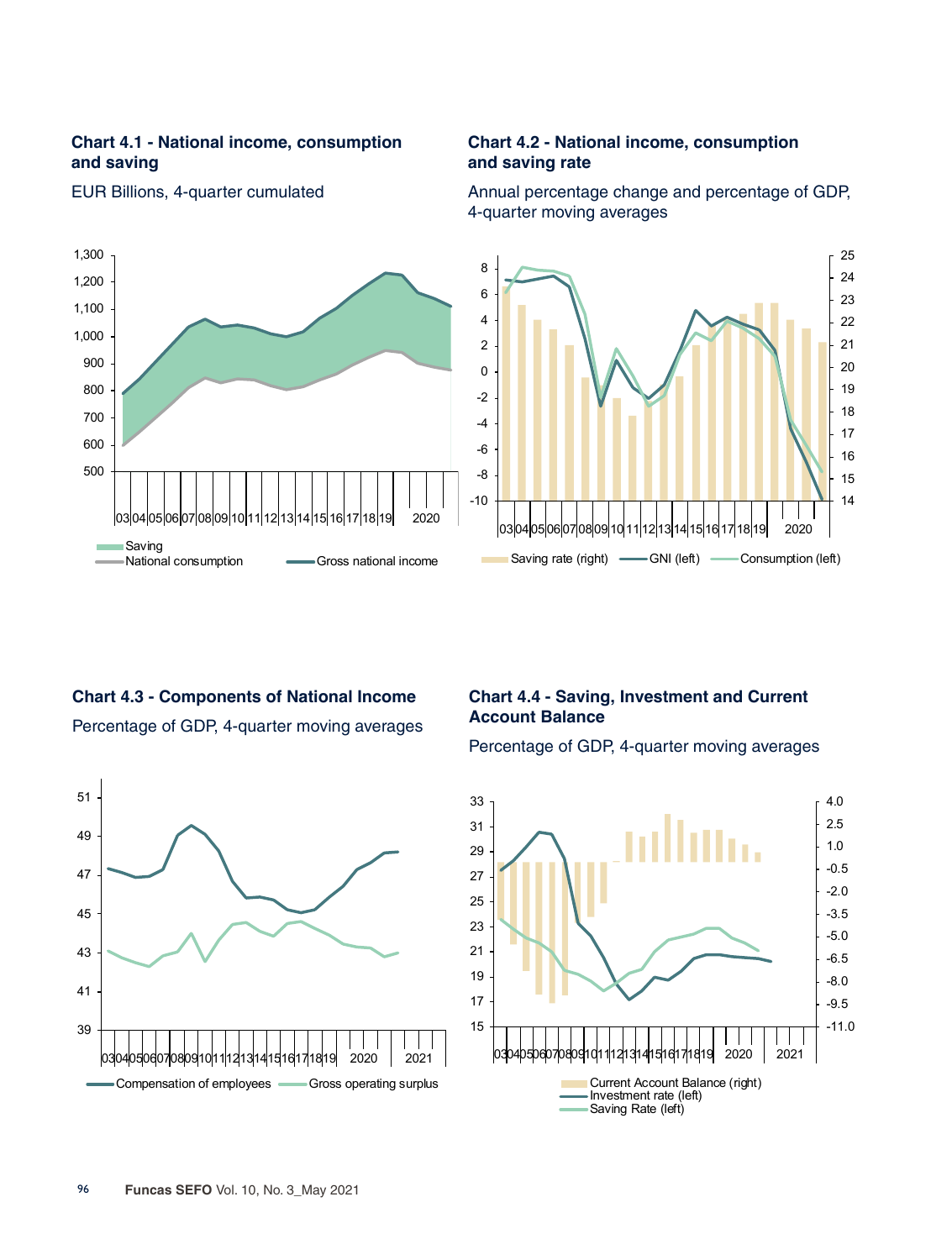## **Chart 4.1 - National income, consumption and saving**



#### EUR Billions, 4-quarter cumulated

### **Chart 4.2 - National income, consumption and saving rate**

Annual percentage change and percentage of GDP, 4-quarter moving averages



# **Chart 4.3 - Components of National Income**  Percentage of GDP, 4-quarter moving averages



# **Chart 4.4 - Saving, Investment and Current Account Balance**

Percentage of GDP, 4-quarter moving averages

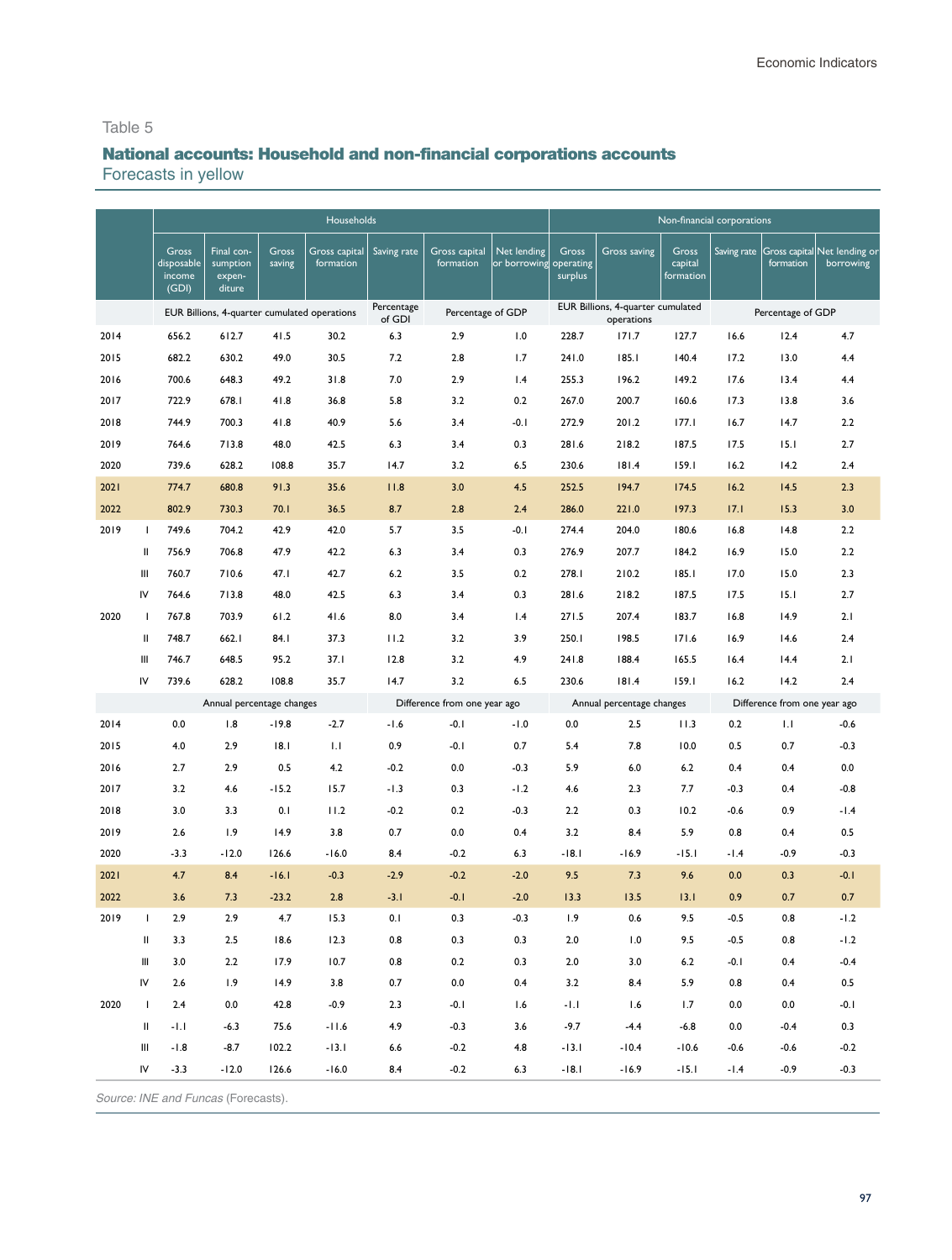# National accounts: Household and non-financial corporations accounts

Forecasts in yellow

|                 |                 |                                        |                                            |                 | Households                                   |                      |                              |                             |                               |                                                 |                               | Non-financial corporations |                              |                                                        |
|-----------------|-----------------|----------------------------------------|--------------------------------------------|-----------------|----------------------------------------------|----------------------|------------------------------|-----------------------------|-------------------------------|-------------------------------------------------|-------------------------------|----------------------------|------------------------------|--------------------------------------------------------|
|                 |                 | Gross<br>disposable<br>income<br>(GDI) | Final con-<br>sumption<br>expen-<br>diture | Gross<br>saving | Gross capital<br>formation                   | Saving rate          | Gross capital<br>formation   | Net lending<br>or borrowing | Gross<br>operating<br>surplus | Gross saving                                    | Gross<br>capital<br>formation |                            | formation                    | Saving rate  Gross capital Net lending or<br>borrowing |
|                 |                 |                                        |                                            |                 | EUR Billions, 4-quarter cumulated operations | Percentage<br>of GDI | Percentage of GDP            |                             |                               | EUR Billions, 4-quarter cumulated<br>operations |                               |                            | Percentage of GDP            |                                                        |
| 2014            |                 | 656.2                                  | 612.7                                      | 41.5            | 30.2                                         | 6.3                  | 2.9                          | 1.0                         | 228.7                         | 171.7                                           | 127.7                         | 16.6                       | 12.4                         | 4.7                                                    |
| 2015            |                 | 682.2                                  | 630.2                                      | 49.0            | 30.5                                         | 7.2                  | 2.8                          | 1.7                         | 241.0                         | 185.1                                           | 140.4                         | 17.2                       | 13.0                         | 4.4                                                    |
| 2016            |                 | 700.6                                  | 648.3                                      | 49.2            | 31.8                                         | 7.0                  | 2.9                          | 1.4                         | 255.3                         | 196.2                                           | 149.2                         | 17.6                       | 13.4                         | 4.4                                                    |
| 2017            |                 | 722.9                                  | 678.I                                      | 41.8            | 36.8                                         | 5.8                  | 3.2                          | 0.2                         | 267.0                         | 200.7                                           | 160.6                         | 17.3                       | 13.8                         | 3.6                                                    |
| 2018            |                 | 744.9                                  | 700.3                                      | 41.8            | 40.9                                         | 5.6                  | 3.4                          | $-0.1$                      | 272.9                         | 201.2                                           | 177.1                         | 16.7                       | 14.7                         | 2.2                                                    |
| 2019            |                 | 764.6                                  | 713.8                                      | 48.0            | 42.5                                         | 6.3                  | 3.4                          | 0.3                         | 281.6                         | 218.2                                           | 187.5                         | 17.5                       | 15.1                         | 2.7                                                    |
| 2020            |                 | 739.6                                  | 628.2                                      | 108.8           | 35.7                                         | 14.7                 | 3.2                          | 6.5                         | 230.6                         | 181.4                                           | 159.1                         | 16.2                       | 14.2                         | 2.4                                                    |
| 2021            |                 | 774.7                                  | 680.8                                      | 91.3            | 35.6                                         | 11.8                 | 3.0                          | 4.5                         | 252.5                         | 194.7                                           | 174.5                         | 16.2                       | 14.5                         | 2.3                                                    |
| 2022            |                 | 802.9                                  | 730.3                                      | 70.1            | 36.5                                         | 8.7                  | 2.8                          | 2.4                         | 286.0                         | 221.0                                           | 197.3                         | 17.1                       | 15.3                         | 3.0                                                    |
| 2019            | $\mathbf{I}$    | 749.6                                  | 704.2                                      | 42.9            | 42.0                                         | 5.7                  | 3.5                          | $-0.1$                      | 274.4                         | 204.0                                           | 180.6                         | 16.8                       | 14.8                         | 2.2                                                    |
|                 | Ш               | 756.9                                  | 706.8                                      | 47.9            | 42.2                                         | 6.3                  | 3.4                          | 0.3                         | 276.9                         | 207.7                                           | 184.2                         | 16.9                       | 15.0                         | 2.2                                                    |
|                 | Ш               | 760.7                                  | 710.6                                      | 47.1            | 42.7                                         | 6.2                  | 3.5                          | 0.2                         | 278.I                         | 210.2                                           | 185.1                         | 17.0                       | 15.0                         | 2.3                                                    |
|                 | IV              | 764.6                                  | 713.8                                      | 48.0            | 42.5                                         | 6.3                  | 3.4                          | 0.3                         | 281.6                         | 218.2                                           | 187.5                         | 17.5                       | 15.1                         | 2.7                                                    |
| 2020            | -1              | 767.8                                  | 703.9                                      | 61.2            | 41.6                                         | 8.0                  | 3.4                          | 1.4                         | 271.5                         | 207.4                                           | 183.7                         | 16.8                       | 14.9                         | 2.1                                                    |
|                 | Ш               | 748.7                                  | 662.1                                      | 84.I            | 37.3                                         | 11.2                 | 3.2                          | 3.9                         | 250.I                         | 198.5                                           | 171.6                         | 16.9                       | 14.6                         | 2.4                                                    |
|                 | Ш               | 746.7                                  | 648.5                                      | 95.2            | 37.1                                         | 12.8                 | 3.2                          | 4.9                         | 241.8                         | 188.4                                           | 165.5                         | 16.4                       | 14.4                         | 2.1                                                    |
|                 | IV              | 739.6                                  | 628.2                                      | 108.8           | 35.7                                         | 14.7                 | 3.2                          | 6.5                         | 230.6                         | 181.4                                           | 159.1                         | 16.2                       | 14.2                         | 2.4                                                    |
|                 |                 |                                        | Annual percentage changes                  |                 |                                              |                      | Difference from one year ago |                             |                               | Annual percentage changes                       |                               |                            | Difference from one year ago |                                                        |
| 2014            |                 | 0.0                                    | 1.8                                        | $-19.8$         | $-2.7$                                       | $-1.6$               | $-0.1$                       | $-1.0$                      | 0.0                           | 2.5                                             | 11.3                          | 0.2                        | IJ                           | $-0.6$                                                 |
| 2015            |                 | 4.0                                    | 2.9                                        | 18.1            | 1.1                                          | 0.9                  | -0.1                         | 0.7                         | 5.4                           | 7.8                                             | 10.0                          | 0.5                        | 0.7                          | $-0.3$                                                 |
| 2016            |                 | 2.7                                    | 2.9                                        | 0.5             | 4.2                                          | $-0.2$               | 0.0                          | $-0.3$                      | 5.9                           | 6.0                                             | 6.2                           | 0.4                        | 0.4                          | 0.0                                                    |
| 2017            |                 | 3.2                                    | 4.6                                        | $-15.2$         | 15.7                                         | -1.3                 | 0.3                          | $-1.2$                      | 4.6                           | 2.3                                             | 7.7                           | $-0.3$                     | 0.4                          | $-0.8$                                                 |
| 2018            |                 | 3.0                                    | 3.3                                        | 0.1             | 11.2                                         | $-0.2$               | 0.2                          | $-0.3$                      | 2.2                           | 0.3                                             | 10.2                          | $-0.6$                     | 0.9                          | -1.4                                                   |
| 2019            |                 | 2.6                                    | 1.9                                        | 14.9            | 3.8                                          | 0.7                  | 0.0                          | 0.4                         | 3.2                           | 8.4                                             | 5.9                           | 0.8                        | 0.4                          | 0.5                                                    |
| 2020            |                 | $-3.3$                                 | $-12.0$                                    | 126.6           | $-16.0$                                      | 8.4                  | $-0.2$                       | 6.3                         | $-18.1$                       | $-16.9$                                         | $-15.1$                       | $-1.4$                     | $-0.9$                       | $-0.3$                                                 |
| 2021            |                 | 4.7                                    | 8.4                                        | $-16.1$         | $-0.3$                                       | $-2.9$               | $-0.2$                       | $-2.0$                      | 9.5                           | 7.3                                             | 9.6                           | 0.0                        | 0.3                          | $-0.1$                                                 |
| 2022            |                 | 3.6                                    | 7.3                                        | $-23.2$         | 2.8                                          | $-3.1$               | $-0.1$                       | $-2.0$                      | 13.3                          | 13.5                                            | 13.1                          | 0.9                        | 0.7                          | 0.7                                                    |
| 2019            | $\overline{1}$  | 2.9                                    | 2.9                                        | 4.7             | 15.3                                         | 0.1                  | 0.3                          | $-0.3$                      | 1.9                           | 0.6                                             | 9.5                           | $-0.5$                     | 0.8                          | $-1.2$                                                 |
|                 | Ш               | 3.3                                    | 2.5                                        | 18.6            | 12.3                                         | 0.8                  | 0.3                          | 0.3                         | 2.0                           | 1.0                                             | 9.5                           | $-0.5$                     | 0.8                          | $-1.2$                                                 |
|                 | Ш               | 3.0                                    | 2.2                                        | 17.9            | 10.7                                         | 0.8                  | 0.2                          | 0.3                         | $2.0\,$                       | 3.0                                             | $6.2\,$                       | $-0.1$                     | 0.4                          | $-0.4$                                                 |
|                 | IV              | 2.6                                    | 1.9                                        | 14.9            | 3.8                                          | 0.7                  | 0.0                          | 0.4                         | 3.2                           | 8.4                                             | 5.9                           | 0.8                        | 0.4                          | 0.5                                                    |
| 2020            | $\mathbf{I}$    | 2.4                                    | 0.0                                        | 42.8            | $-0.9$                                       | 2.3                  | $-0.1$                       | 1.6                         | $-1.1$                        | 1.6                                             | 1.7                           | $0.0\,$                    | 0.0                          | $-0.1$                                                 |
|                 | Ш               | $-1.1$                                 | $-6.3$                                     | 75.6            | $-11.6$                                      | 4.9                  | $-0.3$                       | 3.6                         | $-9.7$                        | $-4.4$                                          | $-6.8$                        | 0.0                        | $-0.4$                       | 0.3                                                    |
|                 | Ш               | $-1.8$                                 | $-8.7$                                     | 102.2           | $-13.1$                                      | 6.6                  | $-0.2$                       | 4.8                         | $-13.1$                       | $-10.4$                                         | $-10.6$                       | $-0.6$                     | $-0.6$                       | $-0.2$                                                 |
|                 | IV              | $-3.3$                                 | $-12.0$                                    | 126.6           | $-16.0$                                      | 8.4                  | $-0.2$                       | 6.3                         | $-18.1$                       | $-16.9$                                         | $-15.1$                       | $-1.4$                     | $-0.9$                       | $-0.3$                                                 |
| S <sub>Ol</sub> | $\alpha$ · INIE | ndEul                                  | e (Forecaste)                              |                 |                                              |                      |                              |                             |                               |                                                 |                               |                            |                              |                                                        |

Source: INE and *Funcas* (Forecasts).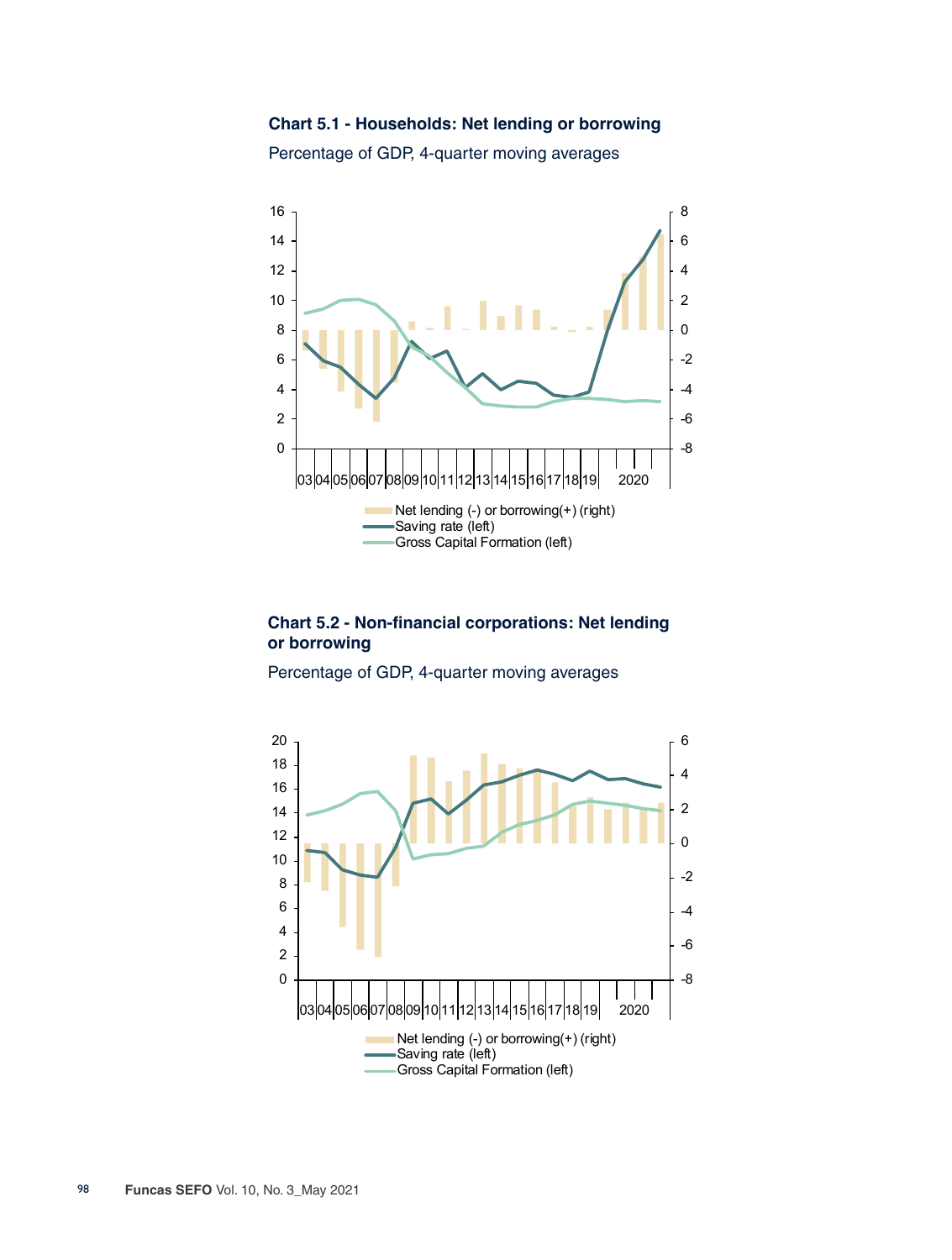**Chart 5.1 - Households: Net lending or borrowing**



Percentage of GDP, 4-quarter moving averages

#### **Chart 5.2 - Non-financial corporations: Net lending or borrowing**

Percentage of GDP, 4-quarter moving averages

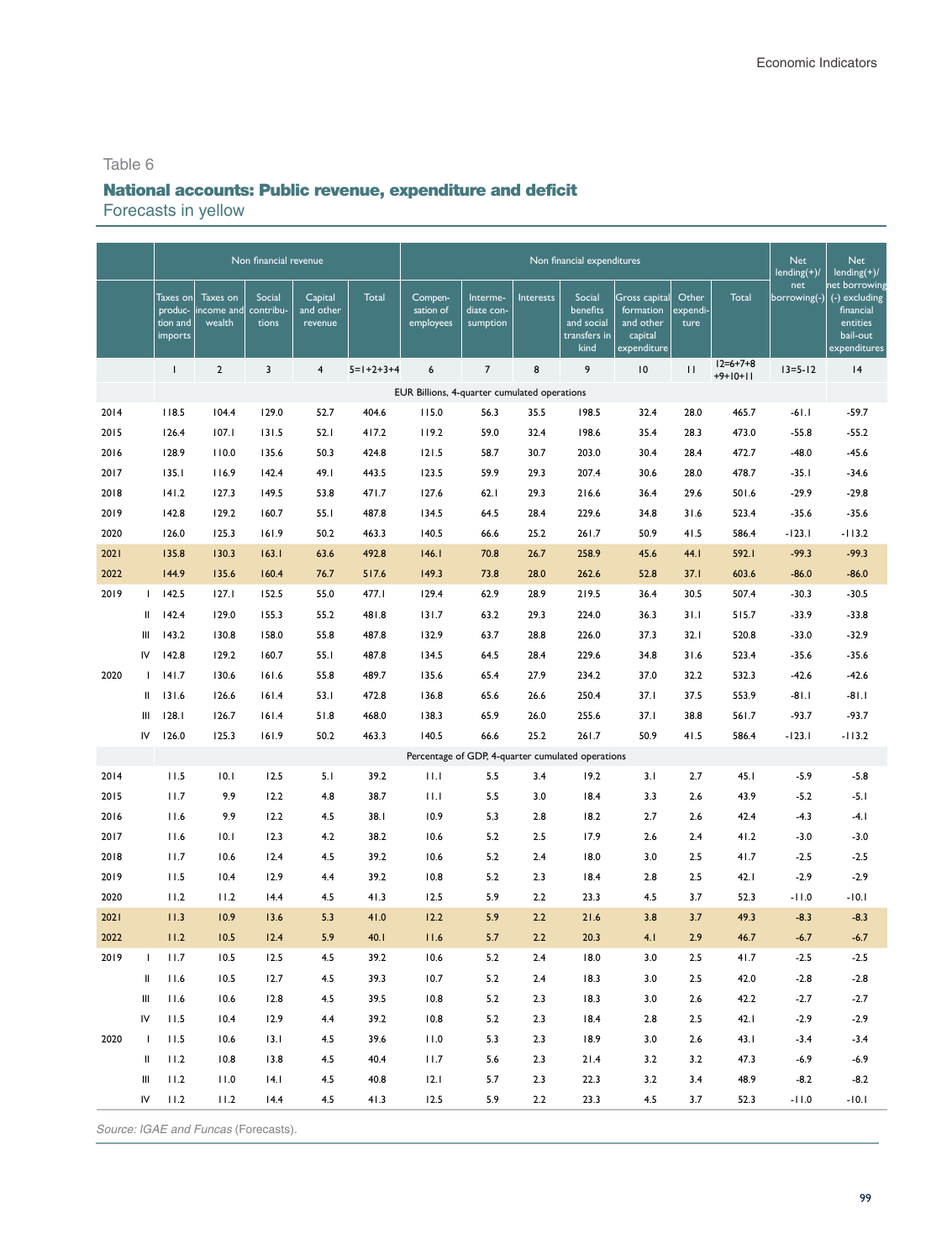# National accounts: Public revenue, expenditure and deficit Forecasts in yellow

|      |              |                                            |                                  | Non financial revenue        |                                 |                     |                                                   |                                    |           | Non financial expenditures                               |                                                                   |                           |                          | <b>Net</b><br>$lending(+)/$ | <b>Net</b><br>lending $(\overline{+)}/$                                             |
|------|--------------|--------------------------------------------|----------------------------------|------------------------------|---------------------------------|---------------------|---------------------------------------------------|------------------------------------|-----------|----------------------------------------------------------|-------------------------------------------------------------------|---------------------------|--------------------------|-----------------------------|-------------------------------------------------------------------------------------|
|      |              | Taxes on<br>produc-<br>tion and<br>imports | Taxes on<br>income and<br>wealth | Social<br>contribu-<br>tions | Capital<br>and other<br>revenue | Total               | Compen-<br>sation of<br>employees                 | Interme-<br>diate con-<br>sumption | Interests | Social<br>benefits<br>and social<br>transfers in<br>kind | Gross capital<br>formation<br>and other<br>capital<br>expenditure | Other<br>expendi-<br>ture | Total                    | net<br>borrowing(-)         | net borrowing<br>(-) excluding<br>financial<br>entities<br>bail-out<br>expenditures |
|      |              | $\mathbf{I}$                               | $\overline{2}$                   | 3                            | $\overline{\mathbf{4}}$         | $5 = 1 + 2 + 3 + 4$ | 6                                                 | $\overline{7}$                     | 8         | 9                                                        | 10                                                                | $\mathbf{H}$              | $12=6+7+8$<br>$+9+10+11$ | $13 = 5 - 12$               | 4                                                                                   |
|      |              |                                            |                                  |                              |                                 |                     | EUR Billions, 4-quarter cumulated operations      |                                    |           |                                                          |                                                                   |                           |                          |                             |                                                                                     |
| 2014 |              | 118.5                                      | 104.4                            | 129.0                        | 52.7                            | 404.6               | 115.0                                             | 56.3                               | 35.5      | 198.5                                                    | 32.4                                                              | 28.0                      | 465.7                    | $-61.1$                     | $-59.7$                                                                             |
| 2015 |              | 126.4                                      | 107.1                            | 131.5                        | 52.1                            | 417.2               | 119.2                                             | 59.0                               | 32.4      | 198.6                                                    | 35.4                                                              | 28.3                      | 473.0                    | $-55.8$                     | $-55.2$                                                                             |
| 2016 |              | 128.9                                      | 110.0                            | 135.6                        | 50.3                            | 424.8               | 121.5                                             | 58.7                               | 30.7      | 203.0                                                    | 30.4                                                              | 28.4                      | 472.7                    | $-48.0$                     | $-45.6$                                                                             |
| 2017 |              | 135.1                                      | 116.9                            | 142.4                        | 49.I                            | 443.5               | 123.5                                             | 59.9                               | 29.3      | 207.4                                                    | 30.6                                                              | 28.0                      | 478.7                    | $-35.1$                     | $-34.6$                                                                             |
| 2018 |              | 141.2                                      | 127.3                            | 149.5                        | 53.8                            | 471.7               | 127.6                                             | 62.1                               | 29.3      | 216.6                                                    | 36.4                                                              | 29.6                      | 501.6                    | $-29.9$                     | $-29.8$                                                                             |
| 2019 |              | 142.8                                      | 129.2                            | 160.7                        | 55.1                            | 487.8               | 134.5                                             | 64.5                               | 28.4      | 229.6                                                    | 34.8                                                              | 31.6                      | 523.4                    | $-35.6$                     | $-35.6$                                                                             |
| 2020 |              | 126.0                                      | 125.3                            | 161.9                        | 50.2                            | 463.3               | 140.5                                             | 66.6                               | 25.2      | 261.7                                                    | 50.9                                                              | 41.5                      | 586.4                    | $-123.1$                    | $-113.2$                                                                            |
| 2021 |              | 135.8                                      | 130.3                            | 163.1                        | 63.6                            | 492.8               | 146.1                                             | 70.8                               | 26.7      | 258.9                                                    | 45.6                                                              | 44.I                      | 592.I                    | $-99.3$                     | $-99.3$                                                                             |
| 2022 |              | 144.9                                      | 135.6                            | 160.4                        | 76.7                            | 517.6               | 149.3                                             | 73.8                               | 28.0      | 262.6                                                    | 52.8                                                              | 37.1                      | 603.6                    | $-86.0$                     | $-86.0$                                                                             |
| 2019 | $\mathbf{L}$ | 142.5                                      | 127.1                            | 152.5                        | 55.0                            | 477.I               | 129.4                                             | 62.9                               | 28.9      | 219.5                                                    | 36.4                                                              | 30.5                      | 507.4                    | $-30.3$                     | $-30.5$                                                                             |
|      | Ш            | 142.4                                      | 129.0                            | 155.3                        | 55.2                            | 481.8               | 131.7                                             | 63.2                               | 29.3      | 224.0                                                    | 36.3                                                              | 31.1                      | 515.7                    | $-33.9$                     | $-33.8$                                                                             |
|      | Ш            | 143.2                                      | 130.8                            | 158.0                        | 55.8                            | 487.8               | 132.9                                             | 63.7                               | 28.8      | 226.0                                                    | 37.3                                                              | 32.1                      | 520.8                    | $-33.0$                     | $-32.9$                                                                             |
|      | IV           | 142.8                                      | 129.2                            | 160.7                        | 55.1                            | 487.8               | 134.5                                             | 64.5                               | 28.4      | 229.6                                                    | 34.8                                                              | 31.6                      | 523.4                    | $-35.6$                     | $-35.6$                                                                             |
| 2020 | $\mathbf{I}$ | 141.7                                      | 130.6                            | 161.6                        | 55.8                            | 489.7               | 135.6                                             | 65.4                               | 27.9      | 234.2                                                    | 37.0                                                              | 32.2                      | 532.3                    | $-42.6$                     | $-42.6$                                                                             |
|      | $\mathbf{I}$ | 131.6                                      | 126.6                            | 161.4                        | 53.1                            | 472.8               | 136.8                                             | 65.6                               | 26.6      | 250.4                                                    | 37.1                                                              | 37.5                      | 553.9                    | $-81.1$                     | $-81.1$                                                                             |
|      | Ш            | 128.1                                      | 126.7                            | 161.4                        | 51.8                            | 468.0               | 138.3                                             | 65.9                               | 26.0      | 255.6                                                    | 37.1                                                              | 38.8                      | 561.7                    | $-93.7$                     | $-93.7$                                                                             |
|      | IV           | 126.0                                      | 125.3                            | 161.9                        | 50.2                            | 463.3               | 140.5                                             | 66.6                               | 25.2      | 261.7                                                    | 50.9                                                              | 41.5                      | 586.4                    | $-123.1$                    | $-113.2$                                                                            |
|      |              |                                            |                                  |                              |                                 |                     | Percentage of GDP, 4-quarter cumulated operations |                                    |           |                                                          |                                                                   |                           |                          |                             |                                                                                     |
| 2014 |              | 11.5                                       | 10.1                             | 12.5                         | 5.1                             | 39.2                | 11.1                                              | 5.5                                | 3.4       | 19.2                                                     | 3.1                                                               | 2.7                       | 45.I                     | $-5.9$                      | $-5.8$                                                                              |
| 2015 |              | 11.7                                       | 9.9                              | 12.2                         | 4.8                             | 38.7                | 11.1                                              | 5.5                                | 3.0       | 18.4                                                     | 3.3                                                               | 2.6                       | 43.9                     | $-5.2$                      | $-5.1$                                                                              |
| 2016 |              | 11.6                                       | 9.9                              | 12.2                         | 4.5                             | 38.1                | 10.9                                              | 5.3                                | 2.8       | 18.2                                                     | 2.7                                                               | 2.6                       | 42.4                     | $-4.3$                      | -4. I                                                                               |
| 2017 |              | 11.6                                       | 10.1                             | 12.3                         | 4.2                             | 38.2                | 10.6                                              | 5.2                                | 2.5       | 17.9                                                     | 2.6                                                               | 2.4                       | 41.2                     | $-3.0$                      | $-3.0$                                                                              |
| 2018 |              | 11.7                                       | 10.6                             | 12.4                         | 4.5                             | 39.2                | 10.6                                              | 5.2                                | 2.4       | 18.0                                                     | 3.0                                                               | 2.5                       | 41.7                     | $-2.5$                      | $-2.5$                                                                              |
| 2019 |              | 11.5                                       | 10.4                             | 12.9                         | 4.4                             | 39.2                | 10.8                                              | 5.2                                | 2.3       | 18.4                                                     | 2.8                                                               | 2.5                       | 42.1                     | $-2.9$                      | $-2.9$                                                                              |
| 2020 |              | 11.2                                       | 11.2                             | 14.4                         | 4.5                             | 41.3                | 12.5                                              | 5.9                                | 2.2       | 23.3                                                     | 4.5                                                               | 3.7                       | 52.3                     | $-11.0$                     | $-10.1$                                                                             |
| 2021 |              | 11.3                                       | 10.9                             | 13.6                         | 5.3                             | 41.0                | 12.2                                              | 5.9                                | 2.2       | 21.6                                                     | 3.8                                                               | 3.7                       | 49.3                     | $-8.3$                      | $-8.3$                                                                              |
| 2022 |              | 11.2                                       | 10.5                             | 12.4                         | 5.9                             | 40.1                | 11.6                                              | 5.7                                | 2.2       | 20.3                                                     | 4.1                                                               | 2.9                       | 46.7                     | $-6.7$                      | $-6.7$                                                                              |
| 2019 | <sup>1</sup> | 11.7                                       | 10.5                             | 12.5                         | 4.5                             | 39.2                | 10.6                                              | 5.2                                | 2.4       | 18.0                                                     | 3.0                                                               | 2.5                       | 41.7                     | $-2.5$                      | $-2.5$                                                                              |
|      | Ш            | 11.6                                       | 10.5                             | 12.7                         | 4.5                             | 39.3                | 10.7                                              | 5.2                                | 2.4       | 18.3                                                     | 3.0                                                               | 2.5                       | 42.0                     | $-2.8$                      | $-2.8$                                                                              |
|      | Ш            | 11.6                                       | 10.6                             | 12.8                         | 4.5                             | 39.5                | 10.8                                              | 5.2                                | 2.3       | 18.3                                                     | 3.0                                                               | 2.6                       | 42.2                     | $-2.7$                      | $-2.7$                                                                              |
|      | IV           | 11.5                                       | 10.4                             | 12.9                         | 4.4                             | 39.2                | 10.8                                              | 5.2                                | 2.3       | 18.4                                                     | $2.8\,$                                                           | 2.5                       | 42.1                     | $-2.9$                      | $-2.9$                                                                              |
| 2020 | $\mathbf{I}$ | 11.5                                       | 10.6                             | 13.1                         | 4.5                             | 39.6                | 11.0                                              | 5.3                                | 2.3       | 18.9                                                     | 3.0                                                               | 2.6                       | 43.1                     | $-3.4$                      | $-3.4$                                                                              |
|      | Ш            | 11.2                                       | 10.8                             | 13.8                         | 4.5                             | 40.4                | 11.7                                              | 5.6                                | 2.3       | $21.4$                                                   | 3.2                                                               | 3.2                       | 47.3                     | $-6.9$                      | $-6.9$                                                                              |
|      | Ш            | 11.2                                       | 11.0                             | 4.1                          | 4.5                             | 40.8                | 12.1                                              | 5.7                                | 2.3       | 22.3                                                     | 3.2                                                               | 3.4                       | 48.9                     | $-8.2$                      | $-8.2$                                                                              |
|      | IV           | 11.2                                       | 11.2                             | 14.4                         | 4.5                             | 41.3                | 12.5                                              | 5.9                                | 2.2       | 23.3                                                     | 4.5                                                               | 3.7                       | 52.3                     | $-11.0$                     | $-10.1$                                                                             |

Source: IGAE *and Funcas* (Forecasts).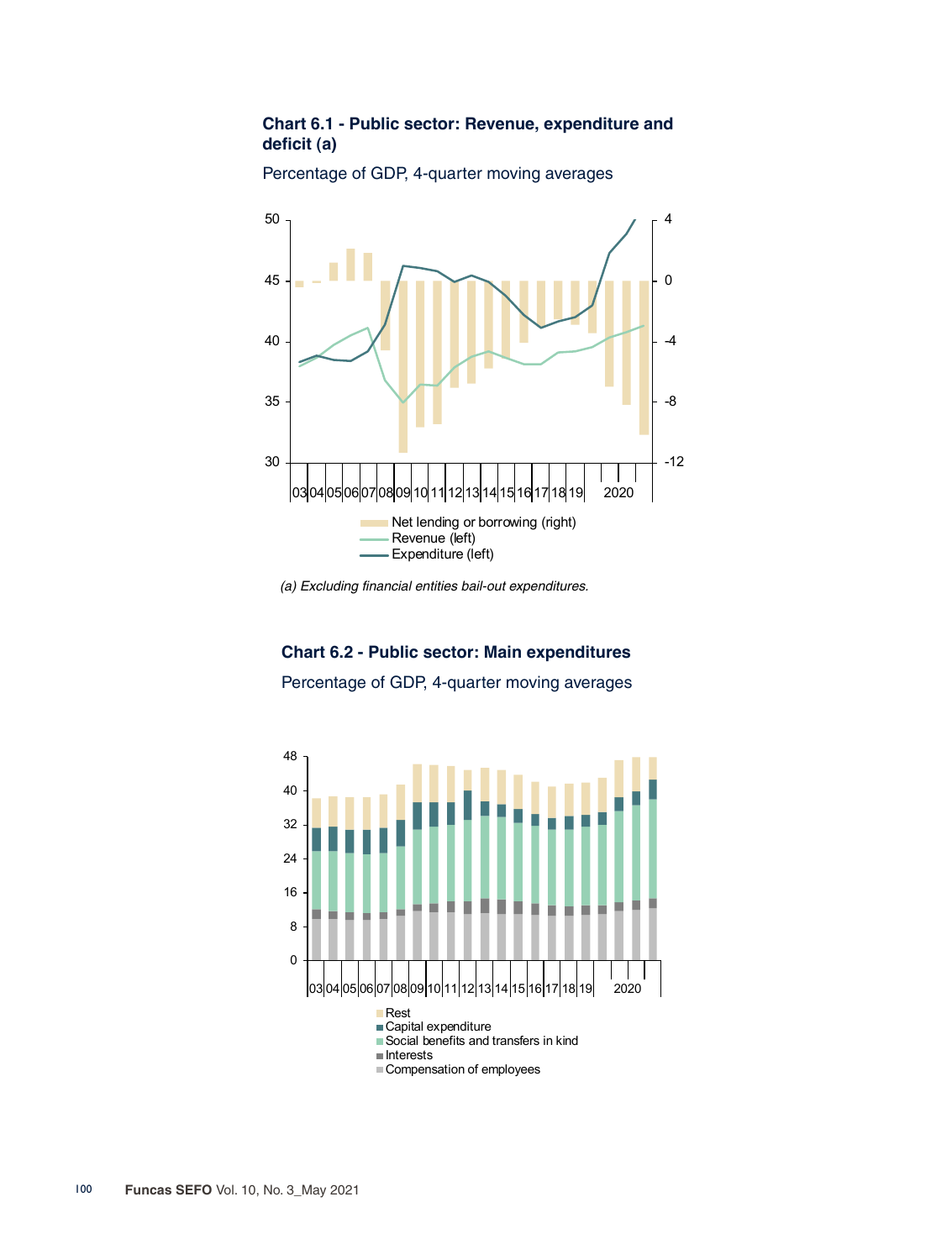## **Chart 6.1 - Public sector: Revenue, expenditure and deficit (a)**



Percentage of GDP, 4-quarter moving averages

*(a) Excluding financial entities bail-out expenditures.*

# **Chart 6.2 - Public sector: Main expenditures**

Percentage of GDP, 4-quarter moving averages

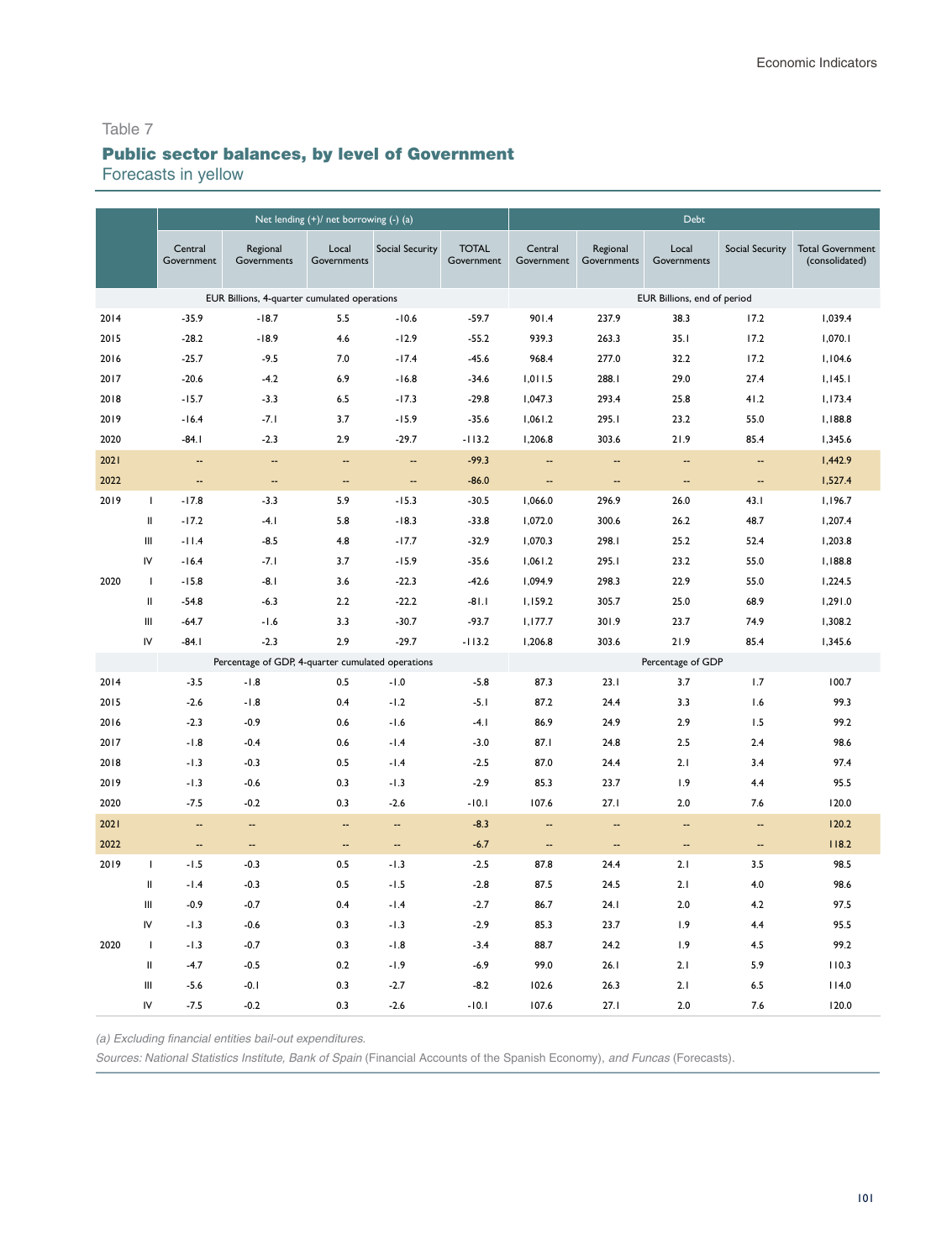# Table 7 Public sector balances, by level of Government

Forecasts in yellow

|      |                                                                                                                                  |                          |                                                   | Net lending (+)/ net borrowing (-) (a) |                          |                            |                          |                          | <b>Debt</b>                 |                          |                                           |
|------|----------------------------------------------------------------------------------------------------------------------------------|--------------------------|---------------------------------------------------|----------------------------------------|--------------------------|----------------------------|--------------------------|--------------------------|-----------------------------|--------------------------|-------------------------------------------|
|      |                                                                                                                                  | Central<br>Government    | Regional<br>Governments                           | Local<br>Governments                   | <b>Social Security</b>   | <b>TOTAL</b><br>Government | Central<br>Government    | Regional<br>Governments  | Local<br>Governments        | <b>Social Security</b>   | <b>Total Government</b><br>(consolidated) |
|      |                                                                                                                                  |                          | EUR Billions, 4-quarter cumulated operations      |                                        |                          |                            |                          |                          | EUR Billions, end of period |                          |                                           |
| 2014 |                                                                                                                                  | $-35.9$                  | $-18.7$                                           | 5.5                                    | $-10.6$                  | $-59.7$                    | 901.4                    | 237.9                    | 38.3                        | 17.2                     | 1,039.4                                   |
| 2015 |                                                                                                                                  | $-28.2$                  | $-18.9$                                           | 4.6                                    | $-12.9$                  | $-55.2$                    | 939.3                    | 263.3                    | 35.1                        | 17.2                     | 1,070.1                                   |
| 2016 |                                                                                                                                  | $-25.7$                  | $-9.5$                                            | 7.0                                    | $-17.4$                  | $-45.6$                    | 968.4                    | 277.0                    | 32.2                        | 17.2                     | 1,104.6                                   |
| 2017 |                                                                                                                                  | $-20.6$                  | $-4.2$                                            | 6.9                                    | $-16.8$                  | $-34.6$                    | 1,011.5                  | 288.I                    | 29.0                        | 27.4                     | 1,145.1                                   |
| 2018 |                                                                                                                                  | $-15.7$                  | $-3.3$                                            | 6.5                                    | $-17.3$                  | $-29.8$                    | 1,047.3                  | 293.4                    | 25.8                        | 41.2                     | 1,173.4                                   |
| 2019 |                                                                                                                                  | $-16.4$                  | $-7.1$                                            | 3.7                                    | $-15.9$                  | $-35.6$                    | 1,061.2                  | 295.I                    | 23.2                        | 55.0                     | 1,188.8                                   |
| 2020 |                                                                                                                                  | $-84.1$                  | $-2.3$                                            | 2.9                                    | $-29.7$                  | $-113.2$                   | 1,206.8                  | 303.6                    | 21.9                        | 85.4                     | 1,345.6                                   |
| 2021 |                                                                                                                                  | $\overline{\phantom{a}}$ | $\overline{\phantom{a}}$                          | --                                     | $\overline{\phantom{a}}$ | $-99.3$                    | $\overline{\phantom{a}}$ | $\overline{\phantom{a}}$ | $\overline{\phantom{a}}$    | $\overline{\phantom{a}}$ | 1,442.9                                   |
| 2022 |                                                                                                                                  | $\overline{\phantom{a}}$ | 4                                                 | $\overline{\phantom{a}}$               | $\overline{\phantom{a}}$ | $-86.0$                    | --                       | --                       | $\overline{\phantom{a}}$    | н,                       | 1,527.4                                   |
| 2019 | $\mathbf{I}$                                                                                                                     | $-17.8$                  | $-3.3$                                            | 5.9                                    | $-15.3$                  | $-30.5$                    | 1,066.0                  | 296.9                    | 26.0                        | 43.1                     | 1,196.7                                   |
|      | Ш                                                                                                                                | $-17.2$                  | $-4.1$                                            | 5.8                                    | $-18.3$                  | $-33.8$                    | 1,072.0                  | 300.6                    | 26.2                        | 48.7                     | 1,207.4                                   |
|      | Ш                                                                                                                                | $-11.4$                  | $-8.5$                                            | 4.8                                    | $-17.7$                  | $-32.9$                    | 1,070.3                  | 298.I                    | 25.2                        | 52.4                     | 1,203.8                                   |
|      | IV                                                                                                                               | $-16.4$                  | $-7.1$                                            | 3.7                                    | $-15.9$                  | $-35.6$                    | 1,061.2                  | 295.1                    | 23.2                        | 55.0                     | 1,188.8                                   |
| 2020 | Τ.                                                                                                                               | $-15.8$                  | $-8.1$                                            | 3.6                                    | $-22.3$                  | $-42.6$                    | 1,094.9                  | 298.3                    | 22.9                        | 55.0                     | 1,224.5                                   |
|      | Ш                                                                                                                                | $-54.8$                  | $-6.3$                                            | 2.2                                    | $-22.2$                  | $-81.1$                    | 1,159.2                  | 305.7                    | 25.0                        | 68.9                     | 1,291.0                                   |
|      | Ш                                                                                                                                | $-64.7$                  | $-1.6$                                            | 3.3                                    | $-30.7$                  | $-93.7$                    | 1,177.7                  | 301.9                    | 23.7                        | 74.9                     | 1,308.2                                   |
|      | IV                                                                                                                               | $-84.1$                  | $-2.3$                                            | 2.9                                    | $-29.7$                  | $-113.2$                   | 1,206.8                  | 303.6                    | 21.9                        | 85.4                     | 1,345.6                                   |
|      |                                                                                                                                  |                          | Percentage of GDP, 4-quarter cumulated operations |                                        |                          |                            |                          |                          | Percentage of GDP           |                          |                                           |
| 2014 |                                                                                                                                  | $-3.5$                   | $-1.8$                                            | 0.5                                    | $-1.0$                   | $-5.8$                     | 87.3                     | 23.1                     | 3.7                         | 1.7                      | 100.7                                     |
| 2015 |                                                                                                                                  | $-2.6$                   | $-1.8$                                            | 0.4                                    | $-1.2$                   | $-5.1$                     | 87.2                     | 24.4                     | 3.3                         | 1.6                      | 99.3                                      |
| 2016 |                                                                                                                                  | $-2.3$                   | $-0.9$                                            | 0.6                                    | $-1.6$                   | $-4.1$                     | 86.9                     | 24.9                     | 2.9                         | 1.5                      | 99.2                                      |
| 2017 |                                                                                                                                  | $-1.8$                   | $-0.4$                                            | 0.6                                    | $-1.4$                   | $-3.0$                     | 87.I                     | 24.8                     | 2.5                         | 2.4                      | 98.6                                      |
| 2018 |                                                                                                                                  | $-1.3$                   | $-0.3$                                            | 0.5                                    | $-1.4$                   | $-2.5$                     | 87.0                     | 24.4                     | 2.1                         | 3.4                      | 97.4                                      |
| 2019 |                                                                                                                                  | $-1.3$                   | $-0.6$                                            | 0.3                                    | $-1.3$                   | $-2.9$                     | 85.3                     | 23.7                     | 1.9                         | 4.4                      | 95.5                                      |
| 2020 |                                                                                                                                  | $-7.5$                   | $-0.2$                                            | 0.3                                    | $-2.6$                   | $-10.1$                    | 107.6                    | 27.1                     | 2.0                         | 7.6                      | 120.0                                     |
| 2021 |                                                                                                                                  |                          | н.                                                | Ξ.                                     | --                       | $-8.3$                     | --                       | ц,                       | Ξ.                          | --                       | 120.2                                     |
| 2022 |                                                                                                                                  | $\overline{\phantom{a}}$ | н.                                                | $\overline{\phantom{a}}$               | $\overline{\phantom{a}}$ | $-6.7$                     | $\overline{\phantom{a}}$ | --                       | $\overline{\phantom{a}}$    | $\overline{\phantom{a}}$ | 118.2                                     |
| 2019 | $\mathbf{I}$                                                                                                                     | $-1.5$                   | $-0.3$                                            | 0.5                                    | $-1.3$                   | $-2.5$                     | 87.8                     | 24.4                     | 2.1                         | 3.5                      | 98.5                                      |
|      | $\mathop{  }% \text{log}(p_{\theta} \mathcal{M})=\mathop{  }\sum_{i=1}^{n}p_{\theta}^{i}\mathop{  }\sum_{j=1}^{n}p_{\theta}^{i}$ | $-1.4$                   | $-0.3$                                            | 0.5                                    | $-1.5$                   | $-2.8$                     | 87.5                     | 24.5                     | 2.1                         | 4.0                      | 98.6                                      |
|      | Ш                                                                                                                                | $-0.9$                   | $-0.7$                                            | 0.4                                    | $-1.4$                   | $-2.7$                     | 86.7                     | 24.1                     | 2.0                         | 4.2                      | 97.5                                      |
|      | IV                                                                                                                               | $-1.3$                   | $-0.6$                                            | 0.3                                    | $-1.3$                   | $-2.9$                     | 85.3                     | 23.7                     | 1.9                         | 4.4                      | 95.5                                      |
| 2020 | -1                                                                                                                               | $-1.3$                   | $-0.7$                                            | 0.3                                    | $-1.8$                   | $-3.4$                     | 88.7                     | 24.2                     | 1.9                         | 4.5                      | 99.2                                      |
|      | Ш                                                                                                                                | $-4.7$                   | $-0.5$                                            | 0.2                                    | $-1.9$                   | $-6.9$                     | 99.0                     | 26.1                     | 2.1                         | 5.9                      | 110.3                                     |
|      | Ш                                                                                                                                | $-5.6$                   | $-0.1$                                            | 0.3                                    | $-2.7$                   | $-8.2$                     | 102.6                    | 26.3                     | 2.1                         | 6.5                      | 114.0                                     |
|      | IV                                                                                                                               | $-7.5$                   | $-0.2$                                            | 0.3                                    | $-2.6$                   | $-10.1$                    | 107.6                    | 27.1                     | 2.0                         | 7.6                      | 120.0                                     |

*(a) Excluding financial entities bail-out expenditures.*

*Sources: National Statistics Institute, Bank of Spain* (Financial Accounts of the Spanish Economy), *and* Funcas (Forecasts).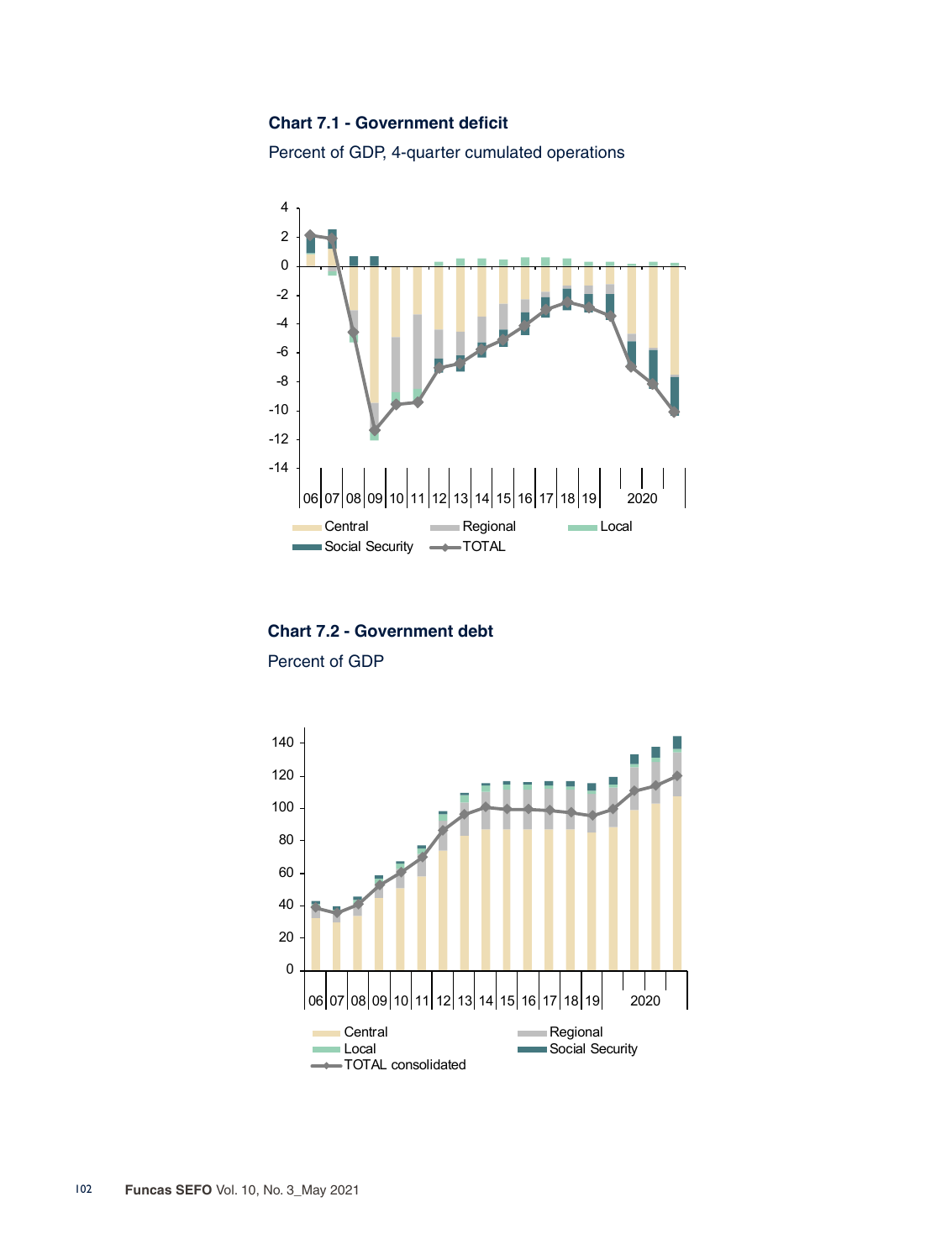#### **Chart 7.1 - Government deficit**

Percent of GDP, 4-quarter cumulated operations



**Chart 7.2 - Government debt**

Percent of GDP

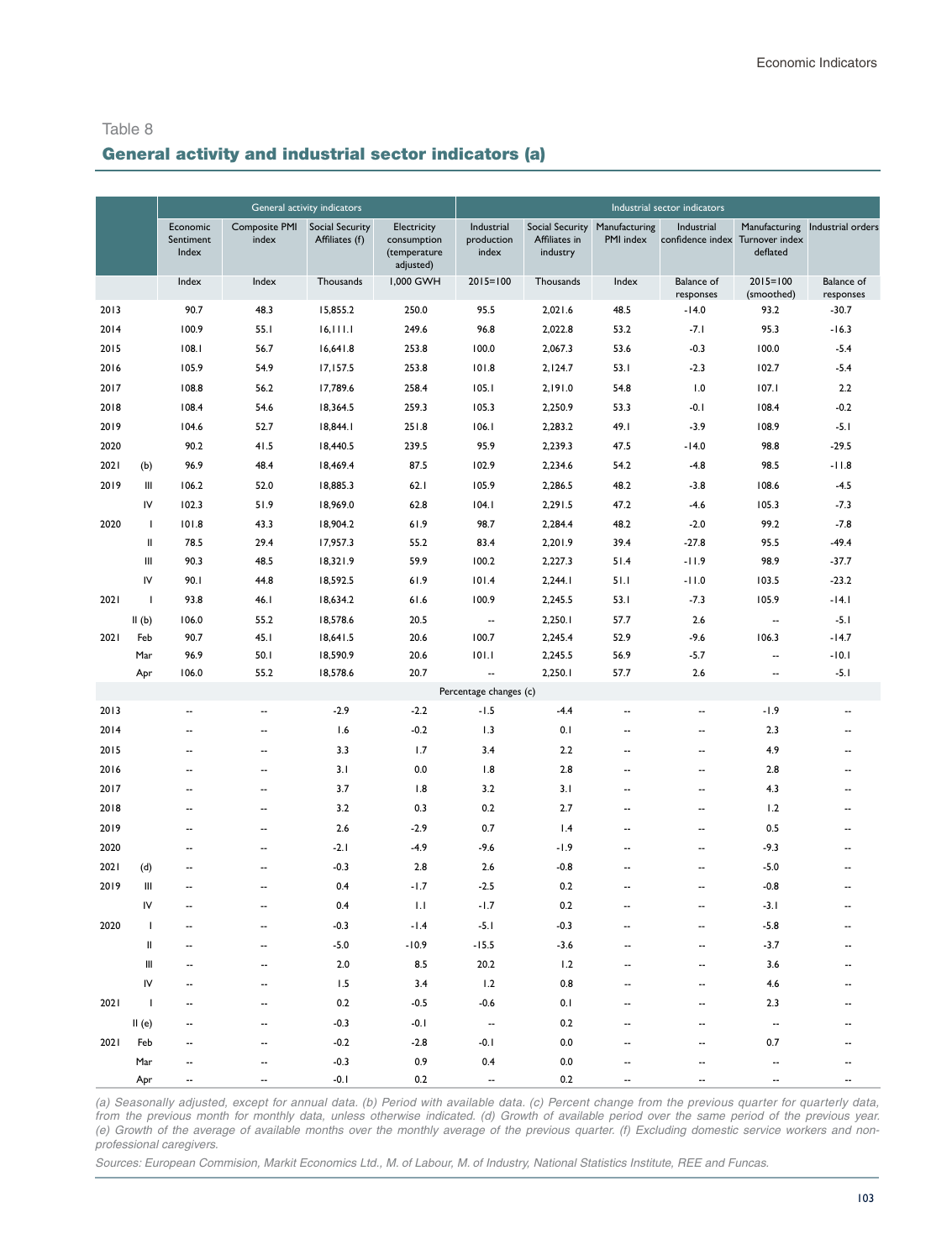#### General activity and industrial sector indicators (a)

|      |                          |                                |                               | General activity indicators              |                                                         |                                   |                           |                                            | Industrial sector indicators                  |                            |                                |
|------|--------------------------|--------------------------------|-------------------------------|------------------------------------------|---------------------------------------------------------|-----------------------------------|---------------------------|--------------------------------------------|-----------------------------------------------|----------------------------|--------------------------------|
|      |                          | Economic<br>Sentiment<br>Index | <b>Composite PMI</b><br>index | <b>Social Security</b><br>Affiliates (f) | Electricity<br>consumption<br>(temperature<br>adjusted) | Industrial<br>production<br>index | Affiliates in<br>industry | Social Security Manufacturing<br>PMI index | Industrial<br>confidence index Turnover index | Manufacturing<br>deflated  | Industrial orders              |
|      |                          | Index                          | Index                         | Thousands                                | 1,000 GWH                                               | $2015 = 100$                      | Thousands                 | Index                                      | <b>Balance</b> of<br>responses                | $2015 = 100$<br>(smoothed) | <b>Balance of</b><br>responses |
| 2013 |                          | 90.7                           | 48.3                          | 15,855.2                                 | 250.0                                                   | 95.5                              | 2,021.6                   | 48.5                                       | $-14.0$                                       | 93.2                       | $-30.7$                        |
| 2014 |                          | 100.9                          | 55.1                          | 16, 111.1                                | 249.6                                                   | 96.8                              | 2,022.8                   | 53.2                                       | $-7.1$                                        | 95.3                       | $-16.3$                        |
| 2015 |                          | 108.1                          | 56.7                          | 16,641.8                                 | 253.8                                                   | 100.0                             | 2,067.3                   | 53.6                                       | $-0.3$                                        | 100.0                      | $-5.4$                         |
| 2016 |                          | 105.9                          | 54.9                          | 17,157.5                                 | 253.8                                                   | 101.8                             | 2,124.7                   | 53.1                                       | $-2.3$                                        | 102.7                      | $-5.4$                         |
| 2017 |                          | 108.8                          | 56.2                          | 17,789.6                                 | 258.4                                                   | 105.1                             | 2,191.0                   | 54.8                                       | 1.0                                           | 107.1                      | 2.2                            |
| 2018 |                          | 108.4                          | 54.6                          | 18,364.5                                 | 259.3                                                   | 105.3                             | 2,250.9                   | 53.3                                       | $-0.1$                                        | 108.4                      | $-0.2$                         |
| 2019 |                          | 104.6                          | 52.7                          | 18,844.1                                 | 251.8                                                   | 106.1                             | 2,283.2                   | 49.I                                       | $-3.9$                                        | 108.9                      | $-5.1$                         |
| 2020 |                          | 90.2                           | 41.5                          | 18,440.5                                 | 239.5                                                   | 95.9                              | 2,239.3                   | 47.5                                       | $-14.0$                                       | 98.8                       | $-29.5$                        |
| 2021 | (b)                      | 96.9                           | 48.4                          | 18,469.4                                 | 87.5                                                    | 102.9                             | 2,234.6                   | 54.2                                       | $-4.8$                                        | 98.5                       | $-11.8$                        |
| 2019 | Ш                        | 106.2                          | 52.0                          | 18,885.3                                 | 62.1                                                    | 105.9                             | 2,286.5                   | 48.2                                       | $-3.8$                                        | 108.6                      | $-4.5$                         |
|      | I٧                       | 102.3                          | 51.9                          | 18,969.0                                 | 62.8                                                    | 104.1                             | 2,291.5                   | 47.2                                       | $-4.6$                                        | 105.3                      | $-7.3$                         |
| 2020 | T                        | 101.8                          | 43.3                          | 18,904.2                                 | 61.9                                                    | 98.7                              | 2,284.4                   | 48.2                                       | $-2.0$                                        | 99.2                       | $-7.8$                         |
|      | Ш                        | 78.5                           | 29.4                          | 17,957.3                                 | 55.2                                                    | 83.4                              | 2,201.9                   | 39.4                                       | $-27.8$                                       | 95.5                       | $-49.4$                        |
|      | Ш                        | 90.3                           | 48.5                          | 18,321.9                                 | 59.9                                                    | 100.2                             | 2,227.3                   | 51.4                                       | $-11.9$                                       | 98.9                       | $-37.7$                        |
|      | I٧                       | 90.I                           | 44.8                          | 18,592.5                                 | 61.9                                                    | 101.4                             | 2,244.1                   | 51.1                                       | $-11.0$                                       | 103.5                      | $-23.2$                        |
| 2021 | $\mathbf{I}$             | 93.8                           | 46.1                          | 18,634.2                                 | 61.6                                                    | 100.9                             | 2,245.5                   | 53.1                                       | $-7.3$                                        | 105.9                      | -14.1                          |
|      | II(b)                    | 106.0                          | 55.2                          | 18,578.6                                 | 20.5                                                    | $\cdots$                          | 2,250.1                   | 57.7                                       | 2.6                                           | $\overline{\phantom{a}}$   | $-5.1$                         |
| 2021 | Feb                      | 90.7                           | 45.1                          | 18,641.5                                 | 20.6                                                    | 100.7                             | 2,245.4                   | 52.9                                       | $-9.6$                                        | 106.3                      | $-14.7$                        |
|      | Mar                      | 96.9                           | 50.1                          | 18,590.9                                 | 20.6                                                    | 101.1                             | 2,245.5                   | 56.9                                       | $-5.7$                                        | --                         | $-10.1$                        |
|      | Apr                      | 106.0                          | 55.2                          | 18,578.6                                 | 20.7                                                    | $\overline{\phantom{a}}$          | 2,250.1                   | 57.7                                       | 2.6                                           | $\overline{\phantom{a}}$   | $-5.1$                         |
|      |                          |                                |                               |                                          |                                                         | Percentage changes (c)            |                           |                                            |                                               |                            |                                |
| 2013 |                          | $\overline{\phantom{a}}$       | $\overline{\phantom{a}}$      | $-2.9$                                   | $-2.2$                                                  | $-1.5$                            | $-4.4$                    | $\overline{\phantom{a}}$                   | $\overline{\phantom{a}}$                      | -1.9                       | $\overline{\phantom{a}}$       |
| 2014 |                          | --                             | --                            | 1.6                                      | $-0.2$                                                  | 1.3                               | 0.1                       | --                                         | --                                            | 2.3                        | $\overline{\phantom{a}}$       |
| 2015 |                          | --                             | --                            | 3.3                                      | 1.7                                                     | 3.4                               | 2.2                       | --                                         | --                                            | 4.9                        | $\overline{\phantom{a}}$       |
| 2016 |                          | $\overline{\phantom{a}}$       | $\overline{a}$                | 3.1                                      | 0.0                                                     | 1.8                               | 2.8                       | ٠.                                         | $\overline{\phantom{a}}$                      | 2.8                        | $\overline{\phantom{a}}$       |
| 2017 |                          | $\overline{\phantom{a}}$       | --                            | 3.7                                      | 1.8                                                     | 3.2                               | 3.1                       | ٠.                                         | $\overline{\phantom{a}}$                      | 4.3                        | $\overline{\phantom{a}}$       |
| 2018 |                          | $\overline{\phantom{a}}$       | --                            | 3.2                                      | 0.3                                                     | 0.2                               | 2.7                       | --                                         | --                                            | 1.2                        | $\overline{\phantom{a}}$       |
| 2019 |                          | --                             | --                            | 2.6                                      | $-2.9$                                                  | 0.7                               | 1.4                       | --                                         | --                                            | 0.5                        | $\overline{\phantom{a}}$       |
| 2020 |                          | $\overline{\phantom{a}}$       | $\overline{\phantom{a}}$      | $-2.1$                                   | $-4.9$                                                  | $-9.6$                            | $-1.9$                    | --                                         | $\overline{\phantom{a}}$                      | $-9.3$                     | $\overline{\phantom{a}}$       |
| 2021 | (d)                      | $\overline{\phantom{a}}$       | $\overline{\phantom{a}}$      | $-0.3$                                   | 2.8                                                     | 2.6                               | $-0.8$                    | --                                         | $\overline{\phantom{a}}$                      | $-5.0$                     | --                             |
| 2019 | Ш                        | --                             | --                            | 0.4                                      | $-1.7$                                                  | $-2.5$                            | 0.2                       | --                                         | --                                            | $-0.8$                     |                                |
|      | IV                       | $\overline{\phantom{a}}$       | ٠.                            | 0.4                                      | 1.1                                                     | $-1.7$                            | 0.2                       | --                                         | ٠.                                            | $-3.1$                     |                                |
| 2020 | $\mathbf{I}$             | $\overline{\phantom{a}}$       | $\overline{\phantom{a}}$      | $-0.3$                                   | $-1.4$                                                  | $-5.1$                            | $-0.3$                    | ٠.                                         | $\overline{\phantom{a}}$                      | $-5.8$                     | $\overline{\phantom{a}}$       |
|      | Ш                        |                                |                               | $-5.0$                                   | -10.9                                                   | $-15.5$                           | $-3.6$                    |                                            |                                               | $-3.7$                     |                                |
|      | Ш                        |                                |                               | $2.0$                                    | 8.5                                                     | 20.2                              | 1.2                       |                                            |                                               | 3.6                        |                                |
|      | IV                       |                                |                               | 1.5                                      | 3.4                                                     | 1.2                               | 0.8                       |                                            |                                               | 4.6                        |                                |
| 2021 | $\overline{\phantom{a}}$ |                                |                               | 0.2                                      | $-0.5$                                                  | $-0.6$                            | 0.1                       |                                            |                                               | 2.3                        |                                |
|      | II(e)                    |                                |                               | $-0.3$                                   | $-0.1$                                                  | $\overline{\phantom{a}}$          | 0.2                       |                                            |                                               | ۰.                         |                                |
| 2021 | Feb                      |                                |                               | $-0.2$                                   | $-2.8$                                                  | $-0.1$                            | 0.0                       |                                            |                                               | 0.7                        |                                |
|      | Mar                      |                                |                               | $-0.3$                                   | 0.9                                                     | 0.4                               | 0.0                       |                                            |                                               |                            |                                |
|      | Apr                      |                                |                               | $-0.1$                                   | 0.2                                                     | $\overline{\phantom{a}}$          | 0.2                       |                                            |                                               |                            |                                |

*(a) Seasonally adjusted, except for annual data. (b) Period with available data. (c) Percent change from the previous quarter for quarterly data, from the previous month for monthly data, unless otherwise indicated. (d) Growth of available period over the same period of the previous year. (e) Growth of the average of available months over the monthly average of the previous quarter. (f) Excluding domestic service workers and nonprofessional caregivers.*

Sources: European Commision, Markit Economics Ltd., M. of Labour, M. of Industry, National Statistics Institute, REE and Funcas.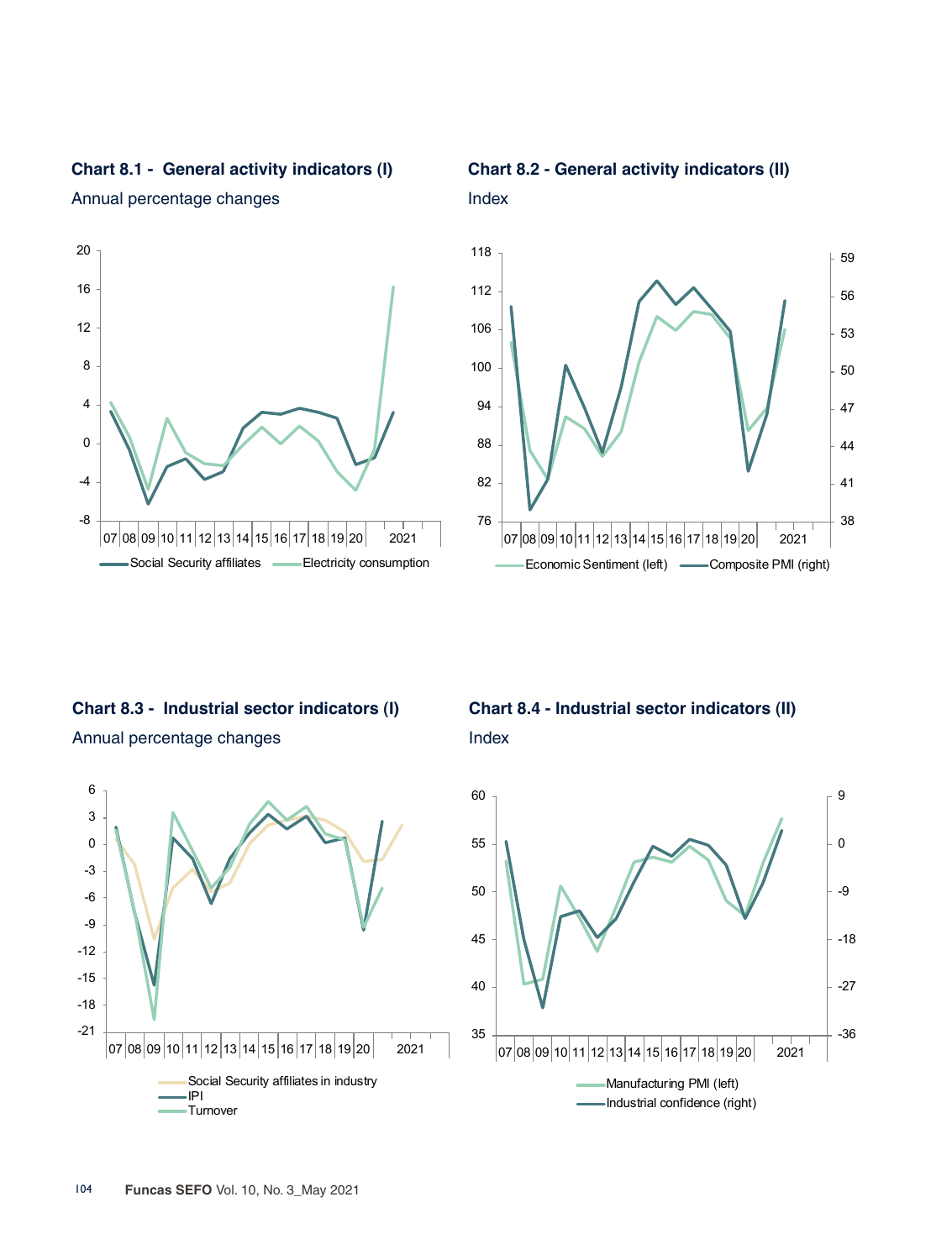

Annual percentage changes



**Chart 8.2 - General activity indicators (II)**

Index



**Chart 8.3 - Industrial sector indicators (I)** Annual percentage changes



**Chart 8.4 - Industrial sector indicators (II)** Index

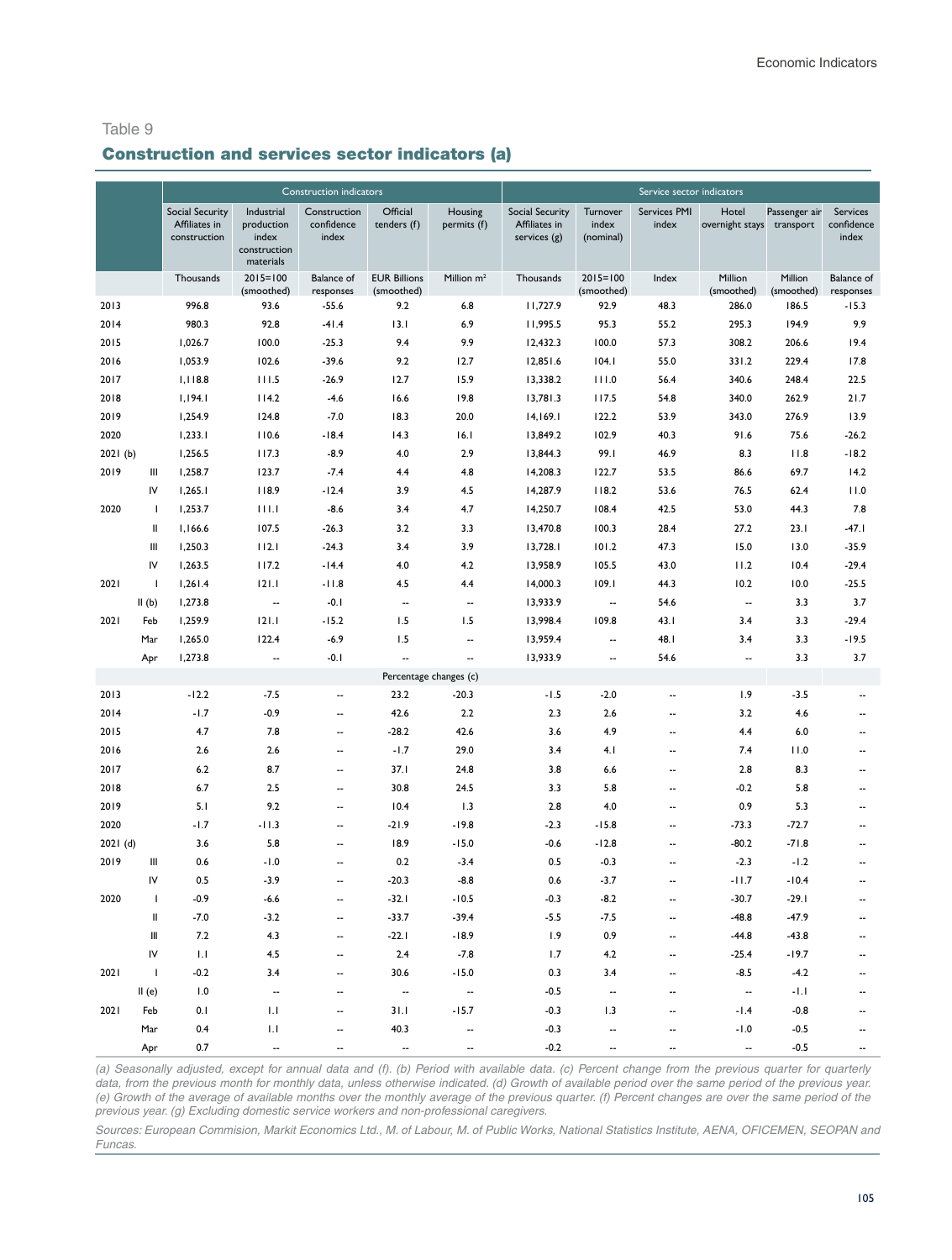#### Construction and services sector indicators (a)

|         |                          |                               |                                                  | <b>Construction indicators</b> |                                   |                          |                               |                            | Service sector indicators |                           |                       |                                |
|---------|--------------------------|-------------------------------|--------------------------------------------------|--------------------------------|-----------------------------------|--------------------------|-------------------------------|----------------------------|---------------------------|---------------------------|-----------------------|--------------------------------|
|         |                          | Social Security               | Industrial                                       | Construction                   | Official                          | Housing                  | <b>Social Security</b>        | Turnover                   | Services PMI              | Hotel                     | Passenger air         | Services                       |
|         |                          | Affiliates in<br>construction | production<br>index<br>construction<br>materials | confidence<br>index            | tenders (f)                       | permits (f)              | Affiliates in<br>services (g) | index<br>(nominal)         | index                     | overnight stays transport |                       | confidence<br>index            |
|         |                          | Thousands                     | $2015 = 100$<br>(smoothed)                       | <b>Balance</b> of<br>responses | <b>EUR Billions</b><br>(smoothed) | Million $m2$             | Thousands                     | $2015 = 100$<br>(smoothed) | Index                     | Million<br>(smoothed)     | Million<br>(smoothed) | <b>Balance</b> of<br>responses |
| 2013    |                          | 996.8                         | 93.6                                             | $-55.6$                        | 9.2                               | 6.8                      | 11,727.9                      | 92.9                       | 48.3                      | 286.0                     | 186.5                 | $-15.3$                        |
| 2014    |                          | 980.3                         | 92.8                                             | $-41.4$                        | 13.1                              | 6.9                      | 11,995.5                      | 95.3                       | 55.2                      | 295.3                     | 194.9                 | 9.9                            |
| 2015    |                          | 1,026.7                       | 100.0                                            | $-25.3$                        | 9.4                               | 9.9                      | 12,432.3                      | 100.0                      | 57.3                      | 308.2                     | 206.6                 | 19.4                           |
| 2016    |                          | 1,053.9                       | 102.6                                            | $-39.6$                        | 9.2                               | 12.7                     | 12,851.6                      | 104.1                      | 55.0                      | 331.2                     | 229.4                 | 17.8                           |
| 2017    |                          | 1,118.8                       | 111.5                                            | $-26.9$                        | 12.7                              | 15.9                     | 13,338.2                      | 111.0                      | 56.4                      | 340.6                     | 248.4                 | 22.5                           |
| 2018    |                          | 1,194.1                       | 114.2                                            | $-4.6$                         | 16.6                              | 19.8                     | 13,781.3                      | 117.5                      | 54.8                      | 340.0                     | 262.9                 | 21.7                           |
| 2019    |                          | 1,254.9                       | 124.8                                            | $-7.0$                         | 18.3                              | 20.0                     | 14,169.1                      | 122.2                      | 53.9                      | 343.0                     | 276.9                 | 13.9                           |
| 2020    |                          | 1,233.1                       | 110.6                                            | $-18.4$                        | 14.3                              | 16.1                     | 13,849.2                      | 102.9                      | 40.3                      | 91.6                      | 75.6                  | $-26.2$                        |
| 2021(b) |                          | 1,256.5                       | 117.3                                            | $-8.9$                         | 4.0                               | 2.9                      | 13,844.3                      | 99.1                       | 46.9                      | 8.3                       | 11.8                  | $-18.2$                        |
| 2019    | Ш                        | 1,258.7                       | 123.7                                            | $-7.4$                         | 4.4                               | 4.8                      | 14,208.3                      | 122.7                      | 53.5                      | 86.6                      | 69.7                  | 14.2                           |
|         | IV                       | 1,265.1                       | 118.9                                            | $-12.4$                        | 3.9                               | 4.5                      | 14,287.9                      | 118.2                      | 53.6                      | 76.5                      | 62.4                  | 11.0                           |
| 2020    | $\mathbf{I}$             | 1,253.7                       | 111.1                                            | $-8.6$                         | 3.4                               | 4.7                      | 14,250.7                      | 108.4                      | 42.5                      | 53.0                      | 44.3                  | 7.8                            |
|         | Ш                        | 1,166.6                       | 107.5                                            | $-26.3$                        | 3.2                               | 3.3                      | 13,470.8                      | 100.3                      | 28.4                      | 27.2                      | 23.1                  | $-47.1$                        |
|         | Ш                        | 1,250.3                       | 112.1                                            | $-24.3$                        | 3.4                               | 3.9                      | 13,728.1                      | 101.2                      | 47.3                      | 15.0                      | 13.0                  | $-35.9$                        |
|         | IV                       | 1,263.5                       | 117.2                                            | $-14.4$                        | 4.0                               | 4.2                      | 13,958.9                      | 105.5                      | 43.0                      | 11.2                      | 10.4                  | $-29.4$                        |
| 2021    | $\mathbf{I}$             | 1,261.4                       | 121.1                                            | $-11.8$                        | 4.5                               | 4.4                      | 14,000.3                      | 109.1                      | 44.3                      | 10.2                      | 10.0                  | $-25.5$                        |
|         | II(b)                    | 1,273.8                       | $\overline{\phantom{a}}$                         | $-0.1$                         | $\overline{\phantom{a}}$          | $\overline{\phantom{a}}$ | 13,933.9                      | --                         | 54.6                      | $\overline{\phantom{a}}$  | 3.3                   | 3.7                            |
| 2021    | Feb                      | 1,259.9                       | 121.1                                            | $-15.2$                        | 1.5                               | 1.5                      | 13,998.4                      | 109.8                      | 43.1                      | 3.4                       | 3.3                   | $-29.4$                        |
|         | Mar                      | 1,265.0                       | 122.4                                            | $-6.9$                         | 1.5                               | $\overline{\phantom{a}}$ | 13,959.4                      | --                         | 48.I                      | 3.4                       | 3.3                   | $-19.5$                        |
|         | Apr                      | 1,273.8                       | --                                               | $-0.1$                         | $\overline{\phantom{a}}$          | $\cdots$                 | 13,933.9                      | --                         | 54.6                      | $\overline{\phantom{a}}$  | 3.3                   | 3.7                            |
|         |                          |                               |                                                  |                                |                                   | Percentage changes (c)   |                               |                            |                           |                           |                       |                                |
| 2013    |                          | $-12.2$                       | $-7.5$                                           | ٠.                             | 23.2                              | $-20.3$                  | $-1.5$                        | $-2.0$                     | --                        | 1.9                       | $-3.5$                | $\overline{\phantom{a}}$       |
| 2014    |                          | $-1.7$                        | $-0.9$                                           | ۰.                             | 42.6                              | 2.2                      | 2.3                           | 2.6                        | ۰.                        | 3.2                       | 4.6                   | $\overline{\phantom{a}}$       |
| 2015    |                          | 4.7                           | 7.8                                              | --                             | $-28.2$                           | 42.6                     | 3.6                           | 4.9                        | --                        | 4.4                       | 6.0                   | $\overline{\phantom{a}}$       |
| 2016    |                          | 2.6                           | 2.6                                              | --                             | $-1.7$                            | 29.0                     | 3.4                           | 4.1                        | --                        | 7.4                       | 11.0                  | $\overline{\phantom{a}}$       |
| 2017    |                          | 6.2                           | 8.7                                              | --                             | 37.1                              | 24.8                     | 3.8                           | 6.6                        | --                        | 2.8                       | 8.3                   | $\overline{\phantom{a}}$       |
| 2018    |                          | 6.7                           | 2.5                                              | $\overline{\phantom{a}}$       | 30.8                              | 24.5                     | 3.3                           | 5.8                        | ۰.                        | $-0.2$                    | 5.8                   | $\overline{\phantom{a}}$       |
| 2019    |                          | 5.1                           | 9.2                                              | $\overline{\phantom{a}}$       | 10.4                              | 1.3                      | 2.8                           | 4.0                        | ۰.                        | 0.9                       | 5.3                   | $\overline{\phantom{a}}$       |
| 2020    |                          | $-1.7$                        | $-11.3$                                          | --                             | $-21.9$                           | $-19.8$                  | $-2.3$                        | $-15.8$                    | --                        | $-73.3$                   | $-72.7$               | $\overline{\phantom{a}}$       |
| 2021(d) |                          | 3.6                           | 5.8                                              | $\overline{\phantom{a}}$       | 18.9                              | $-15.0$                  | $-0.6$                        | $-12.8$                    | ۰.                        | $-80.2$                   | $-71.8$               | $\overline{\phantom{a}}$       |
| 2019    | Ш                        | 0.6                           | $-1.0$                                           | --                             | 0.2                               | $-3.4$                   | 0.5                           | $-0.3$                     | --                        | $-2.3$                    | $-1.2$                |                                |
|         | IV                       | 0.5                           | $-3.9$                                           | $\overline{\phantom{a}}$       | $-20.3$                           | $-8.8$                   | 0.6                           | $-3.7$                     | ۰.                        | $-11.7$                   | $-10.4$               | --                             |
| 2020    | $\overline{1}$           | $-0.9$                        | $-6.6$                                           | --                             | $-32.1$                           | $-10.5$                  | $-0.3$                        | $-8.2$                     | --                        | $-30.7$                   | $-29.1$               | --                             |
|         | Ш                        | $-7.0$                        | $-3.2$                                           | --                             | $-33.7$                           | $-39.4$                  | $-5.5$                        | $-7.5$                     | Ξ.                        | $-48.8$                   | $-47.9$               |                                |
|         | Ш                        | 7.2                           | 4.3                                              |                                | $-22.1$                           | $-18.9$                  | 1.9                           | 0.9                        |                           | $-44.8$                   | $-43.8$               |                                |
|         | IV                       | $1.1\,$                       | $4.5\,$                                          |                                | $2.4$                             | $-7.8$                   | 1.7                           | 4.2                        |                           | $-25.4$                   | $-19.7$               |                                |
| 2021    | $\overline{\phantom{0}}$ | $-0.2$                        | 3.4                                              | --                             | 30.6                              | $-15.0$                  | 0.3                           | 3.4                        |                           | $-8.5$                    | $-4.2$                |                                |
|         | II(e)                    | 1.0                           |                                                  | --                             | $\overline{\phantom{a}}$          | $\overline{\phantom{a}}$ | $-0.5$                        | --                         |                           | $\overline{\phantom{a}}$  | $-1.1$                |                                |
| 2021    | Feb                      | 0.1                           | 1.1                                              | --                             | 31.1                              | $-15.7$                  | $-0.3$                        | 1.3                        |                           | $-1.4$                    | $-0.8$                |                                |
|         | Mar                      | 0.4                           | $\mathsf{L}\mathsf{I}$                           |                                | 40.3                              | $\overline{\phantom{a}}$ | $-0.3$                        |                            |                           | $-1.0$                    | $-0.5$                |                                |
|         | Apr                      | 0.7                           |                                                  |                                | $\overline{\phantom{a}}$          |                          | $-0.2$                        |                            |                           | $\overline{\phantom{a}}$  | $-0.5$                |                                |

*(a) Seasonally adjusted, except for annual data and (f). (b) Period with available data. (c) Percent change from the previous quarter for quarterly*  data, from the previous month for monthly data, unless otherwise indicated. (d) Growth of available period over the same period of the previous year. *(e) Growth of the average of available months over the monthly average of the previous quarter. (f) Percent changes are over the same period of the previous year. (g) Excluding domestic service workers and non-professional caregivers.*

Sources: European Commision, Markit Economics Ltd., M. of Labour, M. of Public Works, National Statistics Institute, AENA, OFICEMEN, SEOPAN and Funcas.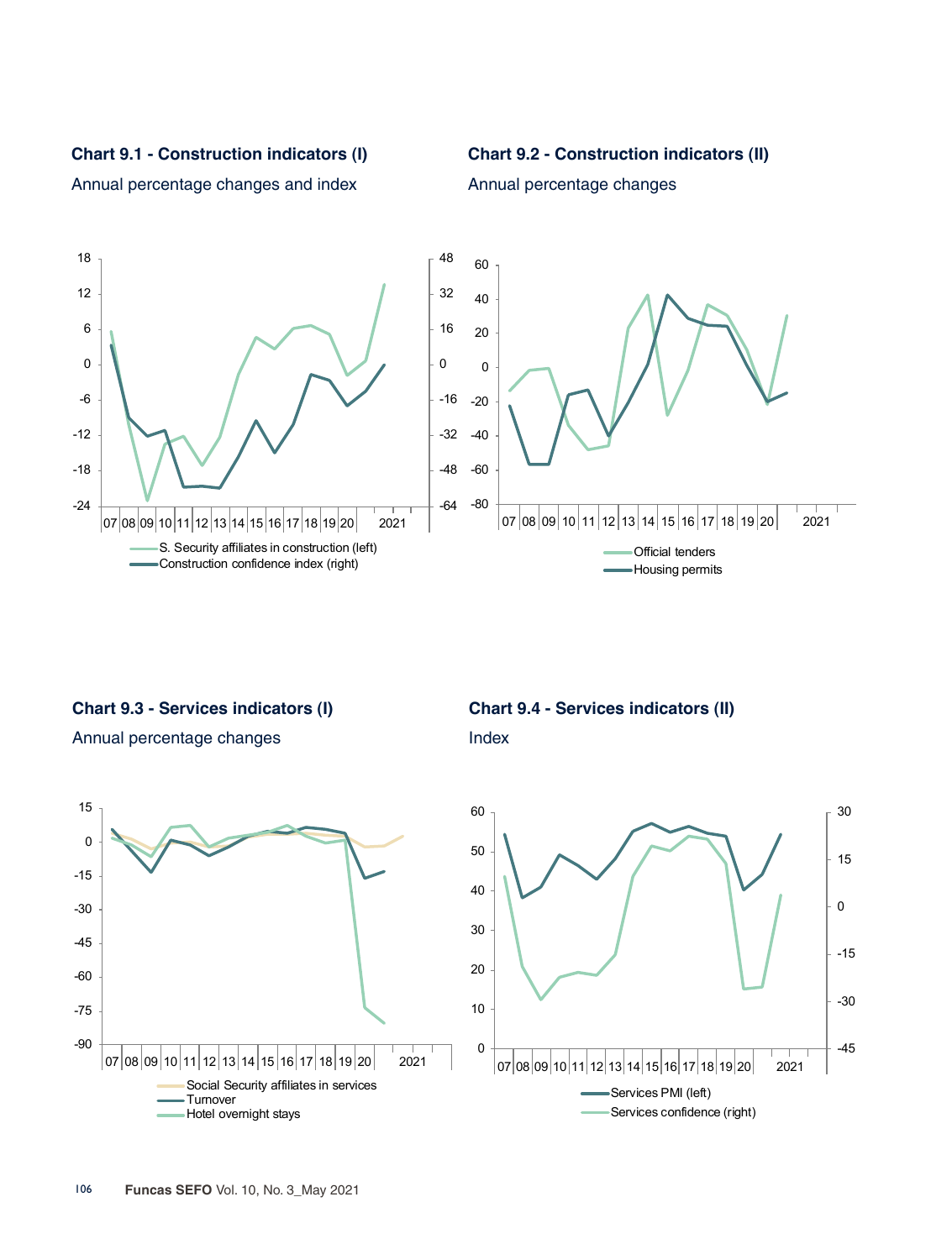**Chart 9.1 - Construction indicators (I)**



Annual percentage changes



Annual percentage changes and index

**Chart 9.3 - Services indicators (I)**





**Chart 9.4 - Services indicators (II)**

Index

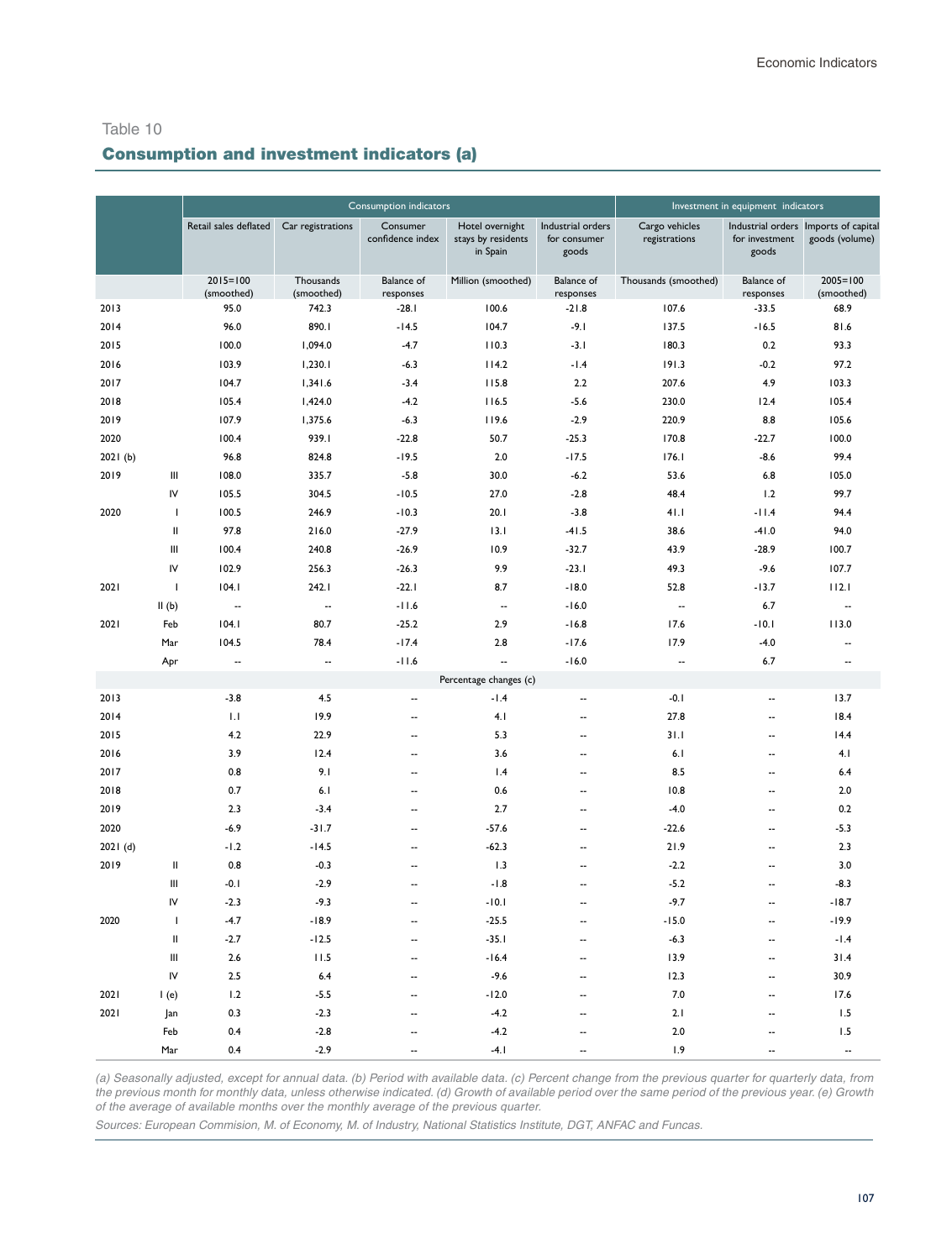## Consumption and investment indicators (a)

|         |                                                                                                                                                                                                                                                                                                                                                                                                                                                    |                            |                         | Consumption indicators         |                                                   |                                            |                                 | Investment in equipment indicators |                                                        |
|---------|----------------------------------------------------------------------------------------------------------------------------------------------------------------------------------------------------------------------------------------------------------------------------------------------------------------------------------------------------------------------------------------------------------------------------------------------------|----------------------------|-------------------------|--------------------------------|---------------------------------------------------|--------------------------------------------|---------------------------------|------------------------------------|--------------------------------------------------------|
|         |                                                                                                                                                                                                                                                                                                                                                                                                                                                    | Retail sales deflated      | Car registrations       | Consumer<br>confidence index   | Hotel overnight<br>stays by residents<br>in Spain | Industrial orders<br>for consumer<br>goods | Cargo vehicles<br>registrations | for investment<br>goods            | Industrial orders Imports of capital<br>goods (volume) |
|         |                                                                                                                                                                                                                                                                                                                                                                                                                                                    | $2015 = 100$<br>(smoothed) | Thousands<br>(smoothed) | <b>Balance</b> of<br>responses | Million (smoothed)                                | <b>Balance</b> of<br>responses             | Thousands (smoothed)            | Balance of<br>responses            | $2005 = 100$<br>(smoothed)                             |
| 2013    |                                                                                                                                                                                                                                                                                                                                                                                                                                                    | 95.0                       | 742.3                   | $-28.1$                        | 100.6                                             | $-21.8$                                    | 107.6                           | $-33.5$                            | 68.9                                                   |
| 2014    |                                                                                                                                                                                                                                                                                                                                                                                                                                                    | 96.0                       | 890.1                   | $-14.5$                        | 104.7                                             | $-9.1$                                     | 137.5                           | $-16.5$                            | 81.6                                                   |
| 2015    |                                                                                                                                                                                                                                                                                                                                                                                                                                                    | 100.0                      | 1,094.0                 | $-4.7$                         | 110.3                                             | $-3.1$                                     | 180.3                           | 0.2                                | 93.3                                                   |
| 2016    |                                                                                                                                                                                                                                                                                                                                                                                                                                                    | 103.9                      | 1,230.1                 | $-6.3$                         | 114.2                                             | $-1.4$                                     | 191.3                           | $-0.2$                             | 97.2                                                   |
| 2017    |                                                                                                                                                                                                                                                                                                                                                                                                                                                    | 104.7                      | 1,341.6                 | $-3.4$                         | 115.8                                             | 2.2                                        | 207.6                           | 4.9                                | 103.3                                                  |
| 2018    |                                                                                                                                                                                                                                                                                                                                                                                                                                                    | 105.4                      | 1,424.0                 | $-4.2$                         | 116.5                                             | $-5.6$                                     | 230.0                           | 12.4                               | 105.4                                                  |
| 2019    |                                                                                                                                                                                                                                                                                                                                                                                                                                                    | 107.9                      | 1,375.6                 | $-6.3$                         | 119.6                                             | $-2.9$                                     | 220.9                           | 8.8                                | 105.6                                                  |
| 2020    |                                                                                                                                                                                                                                                                                                                                                                                                                                                    | 100.4                      | 939.1                   | $-22.8$                        | 50.7                                              | $-25.3$                                    | 170.8                           | $-22.7$                            | 100.0                                                  |
| 2021(b) |                                                                                                                                                                                                                                                                                                                                                                                                                                                    | 96.8                       | 824.8                   | $-19.5$                        | 2.0                                               | $-17.5$                                    | 176.1                           | $-8.6$                             | 99.4                                                   |
| 2019    | $\mathsf{III}$                                                                                                                                                                                                                                                                                                                                                                                                                                     | 108.0                      | 335.7                   | $-5.8$                         | 30.0                                              | $-6.2$                                     | 53.6                            | 6.8                                | 105.0                                                  |
|         | IV                                                                                                                                                                                                                                                                                                                                                                                                                                                 | 105.5                      | 304.5                   | $-10.5$                        | 27.0                                              | $-2.8$                                     | 48.4                            | 1.2                                | 99.7                                                   |
| 2020    | $\mathbf{I}$                                                                                                                                                                                                                                                                                                                                                                                                                                       | 100.5                      | 246.9                   | $-10.3$                        | 20.1                                              | $-3.8$                                     | 41.1                            | $-11.4$                            | 94.4                                                   |
|         | $\mathsf{II}$                                                                                                                                                                                                                                                                                                                                                                                                                                      | 97.8                       | 216.0                   | $-27.9$                        | 13.1                                              | $-41.5$                                    | 38.6                            | $-41.0$                            | 94.0                                                   |
|         | Ш                                                                                                                                                                                                                                                                                                                                                                                                                                                  | 100.4                      | 240.8                   | $-26.9$                        | 10.9                                              | $-32.7$                                    | 43.9                            | $-28.9$                            | 100.7                                                  |
|         | IV                                                                                                                                                                                                                                                                                                                                                                                                                                                 | 102.9                      | 256.3                   | $-26.3$                        | 9.9                                               | $-23.1$                                    | 49.3                            | $-9.6$                             | 107.7                                                  |
| 2021    | $\mathsf I$                                                                                                                                                                                                                                                                                                                                                                                                                                        | 104.1                      | 242.1                   | $-22.1$                        | 8.7                                               | $-18.0$                                    | 52.8                            | $-13.7$                            | 112.1                                                  |
|         | II(b)                                                                                                                                                                                                                                                                                                                                                                                                                                              | --                         | --                      | $-11.6$                        | $\overline{\phantom{a}}$                          | $-16.0$                                    | $\overline{\phantom{a}}$        | 6.7                                | --                                                     |
| 2021    | Feb                                                                                                                                                                                                                                                                                                                                                                                                                                                | 104.1                      | 80.7                    | $-25.2$                        | 2.9                                               | $-16.8$                                    | 17.6                            | $-10.1$                            | 113.0                                                  |
|         | Mar                                                                                                                                                                                                                                                                                                                                                                                                                                                | 104.5                      | 78.4                    | $-17.4$                        | 2.8                                               | $-17.6$                                    | 17.9                            | $-4.0$                             | Ξ.                                                     |
|         | Apr                                                                                                                                                                                                                                                                                                                                                                                                                                                | $\overline{\phantom{a}}$   | $\sim$                  | $-11.6$                        | $\ddot{\phantom{a}}$                              | $-16.0$                                    | $\sim$                          | 6.7                                | $\sim$                                                 |
|         |                                                                                                                                                                                                                                                                                                                                                                                                                                                    |                            |                         |                                | Percentage changes (c)                            |                                            |                                 |                                    |                                                        |
| 2013    |                                                                                                                                                                                                                                                                                                                                                                                                                                                    | $-3.8$                     | 4.5                     | ۰.                             | $-1.4$                                            | -−                                         | $-0.1$                          | --                                 | 13.7                                                   |
| 2014    |                                                                                                                                                                                                                                                                                                                                                                                                                                                    | 1.1                        | 19.9                    | $\overline{\phantom{a}}$       | 4.1                                               | $\overline{\phantom{a}}$                   | 27.8                            | $\overline{\phantom{a}}$           | 18.4                                                   |
| 2015    |                                                                                                                                                                                                                                                                                                                                                                                                                                                    | 4.2                        | 22.9                    | $\sim$                         | 5.3                                               | $\overline{a}$                             | 31.1                            | $\overline{a}$                     | 14.4                                                   |
| 2016    |                                                                                                                                                                                                                                                                                                                                                                                                                                                    | 3.9                        | 12.4                    | $\sim$                         | 3.6                                               | $\overline{\phantom{a}}$                   | 6.1                             | $\ddotsc$                          | 4.1                                                    |
| 2017    |                                                                                                                                                                                                                                                                                                                                                                                                                                                    | 0.8                        | 9.1                     | $\overline{\phantom{a}}$       | 1.4                                               | ۰.                                         | 8.5                             | $\overline{a}$                     | 6.4                                                    |
| 2018    |                                                                                                                                                                                                                                                                                                                                                                                                                                                    | 0.7                        | 6.1                     |                                | 0.6                                               |                                            | 10.8                            | --                                 | 2.0                                                    |
| 2019    |                                                                                                                                                                                                                                                                                                                                                                                                                                                    | 2.3                        | $-3.4$                  | --                             | 2.7                                               | --                                         | $-4.0$                          | --                                 | 0.2                                                    |
| 2020    |                                                                                                                                                                                                                                                                                                                                                                                                                                                    | $-6.9$                     | $-31.7$                 | $\sim$                         | $-57.6$                                           | $\overline{a}$                             | $-22.6$                         | $\overline{a}$                     | $-5.3$                                                 |
| 2021(d) |                                                                                                                                                                                                                                                                                                                                                                                                                                                    | $-1.2$                     | $-14.5$                 | Ξ.                             | $-62.3$                                           | Ξ.                                         | 21.9                            | L.                                 | 2.3                                                    |
| 2019    | $\sf II$                                                                                                                                                                                                                                                                                                                                                                                                                                           | 0.8                        | $-0.3$                  | $\overline{\phantom{a}}$       | 1.3                                               | ۰.                                         | $-2.2$                          | ٠.                                 | 3.0                                                    |
|         | Ш                                                                                                                                                                                                                                                                                                                                                                                                                                                  | $-0.1$                     | $-2.9$                  | ٠.                             | $-1.8$                                            | ۰.                                         | $-5.2$                          | ٠.                                 | $-8.3$                                                 |
|         | IV                                                                                                                                                                                                                                                                                                                                                                                                                                                 | $-2.3$                     | $-9.3$                  | $\overline{\phantom{a}}$       | $-10.1$                                           | --                                         | $-9.7$                          | --                                 | $-18.7$                                                |
| 2020    | $\overline{\phantom{a}}$                                                                                                                                                                                                                                                                                                                                                                                                                           | $-4.7$                     | $-18.9$                 | $\sim$                         | $-25.5$                                           | $\overline{a}$                             | $-15.0$                         | $\overline{\phantom{a}}$           | $-19.9$                                                |
|         | $\mathop{  }% \text{log}(p)\leq\mathop{  }(\mathop{  })\text{log}(p)\leq\mathop{  }(\mathop{  })\text{log}(p)\leq\mathop{  }(\mathop{  })\text{log}(p)\leq\mathop{  }(\mathop{  })\text{log}(p)\leq\mathop{  }(\mathop{  })\text{log}(p)\leq\mathop{  }(\mathop{  })\text{log}(p)\leq\mathop{  }(\mathop{  })\text{log}(p)\leq\mathop{  }(\mathop{  })\text{log}(p)\leq\mathop{  }(\mathop{  })\text{log}(p)\leq\mathop{  }(\mathop{  })\text{log$ | $-2.7$                     | $-12.5$                 | Ξ.                             | $-35.1$                                           | Ξ.                                         | $-6.3$                          | Ξ.                                 | $-1.4$                                                 |
|         | $\ensuremath{\mathsf{III}}\xspace$                                                                                                                                                                                                                                                                                                                                                                                                                 | 2.6                        | 11.5                    | Ξ.                             | $-16.4$                                           | Ξ.                                         | 13.9                            | Ξ.                                 | 31.4                                                   |
|         | IV                                                                                                                                                                                                                                                                                                                                                                                                                                                 | 2.5                        | 6.4                     |                                | $-9.6$                                            | ٠.                                         | 12.3                            | -−                                 | 30.9                                                   |
| 2021    | (e)                                                                                                                                                                                                                                                                                                                                                                                                                                                | 1.2                        | $-5.5$                  | --                             | $-12.0$                                           | --                                         | 7.0                             | --                                 | 17.6                                                   |
| 2021    | Jan                                                                                                                                                                                                                                                                                                                                                                                                                                                | 0.3                        | $-2.3$                  | $\overline{\phantom{a}}$       | $-4.2$                                            | --                                         | 2.1                             | $\overline{a}$                     | 1.5                                                    |
|         | Feb                                                                                                                                                                                                                                                                                                                                                                                                                                                | 0.4                        | $-2.8$                  | $\overline{\phantom{a}}$       | $-4.2$                                            | $\overline{\phantom{a}}$                   | 2.0                             | $\overline{a}$                     | 1.5                                                    |
|         | Mar                                                                                                                                                                                                                                                                                                                                                                                                                                                | 0.4                        | $-2.9$                  | $\overline{\phantom{a}}$       | $-4.1$                                            | $\overline{\phantom{a}}$                   | 1.9                             | $\overline{\phantom{a}}$           | $\ddot{\phantom{a}}$                                   |

*(a) Seasonally adjusted, except for annual data. (b) Period with available data. (c) Percent change from the previous quarter for quarterly data, from the previous month for monthly data, unless otherwise indicated. (d) Growth of available period over the same period of the previous year. (e) Growth of the average of available months over the monthly average of the previous quarter.* 

*Sources: European Commision, M. of Economy, M. of Industry, National Statistics Institute, DGT, ANFAC and Funcas.*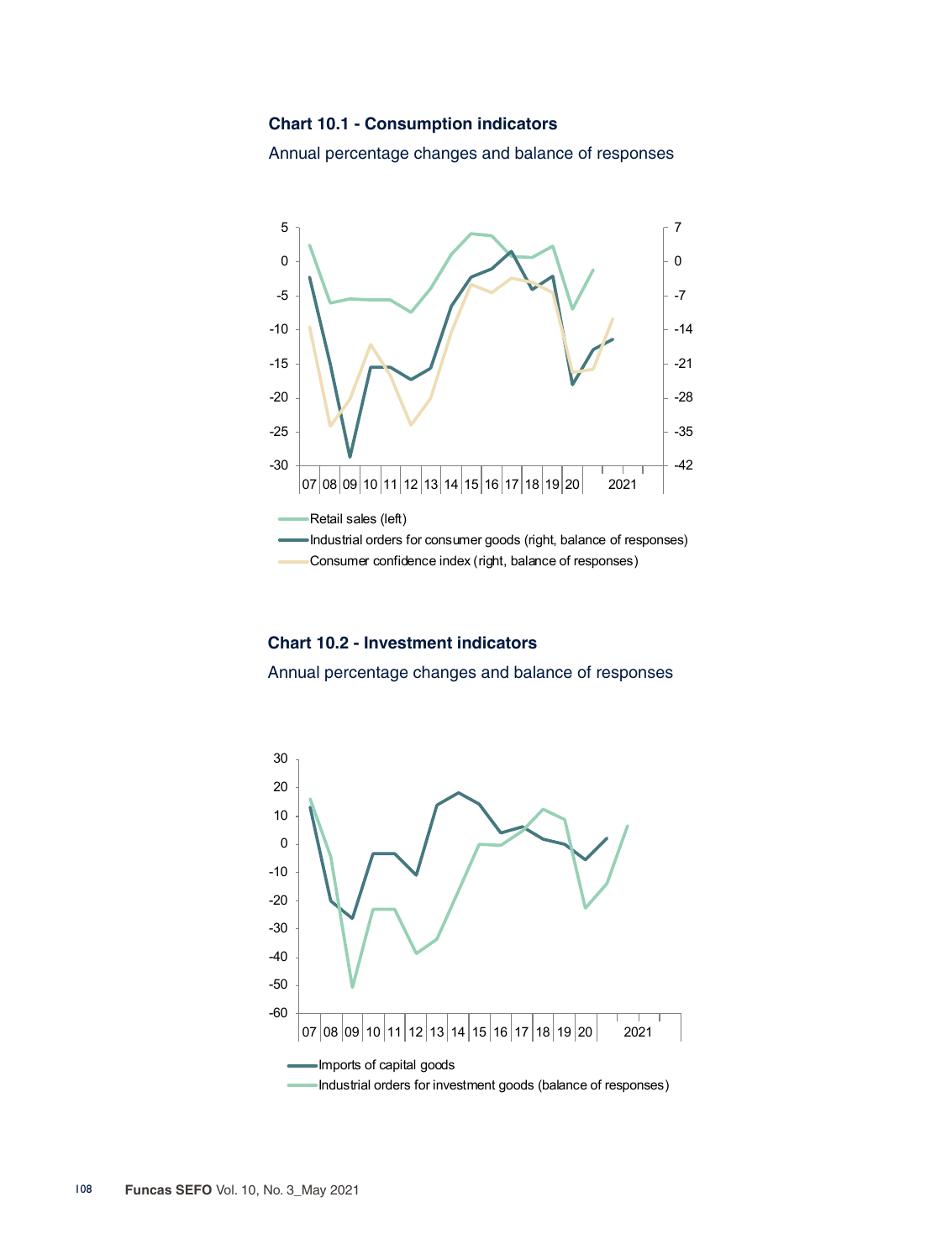#### **Chart 10.1 - Consumption indicators**

Annual percentage changes and balance of responses



**Chart 10.2 - Investment indicators**

Annual percentage changes and balance of responses

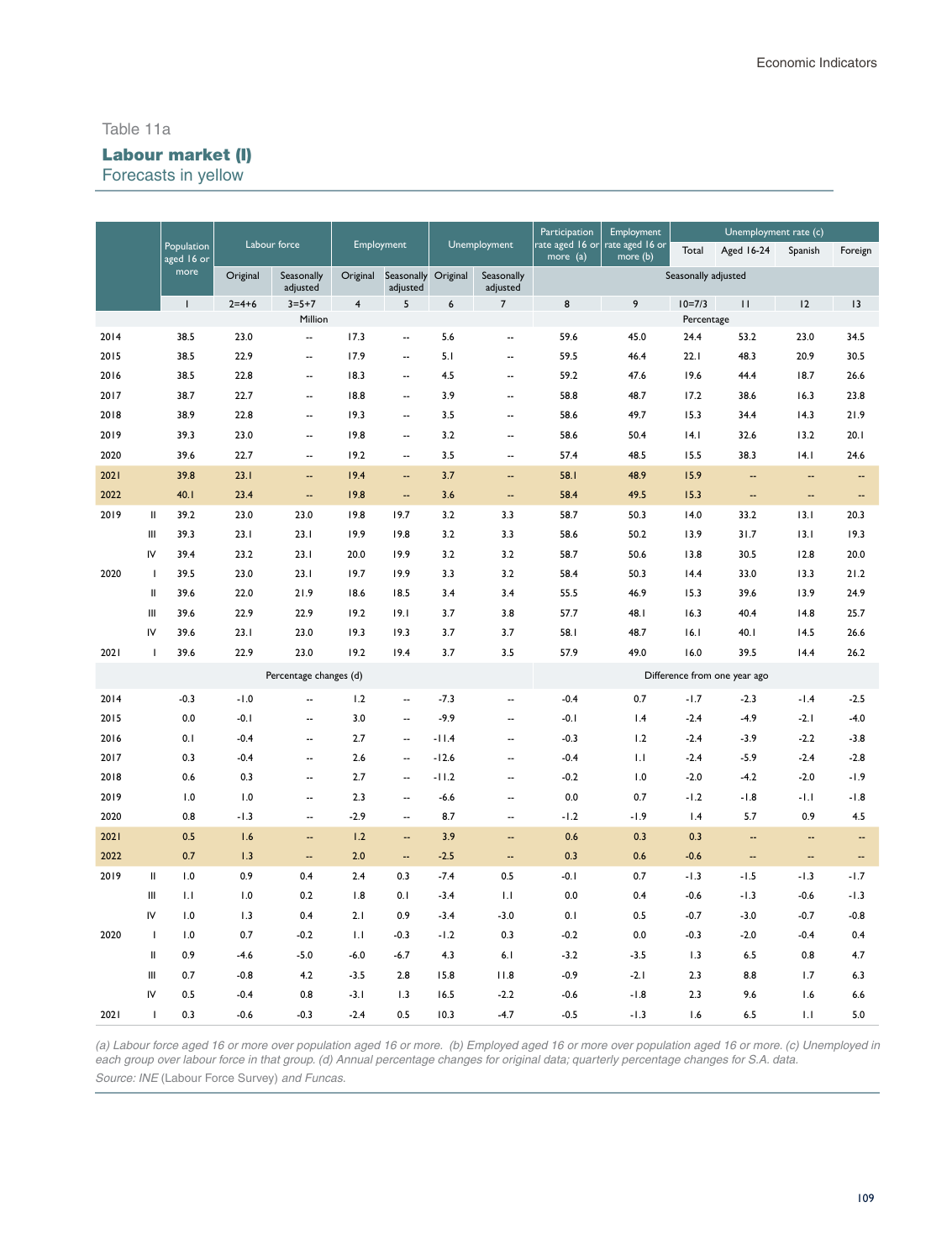#### Table 11a

### Labour market (I)

Forecasts in yellow

|      |                                    |                          |          |                          |                |                                 |         |                          | Participation                       | Employment                  |                              | Unemployment rate (c) |                          |                          |
|------|------------------------------------|--------------------------|----------|--------------------------|----------------|---------------------------------|---------|--------------------------|-------------------------------------|-----------------------------|------------------------------|-----------------------|--------------------------|--------------------------|
|      |                                    | Population<br>aged 16 or |          | Labour force             |                | Employment                      |         | Unemployment             | rate aged 16 or $\vert$<br>more (a) | rate aged 16 or<br>more (b) | Total                        | <b>Aged 16-24</b>     | Spanish                  | Foreign                  |
|      |                                    | more                     | Original | Seasonally<br>adjusted   | Original       | Seasonally Original<br>adjusted |         | Seasonally<br>adjusted   |                                     |                             | Seasonally adjusted          |                       |                          |                          |
|      |                                    | $\mathbf{I}$             | $2=4+6$  | $3 = 5 + 7$              | $\overline{4}$ | 5                               | 6       | $\overline{7}$           | 8                                   | 9                           | $10=7/3$                     | $\mathbf{H}$          | 12                       | 3                        |
|      |                                    |                          |          | Million                  |                |                                 |         |                          |                                     |                             | Percentage                   |                       |                          |                          |
| 2014 |                                    | 38.5                     | 23.0     | $\overline{\phantom{a}}$ | 17.3           | $\overline{\phantom{a}}$        | 5.6     | $\overline{\phantom{a}}$ | 59.6                                | 45.0                        | 24.4                         | 53.2                  | 23.0                     | 34.5                     |
| 2015 |                                    | 38.5                     | 22.9     | $\overline{\phantom{a}}$ | 17.9           | $\overline{\phantom{a}}$        | 5.1     | --                       | 59.5                                | 46.4                        | 22.1                         | 48.3                  | 20.9                     | 30.5                     |
| 2016 |                                    | 38.5                     | 22.8     | $\overline{\phantom{a}}$ | 18.3           | $\overline{\phantom{a}}$        | 4.5     | --                       | 59.2                                | 47.6                        | 19.6                         | 44.4                  | 18.7                     | 26.6                     |
| 2017 |                                    | 38.7                     | 22.7     | $\sim$                   | 18.8           | $\overline{\phantom{a}}$        | 3.9     | $\overline{\phantom{a}}$ | 58.8                                | 48.7                        | 17.2                         | 38.6                  | 16.3                     | 23.8                     |
| 2018 |                                    | 38.9                     | 22.8     | $\overline{\phantom{a}}$ | 19.3           | $\overline{\phantom{a}}$        | 3.5     | $\ddotsc$                | 58.6                                | 49.7                        | 15.3                         | 34.4                  | 14.3                     | 21.9                     |
| 2019 |                                    | 39.3                     | 23.0     | $\overline{\phantom{a}}$ | 19.8           | $\overline{\phantom{a}}$        | 3.2     | $\overline{\phantom{a}}$ | 58.6                                | 50.4                        | 4.1                          | 32.6                  | 13.2                     | 20.1                     |
| 2020 |                                    | 39.6                     | 22.7     | μ.                       | 19.2           | $\overline{\phantom{a}}$        | 3.5     |                          | 57.4                                | 48.5                        | 15.5                         | 38.3                  | 4.1                      | 24.6                     |
| 2021 |                                    | 39.8                     | 23.1     | $\overline{\phantom{a}}$ | 19.4           | $\sim$                          | 3.7     | Ξ.                       | 58.1                                | 48.9                        | 15.9                         | --                    | --                       | $\overline{\phantom{a}}$ |
| 2022 |                                    | 40.1                     | 23.4     | $\overline{\phantom{a}}$ | 19.8           | $\sim$                          | 3.6     | --                       | 58.4                                | 49.5                        | 15.3                         | --                    | $\overline{\phantom{a}}$ | $\overline{\phantom{a}}$ |
| 2019 | $\mathbf{I}$                       | 39.2                     | 23.0     | 23.0                     | 19.8           | 19.7                            | 3.2     | 3.3                      | 58.7                                | 50.3                        | 14.0                         | 33.2                  | 13.1                     | 20.3                     |
|      | Ш                                  | 39.3                     | 23.1     | 23.1                     | 19.9           | 19.8                            | 3.2     | 3.3                      | 58.6                                | 50.2                        | 13.9                         | 31.7                  | 13.1                     | 19.3                     |
|      | IV                                 | 39.4                     | 23.2     | 23.1                     | 20.0           | 19.9                            | 3.2     | 3.2                      | 58.7                                | 50.6                        | 13.8                         | 30.5                  | 12.8                     | 20.0                     |
| 2020 | $\overline{\phantom{a}}$           | 39.5                     | 23.0     | 23.1                     | 19.7           | 19.9                            | 3.3     | 3.2                      | 58.4                                | 50.3                        | 14.4                         | 33.0                  | 13.3                     | 21.2                     |
|      | $\mathsf{I}$                       | 39.6                     | 22.0     | 21.9                     | 18.6           | 18.5                            | 3.4     | 3.4                      | 55.5                                | 46.9                        | 15.3                         | 39.6                  | 13.9                     | 24.9                     |
|      | $\begin{array}{c} \Pi \end{array}$ | 39.6                     | 22.9     | 22.9                     | 19.2           | 19.1                            | 3.7     | 3.8                      | 57.7                                | 48.I                        | 16.3                         | 40.4                  | 14.8                     | 25.7                     |
|      | IV                                 | 39.6                     | 23.1     | 23.0                     | 19.3           | 19.3                            | 3.7     | 3.7                      | 58.1                                | 48.7                        | 16.1                         | 40.1                  | 14.5                     | 26.6                     |
| 2021 | H                                  | 39.6                     | 22.9     | 23.0                     | 19.2           | 19.4                            | 3.7     | 3.5                      | 57.9                                | 49.0                        | 16.0                         | 39.5                  | 14.4                     | 26.2                     |
|      |                                    |                          |          | Percentage changes (d)   |                |                                 |         |                          |                                     |                             | Difference from one year ago |                       |                          |                          |
| 2014 |                                    | $-0.3$                   | $-1.0$   | $\overline{\phantom{a}}$ | 1.2            | $\overline{\phantom{a}}$        | $-7.3$  | μ.                       | $-0.4$                              | 0.7                         | $-1.7$                       | $-2.3$                | $-1.4$                   | $-2.5$                   |
| 2015 |                                    | 0.0                      | $-0.1$   | $\overline{\phantom{a}}$ | 3.0            | Ξ.                              | $-9.9$  | Ξ.                       | $-0.1$                              | 1.4                         | $-2.4$                       | $-4.9$                | $-2.1$                   | $-4.0$                   |
| 2016 |                                    | 0.1                      | $-0.4$   | $\overline{\phantom{a}}$ | 2.7            | $\overline{\phantom{a}}$        | $-11.4$ | $\ddotsc$                | $-0.3$                              | 1.2                         | $-2.4$                       | $-3.9$                | $-2.2$                   | $-3.8$                   |
| 2017 |                                    | 0.3                      | $-0.4$   | $\overline{\phantom{a}}$ | 2.6            | $\sim$                          | $-12.6$ | $\overline{\phantom{a}}$ | $-0.4$                              | $\mathsf{L}$                | $-2.4$                       | $-5.9$                | $-2.4$                   | $-2.8$                   |
| 2018 |                                    | 0.6                      | 0.3      | $\overline{\phantom{a}}$ | 2.7            | $\overline{\phantom{a}}$        | $-11.2$ | $\overline{\phantom{a}}$ | $-0.2$                              | 1.0                         | $-2.0$                       | $-4.2$                | $-2.0$                   | $-1.9$                   |
| 2019 |                                    | 1.0                      | 1.0      | $\overline{\phantom{a}}$ | 2.3            | $\overline{\phantom{a}}$        | $-6.6$  | $\ddotsc$                | 0.0                                 | 0.7                         | $-1.2$                       | $-1.8$                | $-1.1$                   | $-1.8$                   |
| 2020 |                                    | 0.8                      | $-1.3$   | $\overline{\phantom{a}}$ | $-2.9$         | $\overline{\phantom{a}}$        | 8.7     | $\overline{\phantom{a}}$ | $-1.2$                              | $-1.9$                      | 1.4                          | 5.7                   | 0.9                      | 4.5                      |
| 2021 |                                    | 0.5                      | 1.6      | --                       | 1.2            | Ξ.                              | 3.9     | Ξ.                       | 0.6                                 | 0.3                         | 0.3                          | --                    | Ξ.                       | н.                       |
| 2022 |                                    | 0.7                      | 1.3      | $\overline{\phantom{a}}$ | 2.0            | $\overline{a}$                  | $-2.5$  | Ξ.                       | 0.3                                 | 0.6                         | $-0.6$                       | --                    | --                       | $\overline{\phantom{a}}$ |
| 2019 | $\mathbf{I}$                       | 1.0                      | 0.9      | 0.4                      | 2.4            | 0.3                             | $-7.4$  | 0.5                      | $-0.1$                              | 0.7                         | $-1.3$                       | $-1.5$                | $-1.3$                   | $-1.7$                   |
|      | Ш                                  | 1.1                      | 1.0      | 0.2                      | 1.8            | 0.1                             | $-3.4$  | 1.1                      | 0.0                                 | 0.4                         | $-0.6$                       | $-1.3$                | $-0.6$                   | $-1.3$                   |
|      | IV                                 | 1.0                      | 1.3      | 0.4                      | 2.1            | 0.9                             | $-3.4$  | $-3.0$                   | 0.1                                 | 0.5                         | $-0.7$                       | $-3.0$                | $-0.7$                   | $-0.8$                   |
| 2020 | $\overline{\phantom{a}}$           | 1.0                      | 0.7      | $-0.2$                   | 1.1            | $-0.3$                          | $-1.2$  | 0.3                      | $-0.2$                              | 0.0                         | $-0.3$                       | $-2.0$                | $-0.4$                   | 0.4                      |
|      | Ш                                  | 0.9                      | $-4.6$   | $-5.0$                   | $-6.0$         | $-6.7$                          | 4.3     | 6.1                      | $-3.2$                              | $-3.5$                      | 1.3                          | 6.5                   | 0.8                      | 4.7                      |
|      | Ш                                  | 0.7                      | $-0.8$   | 4.2                      | $-3.5$         | 2.8                             | 15.8    | 11.8                     | $-0.9$                              | $-2.1$                      | 2.3                          | 8.8                   | 1.7                      | 6.3                      |
|      | IV                                 | 0.5                      | $-0.4$   | 0.8                      | $-3.1$         | 1.3                             | 16.5    | $-2.2$                   | $-0.6$                              | $-1.8$                      | 2.3                          | 9.6                   | 1.6                      | 6.6                      |
| 2021 | $\overline{1}$                     | 0.3                      | $-0.6$   | $-0.3$                   | $-2.4$         | 0.5                             | 10.3    | $-4.7$                   | $-0.5$                              | $-1.3$                      | 1.6                          | 6.5                   | 1.1                      | 5.0                      |

*(a) Labour force aged 16 or more over population aged 16 or more. (b) Employed aged 16 or more over population aged 16 or more. (c) Unemployed in each group over labour force in that group. (d) Annual percentage changes for original data; quarterly percentage changes for S.A. data. Source: INE* (Labour Force Survey) *and Funcas*.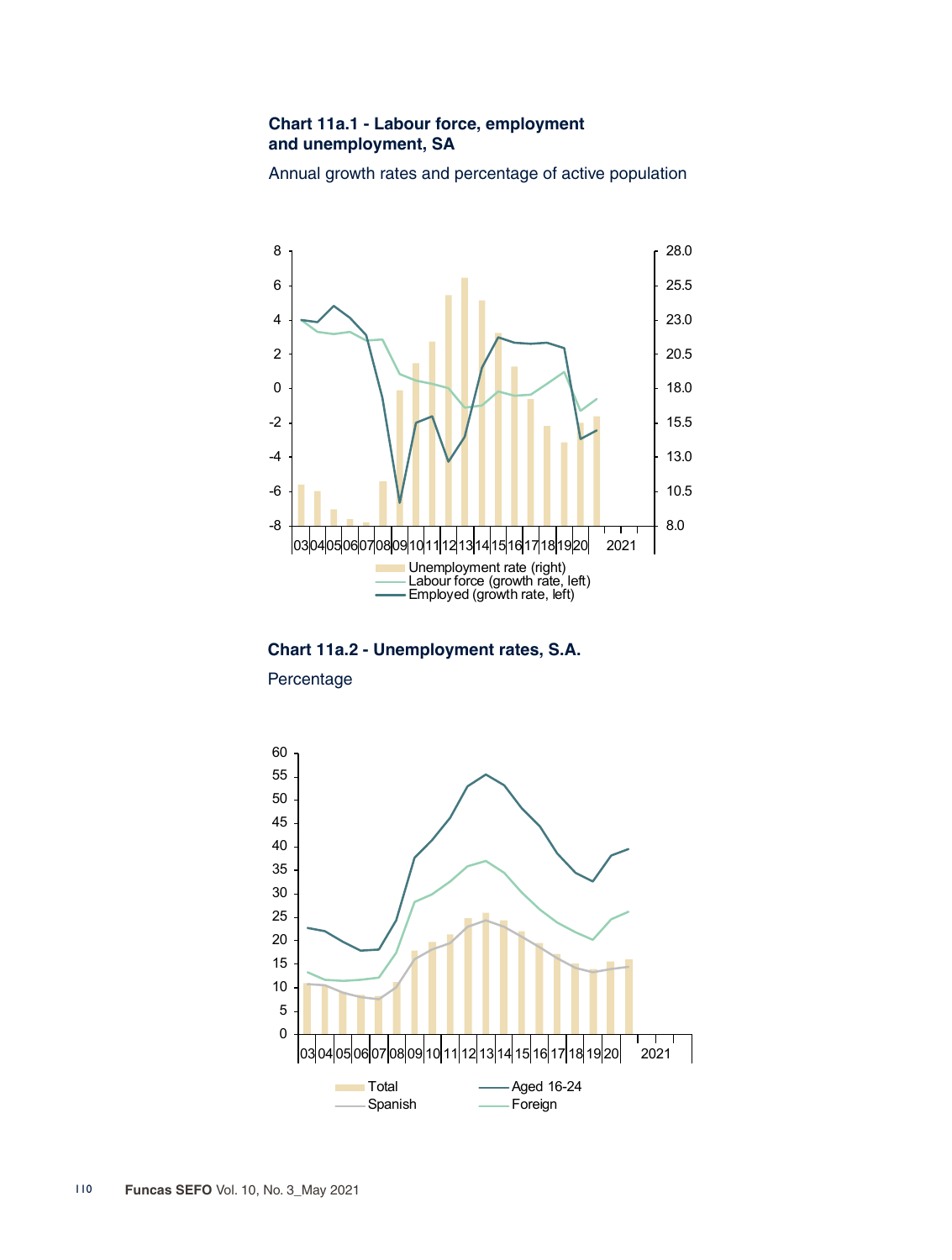## **Chart 11a.1 - Labour force, employment and unemployment, SA**

Annual growth rates and percentage of active population



**Chart 11a.2 - Unemployment rates, S.A.**

Percentage

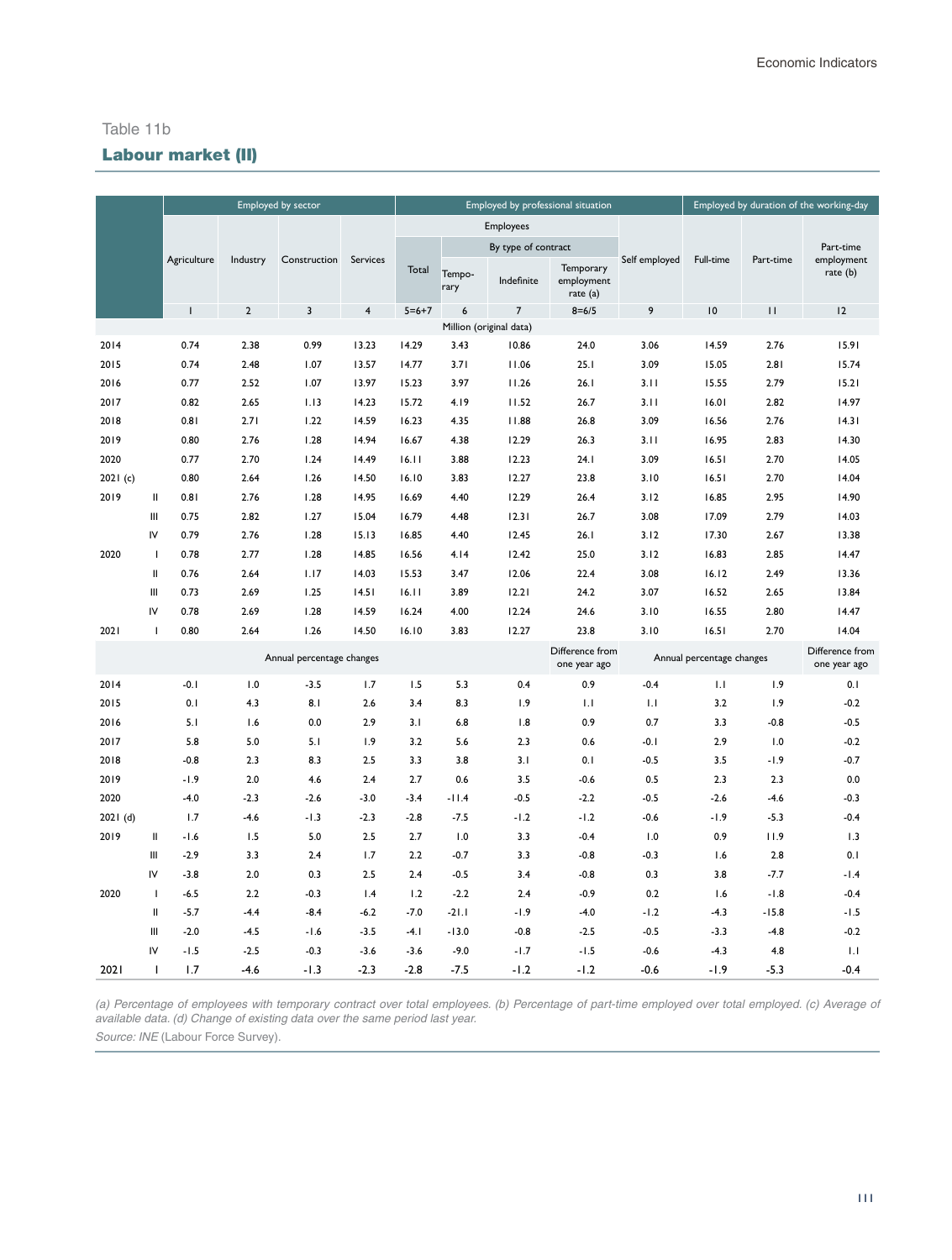#### Table 11b

# Labour market (II)

|          |               |             |            | Employed by sector        |                         |             |                |                         | Employed by professional situation  |               |                           |              | Employed by duration of the working-day |
|----------|---------------|-------------|------------|---------------------------|-------------------------|-------------|----------------|-------------------------|-------------------------------------|---------------|---------------------------|--------------|-----------------------------------------|
|          |               |             |            |                           |                         |             |                | Employees               |                                     |               |                           |              |                                         |
|          |               |             |            |                           |                         |             |                | By type of contract     |                                     |               |                           |              | Part-time                               |
|          |               | Agriculture | Industry   | Construction              | Services                | Total       | Tempo-<br>rary | Indefinite              | Temporary<br>employment<br>rate (a) | Self employed | Full-time                 | Part-time    | employment<br>rate (b)                  |
|          |               | I           | $\sqrt{2}$ | 3                         | $\overline{\mathbf{4}}$ | $5 = 6 + 7$ | 6              | $\overline{7}$          | $8 = 6/5$                           | 9             | 10                        | $\mathbf{H}$ | 12                                      |
|          |               |             |            |                           |                         |             |                | Million (original data) |                                     |               |                           |              |                                         |
| 2014     |               | 0.74        | 2.38       | 0.99                      | 13.23                   | 14.29       | 3.43           | 10.86                   | 24.0                                | 3.06          | 14.59                     | 2.76         | 15.91                                   |
| 2015     |               | 0.74        | 2.48       | 1.07                      | 13.57                   | 14.77       | 3.71           | 11.06                   | 25.1                                | 3.09          | 15.05                     | 2.81         | 15.74                                   |
| 2016     |               | 0.77        | 2.52       | 1.07                      | 13.97                   | 15.23       | 3.97           | 11.26                   | 26.1                                | 3.11          | 15.55                     | 2.79         | 15.21                                   |
| 2017     |               | 0.82        | 2.65       | 1.13                      | 14.23                   | 15.72       | 4.19           | 11.52                   | 26.7                                | 3.11          | 16.01                     | 2.82         | 14.97                                   |
| 2018     |               | 0.81        | 2.71       | 1.22                      | 14.59                   | 16.23       | 4.35           | 11.88                   | 26.8                                | 3.09          | 16.56                     | 2.76         | 14.31                                   |
| 2019     |               | 0.80        | 2.76       | 1.28                      | 14.94                   | 16.67       | 4.38           | 12.29                   | 26.3                                | 3.11          | 16.95                     | 2.83         | 14.30                                   |
| 2020     |               | 0.77        | 2.70       | 1.24                      | 14.49                   | 16.11       | 3.88           | 12.23                   | 24.1                                | 3.09          | 16.51                     | 2.70         | 14.05                                   |
| 2021(c)  |               | 0.80        | 2.64       | 1.26                      | 14.50                   | 16.10       | 3.83           | 12.27                   | 23.8                                | 3.10          | 16.51                     | 2.70         | 14.04                                   |
| 2019     | $\mathop{  }$ | 0.81        | 2.76       | 1.28                      | 14.95                   | 16.69       | 4.40           | 12.29                   | 26.4                                | 3.12          | 16.85                     | 2.95         | 14.90                                   |
|          | Ш             | 0.75        | 2.82       | 1.27                      | 15.04                   | 16.79       | 4.48           | 12.31                   | 26.7                                | 3.08          | 17.09                     | 2.79         | 14.03                                   |
|          | IV            | 0.79        | 2.76       | 1.28                      | 15.13                   | 16.85       | 4.40           | 12.45                   | 26.1                                | 3.12          | 17.30                     | 2.67         | 13.38                                   |
| 2020     | -1            | 0.78        | 2.77       | 1.28                      | 14.85                   | 16.56       | 4.14           | 12.42                   | 25.0                                | 3.12          | 16.83                     | 2.85         | 14.47                                   |
|          | Ш             | 0.76        | 2.64       | 1.17                      | 14.03                   | 15.53       | 3.47           | 12.06                   | 22.4                                | 3.08          | 16.12                     | 2.49         | 13.36                                   |
|          | Ш             | 0.73        | 2.69       | 1.25                      | 14.51                   | 16.11       | 3.89           | 12.21                   | 24.2                                | 3.07          | 16.52                     | 2.65         | 13.84                                   |
|          | IV            | 0.78        | 2.69       | 1.28                      | 14.59                   | 16.24       | 4.00           | 12.24                   | 24.6                                | 3.10          | 16.55                     | 2.80         | 14.47                                   |
| 2021     | $\mathbf{I}$  | 0.80        | 2.64       | 1.26                      | 14.50                   | 16.10       | 3.83           | 12.27                   | 23.8                                | 3.10          | 16.51                     | 2.70         | 14.04                                   |
|          |               |             |            | Annual percentage changes |                         |             |                |                         | Difference from<br>one year ago     |               | Annual percentage changes |              | Difference from<br>one year ago         |
| 2014     |               | $-0.1$      | 1.0        | $-3.5$                    | 1.7                     | 1.5         | 5.3            | 0.4                     | 0.9                                 | $-0.4$        | 1.1                       | 1.9          | 0.1                                     |
| 2015     |               | 0.1         | 4.3        | 8.1                       | 2.6                     | 3.4         | 8.3            | 1.9                     | 1.1                                 | 1.1           | 3.2                       | 1.9          | $-0.2$                                  |
| 2016     |               | 5.1         | 1.6        | 0.0                       | 2.9                     | 3.1         | 6.8            | 1.8                     | 0.9                                 | 0.7           | 3.3                       | $-0.8$       | $-0.5$                                  |
| 2017     |               | 5.8         | 5.0        | 5.1                       | 1.9                     | 3.2         | 5.6            | 2.3                     | 0.6                                 | $-0.1$        | 2.9                       | 1.0          | $-0.2$                                  |
| 2018     |               | $-0.8$      | 2.3        | 8.3                       | 2.5                     | 3.3         | 3.8            | 3.1                     | 0.1                                 | $-0.5$        | 3.5                       | $-1.9$       | $-0.7$                                  |
| 2019     |               | $-1.9$      | 2.0        | 4.6                       | 2.4                     | 2.7         | 0.6            | 3.5                     | $-0.6$                              | 0.5           | 2.3                       | 2.3          | 0.0                                     |
| 2020     |               | $-4.0$      | $-2.3$     | $-2.6$                    | $-3.0$                  | $-3.4$      | -11.4          | $-0.5$                  | $-2.2$                              | $-0.5$        | $-2.6$                    | $-4.6$       | $-0.3$                                  |
| 2021 (d) |               | 1.7         | $-4.6$     | $-1.3$                    | $-2.3$                  | $-2.8$      | $-7.5$         | $-1.2$                  | $-1.2$                              | $-0.6$        | -1.9                      | $-5.3$       | $-0.4$                                  |
| 2019     | Ш             | $-1.6$      | 1.5        | 5.0                       | 2.5                     | 2.7         | 1.0            | 3.3                     | $-0.4$                              | 1.0           | 0.9                       | 11.9         | 1.3                                     |
|          | Ш             | $-2.9$      | 3.3        | 2.4                       | 1.7                     | 2.2         | $-0.7$         | 3.3                     | $-0.8$                              | $-0.3$        | 1.6                       | 2.8          | 0.1                                     |
|          | IV            | $-3.8$      | $2.0\,$    | 0.3                       | 2.5                     | 2.4         | $-0.5$         | 3.4                     | $-0.8$                              | 0.3           | 3.8                       | $-7.7$       | $-1.4$                                  |
| 2020     | J.            | $-6.5$      | 2.2        | $-0.3$                    | 1.4                     | 1.2         | $-2.2$         | 2.4                     | $-0.9$                              | 0.2           | 1.6                       | $-1.8$       | $-0.4$                                  |
|          | Ш             | $-5.7$      | $-4.4$     | $-8.4$                    | $-6.2$                  | $-7.0$      | $-21.1$        | -1.9                    | $-4.0$                              | $-1.2$        | -4.3                      | $-15.8$      | $-1.5$                                  |
|          | Ш             | $-2.0$      | $-4.5$     | $-1.6$                    | $-3.5$                  | $-4.1$      | $-13.0$        | $-0.8$                  | $-2.5$                              | $-0.5$        | $-3.3$                    | $-4.8$       | $-0.2$                                  |
|          | IV            | $-1.5$      | $-2.5$     | $-0.3$                    | $-3.6$                  | $-3.6$      | $-9.0$         | $-1.7$                  | $-1.5$                              | $-0.6$        | $-4.3$                    | 4.8          | 1.1                                     |
| 2021     | п             | 1.7         | $-4.6$     | $-1.3$                    | $-2.3$                  | $-2.8$      | $-7.5$         | $-1.2$                  | $-1.2$                              | $-0.6$        | -1.9                      | $-5.3$       | $-0.4$                                  |

*(a) Percentage of employees with temporary contract over total employees. (b) Percentage of part-time employed over total employed. (c) Average of available data. (d) Change of existing data over the same period last year.* 

Source: INE (Labour Force Survey).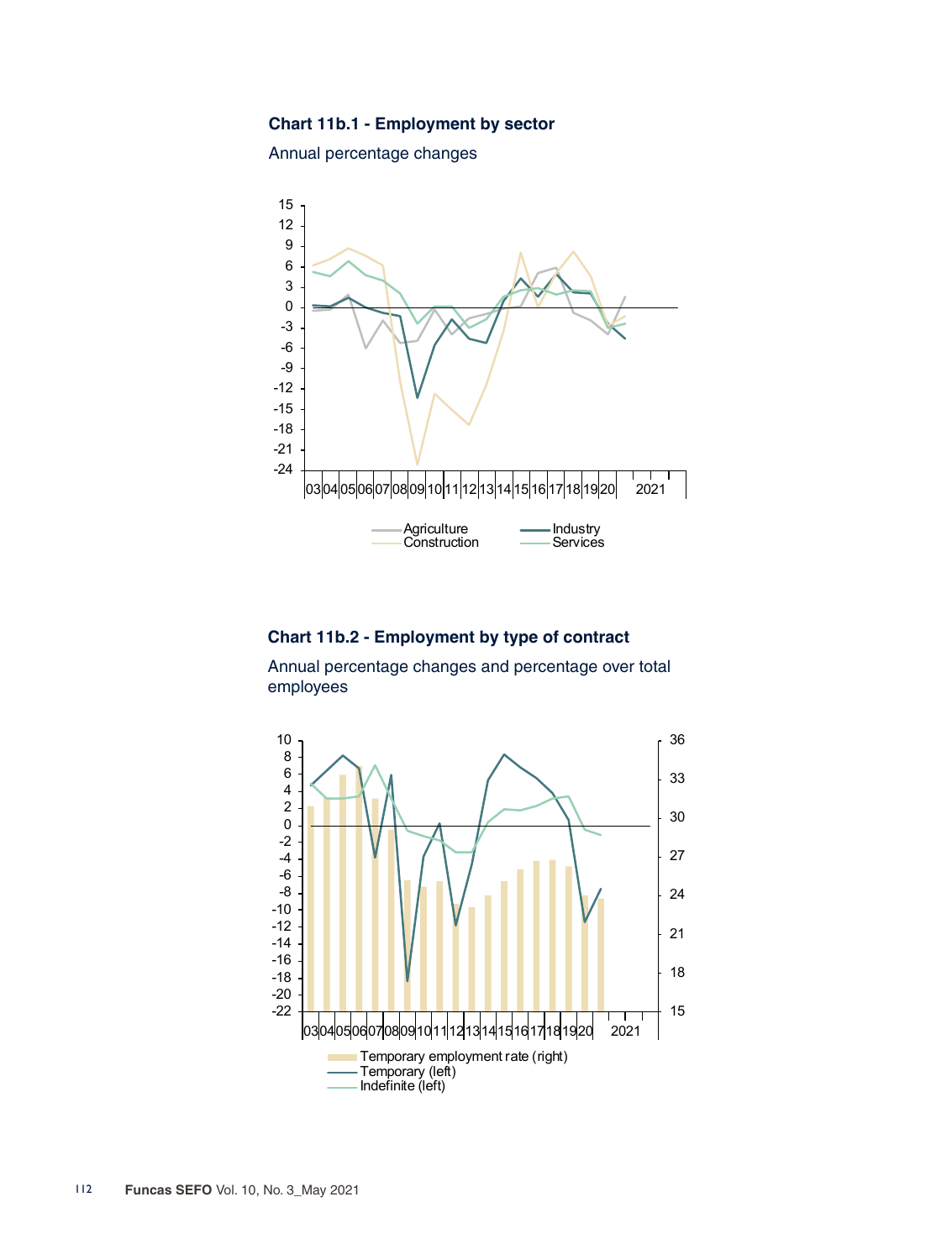## **Chart 11b.1 - Employment by sector**

Annual percentage changes



## **Chart 11b.2 - Employment by type of contract**

Annual percentage changes and percentage over total employees

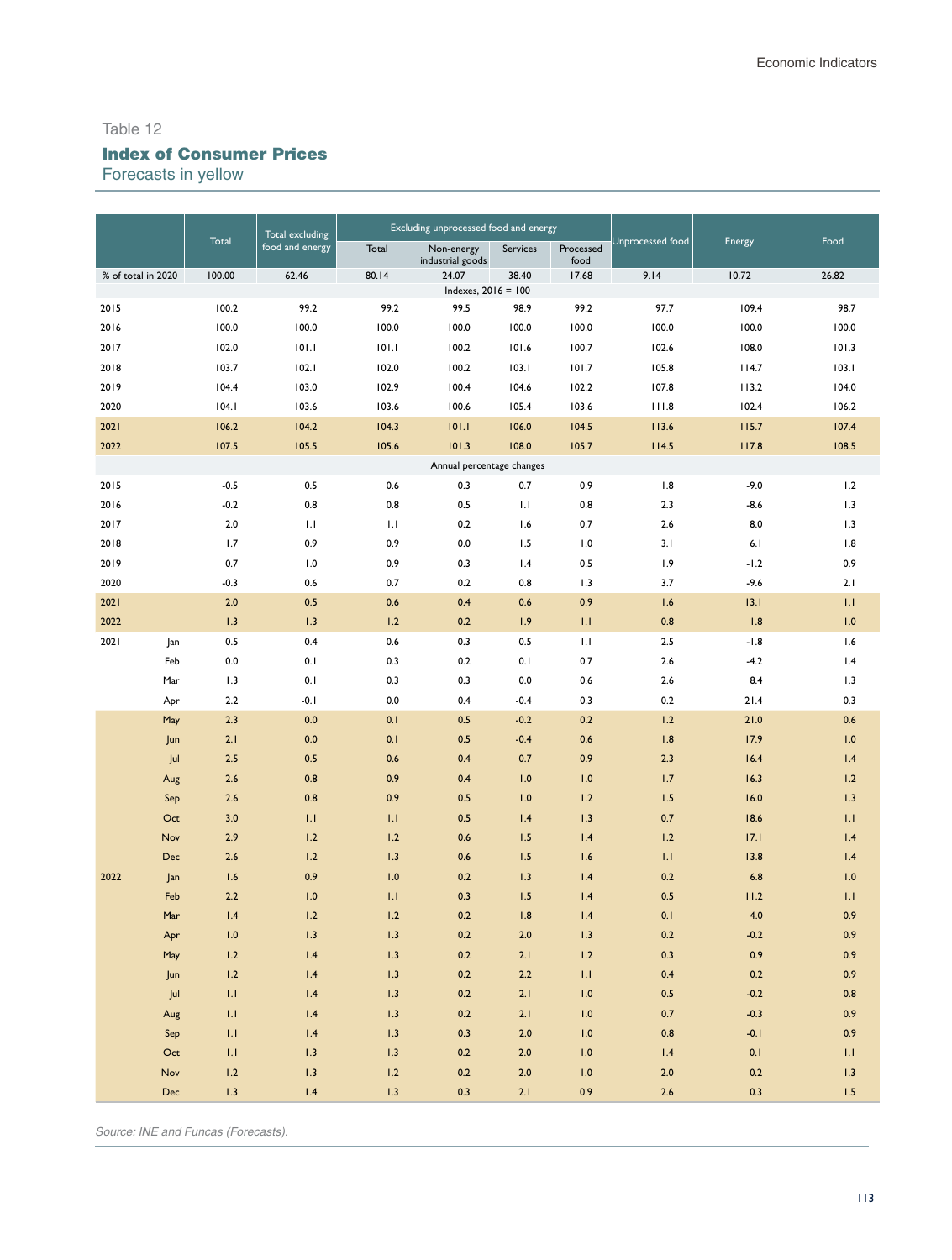# Index of Consumer Prices

Forecasts in yellow

|                    |                |                         | Total excluding<br>food and energy |         | Excluding unprocessed food and energy |                |                   |                         |                |                            |
|--------------------|----------------|-------------------------|------------------------------------|---------|---------------------------------------|----------------|-------------------|-------------------------|----------------|----------------------------|
|                    |                | Total                   |                                    | Total   | Non-energy<br>industrial goods        | Services       | Processed<br>food | <b>Jnprocessed</b> food | Energy         | Food                       |
| % of total in 2020 |                | 100.00                  | 62.46                              | 80.14   | 24.07                                 | 38.40          | 17.68             | 9.14                    | 10.72          | 26.82                      |
| 2015               |                | 100.2                   | 99.2                               | 99.2    | Indexes, $2016 = 100$<br>99.5         | 98.9           | 99.2              | 97.7                    | 109.4          | 98.7                       |
| 2016               |                | 100.0                   | 100.0                              | 100.0   | 100.0                                 | 100.0          | 100.0             | 100.0                   | 100.0          | 100.0                      |
| 2017               |                | 102.0                   | 101.1                              | 101.1   | 100.2                                 | 101.6          | 100.7             | 102.6                   | 108.0          | 101.3                      |
| 2018               |                | 103.7                   | 102.1                              | 102.0   | 100.2                                 | 103.1          |                   | 105.8                   | 114.7          |                            |
| 2019               |                | 104.4                   | 103.0                              | 102.9   | 100.4                                 |                | 101.7             |                         |                | 103.1                      |
| 2020               |                | 104.1                   | 103.6                              | 103.6   | 100.6                                 | 104.6<br>105.4 | 102.2<br>103.6    | 107.8<br>111.8          | 113.2<br>102.4 | 104.0<br>106.2             |
| 2021               |                | 106.2                   | 104.2                              | 104.3   | 101.1                                 | 106.0          | 104.5             | 113.6                   | 115.7          | 107.4                      |
| 2022               |                | 107.5                   | 105.5                              | 105.6   | 101.3                                 | 108.0          | 105.7             | 114.5                   | 117.8          | 108.5                      |
|                    |                |                         |                                    |         | Annual percentage changes             |                |                   |                         |                |                            |
| 2015               |                | $-0.5$                  | 0.5                                | 0.6     | 0.3                                   | 0.7            | 0.9               | 1.8                     | $-9.0$         | 1.2                        |
| 2016               |                | $-0.2$                  | 0.8                                | 0.8     | 0.5                                   | 1.1            | 0.8               | 2.3                     | $-8.6$         | 1.3                        |
| 2017               |                | 2.0                     | 1.1                                | 1.1     | 0.2                                   | 1.6            | 0.7               | 2.6                     | 8.0            | 1.3                        |
| 2018               |                | 1.7                     | 0.9                                | 0.9     | 0.0                                   | 1.5            | 1.0               | 3.1                     | 6.1            | 1.8                        |
| 2019               |                | 0.7                     | 1.0                                | 0.9     | 0.3                                   | 1.4            | 0.5               | 1.9                     | $-1.2$         | 0.9                        |
| 2020               |                | $-0.3$                  | 0.6                                | 0.7     | 0.2                                   | 0.8            | 1.3               | 3.7                     | $-9.6$         | 2.1                        |
| 2021               |                | 2.0                     | 0.5                                | 0.6     | 0.4                                   | 0.6            | 0.9               | 1.6                     | 13.1           | 1.1                        |
| 2022               |                | 1.3                     | 1.3                                | 1.2     | 0.2                                   | 1.9            | 1.1               | 0.8                     | 1.8            | 1.0                        |
| 2021               | Jan            | 0.5                     | 0.4                                | 0.6     | 0.3                                   | 0.5            | 1.1               | 2.5                     | $-1.8$         | 1.6                        |
|                    | Feb            | 0.0                     | 0.1                                | 0.3     | 0.2                                   | 0.1            | 0.7               | 2.6                     | $-4.2$         | 1.4                        |
|                    | Mar            | 1.3                     | 0.1                                | 0.3     | 0.3                                   | 0.0            | 0.6               | 2.6                     | 8.4            | 1.3                        |
|                    | Apr            | 2.2                     | $-0.1$                             | 0.0     | 0.4                                   | $-0.4$         | 0.3               | 0.2                     | 21.4           | 0.3                        |
|                    | May            | 2.3                     | 0.0                                | 0.1     | 0.5                                   | $-0.2$         | 0.2               | 1.2                     | 21.0           | 0.6                        |
|                    | Jun            | 2.1                     | 0.0                                | 0.1     | 0.5                                   | $-0.4$         | 0.6               | 1.8                     | 17.9           | 1.0                        |
|                    | Jul            | 2.5                     | 0.5                                | 0.6     | 0.4                                   | 0.7            | 0.9               | 2.3                     | 16.4           | 1.4                        |
|                    | Aug            | 2.6                     | 0.8                                | 0.9     | 0.4                                   | 1.0            | 1.0               | 1.7                     | 16.3           | 1.2                        |
|                    | Sep            | 2.6                     | 0.8                                | 0.9     | 0.5                                   | 1.0            | 1.2               | 1.5                     | 16.0           | 1.3                        |
|                    | Oct            | 3.0                     | 1.1                                | 1.1     | 0.5                                   | 1.4            | 1.3               | 0.7                     | 18.6           | 1.1                        |
|                    | Nov            | 2.9                     | 1.2                                | 1.2     | 0.6                                   | 1.5            | 1.4               | 1.2                     | 17.1           | 1.4                        |
|                    | Dec            | 2.6                     | 1.2                                | 1.3     | 0.6                                   | 1.5            | 1.6               | 1.1                     | 13.8           | 1.4                        |
| 2022               | Jan            | 1.6                     | 0.9                                | 1.0     | 0.2                                   | 1.3            | 1.4               | 0.2                     | 6.8            | 1.0                        |
|                    | Feb            | 2.2                     | 1.0                                | 1.1     | 0.3                                   | 1.5            | 1.4               | 0.5                     | 11.2           | 1.1                        |
|                    | Mar            | 1.4                     | 1.2                                | 1.2     | 0.2                                   | 1.8            | 1.4               | 0.1                     | 4.0            | 0.9                        |
|                    | Apr            | 1.0                     | 1.3                                | 1.3     | 0.2                                   | 2.0            | 1.3               | 0.2                     | $-0.2$         | 0.9                        |
|                    | May            | 1.2                     | 1.4                                | 1.3     | 0.2                                   | 2.1            | 1.2               | 0.3                     | 0.9            | 0.9                        |
|                    | Jun            | 1.2                     | 1.4                                | 1.3     | 0.2                                   | $2.2\,$        | 1.1               | 0.4                     | 0.2            | 0.9                        |
|                    | Jul            | 1.1 <sub>1</sub>        | $1.4$                              | 1.3     | 0.2                                   | 2.1            | 1.0               | 0.5                     | $-0.2$         | 0.8                        |
|                    | Aug            | 1.1                     | $1.4$                              | 1.3     | 0.2                                   | 2.1            | 1.0               | 0.7                     | $-0.3$         | 0.9                        |
|                    | Sep            | 1.1                     | $1.4$                              | 1.3     | 0.3                                   | $2.0\,$        | $1.0\,$           | 0.8                     | $-0.1$         | 0.9                        |
|                    | $\mathsf{Oct}$ | $\mathbf{L} \mathbf{I}$ | 1.3                                | 1.3     | 0.2                                   | $2.0$          | $1.0\,$           | 1.4                     | 0.1            | $\mathop{\rm Li}\nolimits$ |
|                    | Nov            | 1.2                     | 1.3                                | $1.2\,$ | 0.2                                   | $2.0$          | $1.0\,$           | $2.0$                   | 0.2            | 1.3                        |
|                    | <b>Dec</b>     | 1.3                     | 1.4                                | 1.3     | 0.3                                   | 2.1            | 0.9               | $2.6\,$                 | 0.3            | $1.5\,$                    |

*Source: INE and Funcas (Forecasts).*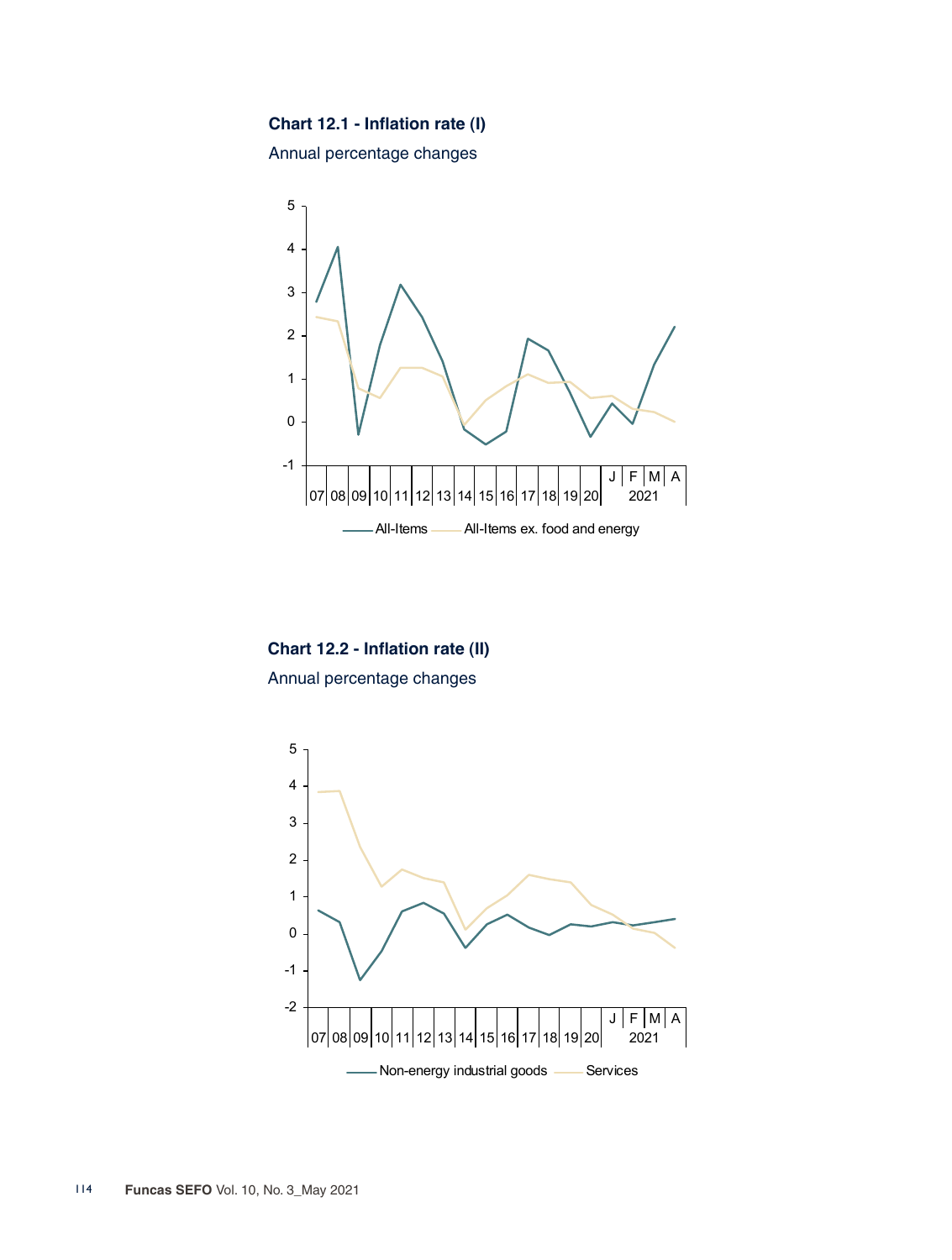# **Chart 12.1 - Inflation rate (I)**

Annual percentage changes



**Chart 12.2 - Inflation rate (II)** Annual percentage changes

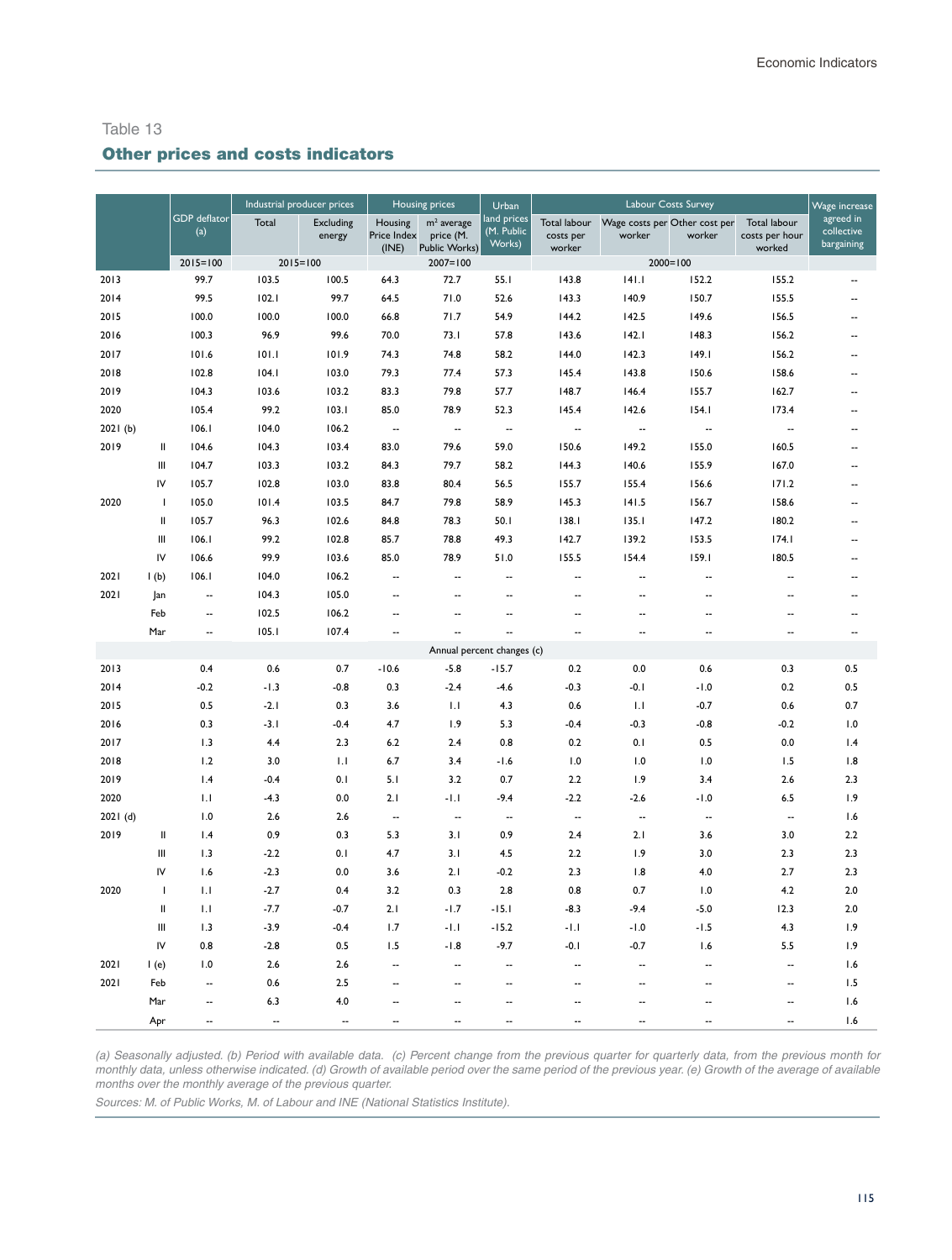# Other prices and costs indicators

|          |               |                            | Industrial producer prices |                            | Housing prices                  |                                            | Urban                                 | Labour Costs Survey                        |                                         |                          | Wage increase                            |                                       |
|----------|---------------|----------------------------|----------------------------|----------------------------|---------------------------------|--------------------------------------------|---------------------------------------|--------------------------------------------|-----------------------------------------|--------------------------|------------------------------------------|---------------------------------------|
|          |               | <b>GDP</b> deflator<br>(a) | Total                      | <b>Excluding</b><br>energy | Housing<br>Price Index<br>(INE) | $m2$ average<br>price (M.<br>Public Works) | land prices<br>$(M.$ Public<br>Works) | <b>Total labour</b><br>costs per<br>worker | Wage costs per Other cost per<br>worker | worker                   | Total labour<br>costs per hour<br>worked | agreed in<br>collective<br>bargaining |
|          |               | $2015 = 100$               | $2015 = 100$               |                            |                                 | $2007 = 100$                               |                                       |                                            | $2000 = 100$                            |                          |                                          |                                       |
| 2013     |               | 99.7                       | 103.5                      | 100.5                      | 64.3                            | 72.7                                       | 55.1                                  | 143.8                                      | 141.1                                   | 152.2                    | 155.2                                    |                                       |
| 2014     |               | 99.5                       | 102.1                      | 99.7                       | 64.5                            | 71.0                                       | 52.6                                  | 143.3                                      | 140.9                                   | 150.7                    | 155.5                                    | ٠.                                    |
| 2015     |               | 100.0                      | 100.0                      | 100.0                      | 66.8                            | 71.7                                       | 54.9                                  | 144.2                                      | 142.5                                   | 149.6                    | 156.5                                    | --                                    |
| 2016     |               | 100.3                      | 96.9                       | 99.6                       | 70.0                            | 73.1                                       | 57.8                                  | 143.6                                      | 142.1                                   | 148.3                    | 156.2                                    | ۰.                                    |
| 2017     |               | 101.6                      | 101.1                      | 101.9                      | 74.3                            | 74.8                                       | 58.2                                  | 144.0                                      | 142.3                                   | 149.1                    | 156.2                                    |                                       |
| 2018     |               | 102.8                      | 104.1                      | 103.0                      | 79.3                            | 77.4                                       | 57.3                                  | 145.4                                      | 143.8                                   | 150.6                    | 158.6                                    | ۰.                                    |
| 2019     |               | 104.3                      | 103.6                      | 103.2                      | 83.3                            | 79.8                                       | 57.7                                  | 148.7                                      | 146.4                                   | 155.7                    | 162.7                                    | ٠.                                    |
| 2020     |               | 105.4                      | 99.2                       | 103.1                      | 85.0                            | 78.9                                       | 52.3                                  | 145.4                                      | 142.6                                   | 154.1                    | 173.4                                    | ۰.                                    |
| 2021(b)  |               | 106.1                      | 104.0                      | 106.2                      | $\overline{\phantom{a}}$        | μ.                                         | Ξ.                                    | Ξ.                                         | $\overline{\phantom{a}}$                | ٠.                       | $\overline{\phantom{a}}$                 | ٠.                                    |
| 2019     | Ш             | 104.6                      | 104.3                      | 103.4                      | 83.0                            | 79.6                                       | 59.0                                  | 150.6                                      | 149.2                                   | 155.0                    | 160.5                                    |                                       |
|          | Ш             | 104.7                      | 103.3                      | 103.2                      | 84.3                            | 79.7                                       | 58.2                                  | 144.3                                      | 140.6                                   | 155.9                    | 167.0                                    | ۰.                                    |
|          | IV            | 105.7                      | 102.8                      | 103.0                      | 83.8                            | 80.4                                       | 56.5                                  | 155.7                                      | 155.4                                   | 156.6                    | 171.2                                    | --                                    |
| 2020     | T             | 105.0                      | 101.4                      | 103.5                      | 84.7                            | 79.8                                       | 58.9                                  | 145.3                                      | 141.5                                   | 156.7                    | 158.6                                    |                                       |
|          | Ш             | 105.7                      | 96.3                       | 102.6                      | 84.8                            | 78.3                                       | 50.1                                  | 138.1                                      | 135.1                                   | 147.2                    | 180.2                                    | $\overline{\phantom{a}}$              |
|          | Ш             | 106.1                      | 99.2                       | 102.8                      | 85.7                            | 78.8                                       | 49.3                                  | 142.7                                      | 139.2                                   | 153.5                    | 174.1                                    |                                       |
|          | IV            | 106.6                      | 99.9                       | 103.6                      | 85.0                            | 78.9                                       | 51.0                                  | 155.5                                      | 154.4                                   | 159.1                    | 180.5                                    | --                                    |
| 2021     | 1(b)          | 106.1                      | 104.0                      | 106.2                      | $\overline{\phantom{a}}$        | Ξ.                                         | Ξ.                                    | --                                         | $\sim$                                  | $\overline{\phantom{a}}$ | Ξ.                                       | --                                    |
| 2021     | Jan           | $\overline{\phantom{a}}$   | 104.3                      | 105.0                      |                                 | ۵.                                         | ۵.                                    | --                                         | $\overline{\phantom{a}}$                | ٠.                       | ٠.                                       |                                       |
|          | Feb           | $\overline{\phantom{a}}$   | 102.5                      | 106.2                      | --                              | ٠.                                         | ٠.                                    | --                                         |                                         | ٠.                       | $\sim$                                   | --                                    |
|          | Mar           | --                         | 105.1                      | 107.4                      | Ξ.                              | Ξ.                                         |                                       | Ξ.                                         | ٠.                                      | Ξ.                       | μ.                                       | Ξ.                                    |
|          |               |                            |                            |                            |                                 |                                            | Annual percent changes (c)            |                                            |                                         |                          |                                          |                                       |
| 2013     |               | 0.4                        | 0.6                        | 0.7                        | $-10.6$                         | $-5.8$                                     | $-15.7$                               | 0.2                                        | 0.0                                     | 0.6                      | 0.3                                      | 0.5                                   |
| 2014     |               | $-0.2$                     | $-1.3$                     | $-0.8$                     | 0.3                             | $-2.4$                                     | $-4.6$                                | $-0.3$                                     | $-0.1$                                  | $-1.0$                   | 0.2                                      | 0.5                                   |
| 2015     |               | 0.5                        | $-2.1$                     | 0.3                        | 3.6                             | 1.1                                        | 4.3                                   | 0.6                                        | 1.1                                     | $-0.7$                   | 0.6                                      | 0.7                                   |
| 2016     |               | 0.3                        | $-3.1$                     | $-0.4$                     | 4.7                             | 1.9                                        | 5.3                                   | $-0.4$                                     | $-0.3$                                  | $-0.8$                   | $-0.2$                                   | 1.0                                   |
| 2017     |               | 1.3                        | 4.4                        | 2.3                        | 6.2                             | 2.4                                        | 0.8                                   | 0.2                                        | 0.1                                     | 0.5                      | 0.0                                      | 1.4                                   |
| 2018     |               | 1.2                        | 3.0                        | 1.1                        | 6.7                             | 3.4                                        | $-1.6$                                | 1.0                                        | 1.0                                     | 1.0                      | 1.5                                      | 1.8                                   |
| 2019     |               | 1.4                        | $-0.4$                     | 0.1                        | 5.1                             | 3.2                                        | 0.7                                   | 2.2                                        | 1.9                                     | 3.4                      | 2.6                                      | 2.3                                   |
| 2020     |               | $\overline{1}$ .           | $-4.3$                     | 0.0                        | 2.1                             | $-1.1$                                     | $-9.4$                                | $-2.2$                                     | $-2.6$                                  | $-1.0$                   | 6.5                                      | 1.9                                   |
| 2021 (d) |               | 1.0                        | 2.6                        | 2.6                        | $\overline{\phantom{a}}$        | $\overline{\phantom{a}}$                   | $\overline{\phantom{a}}$              | --                                         | $\ddotsc$                               | $\overline{\phantom{a}}$ | $\overline{\phantom{a}}$                 | 1.6                                   |
| 2019     | $\sf II$      | 1.4                        | 0.9                        | 0.3                        | 5.3                             | 3.1                                        | 0.9                                   | 2.4                                        | 2.1                                     | 3.6                      | 3.0                                      | 2.2                                   |
|          | Ш             | 1.3                        | $-2.2$                     | 0.1                        | 4.7                             | 3.1                                        | 4.5                                   | 2.2                                        | 1.9                                     | 3.0                      | 2.3                                      | 2.3                                   |
|          | IV            | 1.6                        | $-2.3$                     | 0.0                        | 3.6                             | 2.1                                        | $-0.2$                                | 2.3                                        | 1.8                                     | 4.0                      | 2.7                                      | 2.3                                   |
| 2020     | $\mathbf{I}$  | 1.1                        | $-2.7$                     | 0.4                        | 3.2                             | 0.3                                        | 2.8                                   | 0.8                                        | 0.7                                     | 1.0                      | 4.2                                      | 2.0                                   |
|          | $\mathsf{II}$ | 1.1                        | $-7.7$                     | $-0.7$                     | 2.1                             | $-1.7$                                     | $-15.1$                               | $-8.3$                                     | $-9.4$                                  | $-5.0$                   | 12.3                                     | 2.0                                   |
|          | Ш             | 1.3                        | $-3.9$                     | $-0.4$                     | 1.7                             | $-1.1$                                     | $-15.2$                               | $-1.1$                                     | $-1.0$                                  | $-1.5$                   | 4.3                                      | 1.9                                   |
|          | IV            | 0.8                        | $-2.8$                     | 0.5                        | 1.5                             | $-1.8$                                     | $-9.7$                                | $-0.1$                                     | $-0.7$                                  | 1.6                      | 5.5                                      | 1.9                                   |
| 2021     | 1(e)          | 1.0                        | 2.6                        | 2.6                        | --                              | ٠.                                         | ٠.                                    | ٠.                                         | $\sim$                                  | ٠.                       | $\overline{\phantom{a}}$                 | 1.6                                   |
| 2021     | Feb           | $\overline{\phantom{a}}$   | 0.6                        | 2.5                        | --                              | ۵.                                         | Ξ.                                    | ٠.                                         | --                                      | --                       | $\overline{\phantom{a}}$                 | 1.5                                   |
|          | Mar           | $\overline{\phantom{a}}$   | 6.3                        | 4.0                        | ٠.                              | ۵.                                         | $\overline{\phantom{a}}$              | ż.                                         |                                         | $\overline{\phantom{a}}$ | Ξ.                                       | 1.6                                   |
|          | Apr           | $\overline{\phantom{a}}$   | $\overline{a}$             | $\overline{\phantom{a}}$   | $\overline{\phantom{a}}$        | ۵.                                         | $\overline{\phantom{a}}$              | ۵.                                         |                                         | $\overline{\phantom{a}}$ | $\overline{a}$                           | 1.6                                   |

*(a) Seasonally adjusted. (b) Period with available data. (c) Percent change from the previous quarter for quarterly data, from the previous month for monthly data, unless otherwise indicated. (d) Growth of available period over the same period of the previous year. (e) Growth of the average of available months over the monthly average of the previous quarter.*

*Sources: M. of Public Works, M. of Labour and INE (National Statistics Institute).*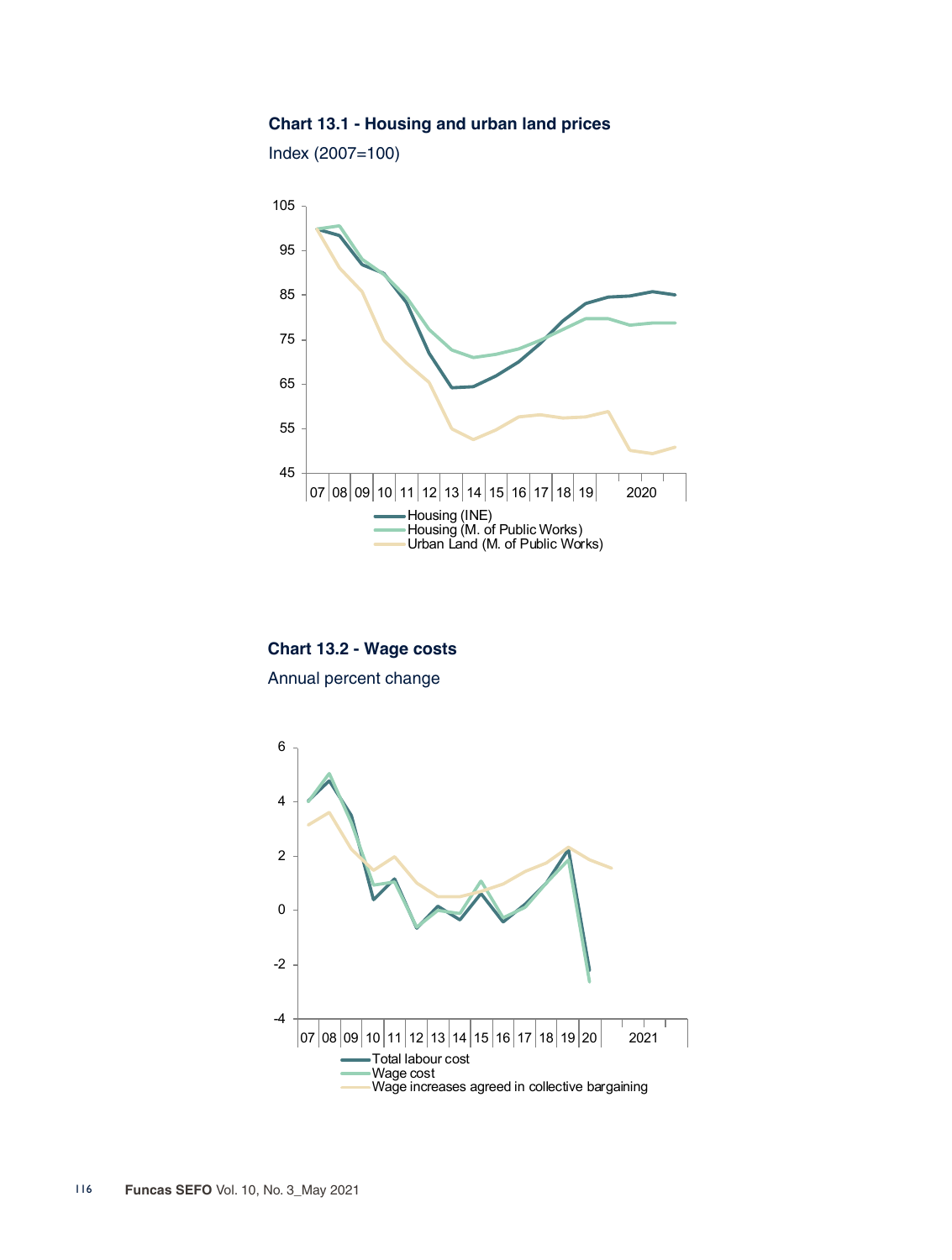## **Chart 13.1 - Housing and urban land prices**

Index (2007=100)



**Chart 13.2 - Wage costs** Annual percent change

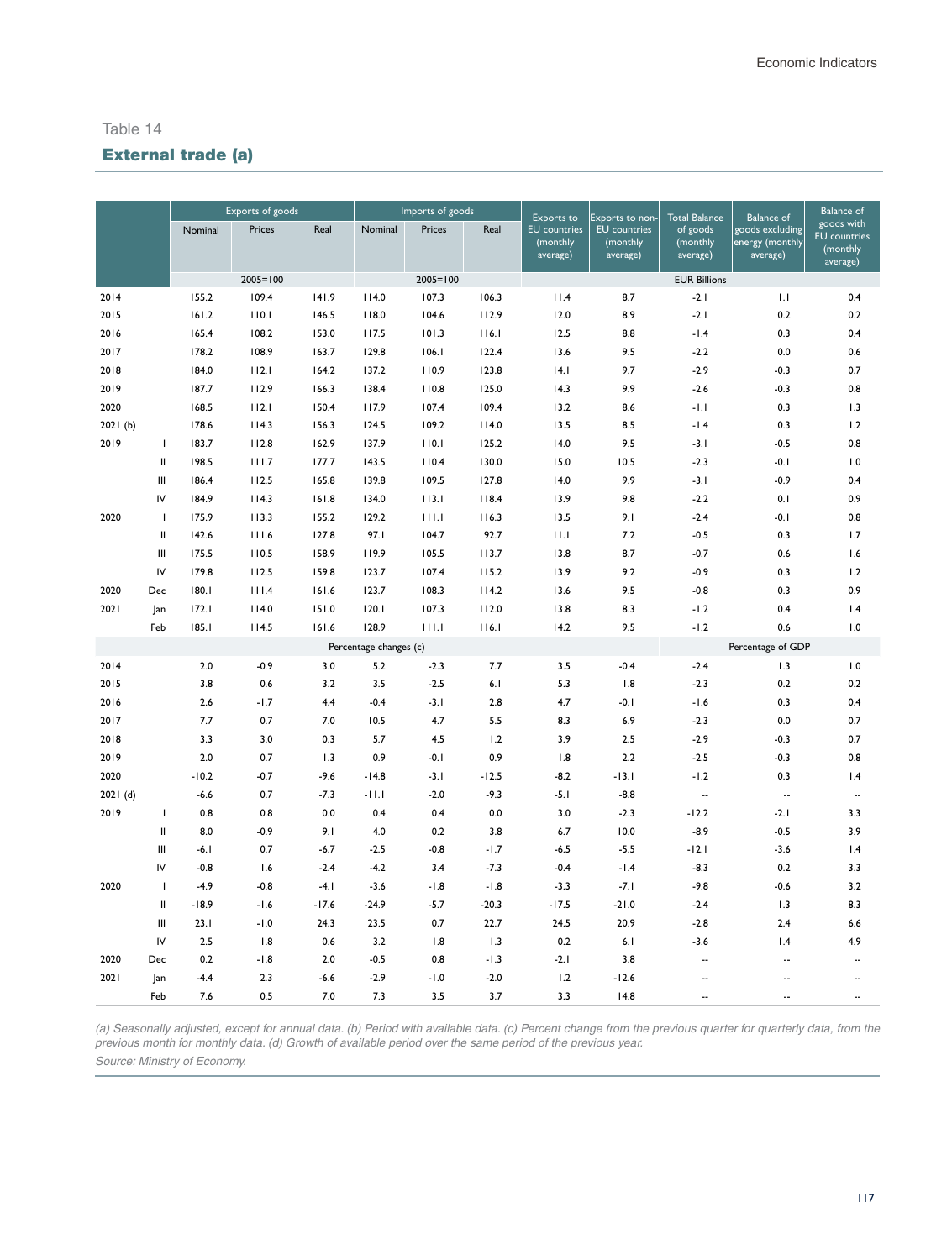# External trade (a)

|         |                |         | Exports of goods |         | Imports of goods       |              |         | Exports to                                  | Exports to non-                             | <b>Total Balance</b>             | Balance of                                     | <b>Balance of</b>                                         |
|---------|----------------|---------|------------------|---------|------------------------|--------------|---------|---------------------------------------------|---------------------------------------------|----------------------------------|------------------------------------------------|-----------------------------------------------------------|
|         |                | Nominal | Prices           | Real    | Nominal                | Prices       | Real    | <b>EU</b> countries<br>(monthly<br>average) | <b>EU</b> countries<br>(monthly<br>average) | of goods<br>(monthly<br>average) | goods excluding<br>energy (monthly<br>average) | goods with<br><b>EU</b> countries<br>(monthly<br>average) |
|         |                |         | $2005 = 100$     |         |                        | $2005 = 100$ |         |                                             |                                             | <b>EUR Billions</b>              |                                                |                                                           |
| 2014    |                | 155.2   | 109.4            | 141.9   | 114.0                  | 107.3        | 106.3   | 11.4                                        | 8.7                                         | $-2.1$                           | 1.1                                            | 0.4                                                       |
| 2015    |                | 161.2   | 110.1            | 146.5   | 118.0                  | 104.6        | 112.9   | 12.0                                        | 8.9                                         | $-2.1$                           | 0.2                                            | 0.2                                                       |
| 2016    |                | 165.4   | 108.2            | 153.0   | 117.5                  | 101.3        | 116.1   | 12.5                                        | 8.8                                         | $-1.4$                           | 0.3                                            | 0.4                                                       |
| 2017    |                | 178.2   | 108.9            | 163.7   | 129.8                  | 106.1        | 122.4   | 13.6                                        | 9.5                                         | $-2.2$                           | 0.0                                            | 0.6                                                       |
| 2018    |                | 184.0   | 112.1            | 164.2   | 137.2                  | 110.9        | 123.8   | 4.1                                         | 9.7                                         | $-2.9$                           | $-0.3$                                         | 0.7                                                       |
| 2019    |                | 187.7   | 112.9            | 166.3   | 138.4                  | 110.8        | 125.0   | 14.3                                        | 9.9                                         | $-2.6$                           | $-0.3$                                         | 0.8                                                       |
| 2020    |                | 168.5   | 112.1            | 150.4   | 117.9                  | 107.4        | 109.4   | 13.2                                        | 8.6                                         | $-1.1$                           | 0.3                                            | 1.3                                                       |
| 2021(b) |                | 178.6   | 114.3            | 156.3   | 124.5                  | 109.2        | 114.0   | 13.5                                        | 8.5                                         | $-1.4$                           | 0.3                                            | 1.2                                                       |
| 2019    | $\mathbf{I}$   | 183.7   | 112.8            | 162.9   | 137.9                  | 110.1        | 125.2   | 14.0                                        | 9.5                                         | $-3.1$                           | $-0.5$                                         | 0.8                                                       |
|         | Ш              | 198.5   | 111.7            | 177.7   | 143.5                  | 110.4        | 130.0   | 15.0                                        | 10.5                                        | $-2.3$                           | $-0.1$                                         | 1.0                                                       |
|         | Ш              | 186.4   | 112.5            | 165.8   | 139.8                  | 109.5        | 127.8   | 14.0                                        | 9.9                                         | $-3.1$                           | $-0.9$                                         | 0.4                                                       |
|         | IV             | 184.9   | 114.3            | 161.8   | 134.0                  | 113.1        | 118.4   | 13.9                                        | 9.8                                         | $-2.2$                           | 0.1                                            | 0.9                                                       |
| 2020    | $\mathbf{I}$   | 175.9   | 113.3            | 155.2   | 129.2                  | 111.1        | 116.3   | 13.5                                        | 9.1                                         | $-2.4$                           | $-0.1$                                         | 0.8                                                       |
|         | Ш              | 142.6   | 111.6            | 127.8   | 97.I                   | 104.7        | 92.7    | 11.1                                        | 7.2                                         | $-0.5$                           | 0.3                                            | 1.7                                                       |
|         | Ш              | 175.5   | 110.5            | 158.9   | 119.9                  | 105.5        | 113.7   | 13.8                                        | 8.7                                         | $-0.7$                           | 0.6                                            | 1.6                                                       |
|         | IV             | 179.8   | 112.5            | 159.8   | 123.7                  | 107.4        | 115.2   | 13.9                                        | 9.2                                         | $-0.9$                           | 0.3                                            | 1.2                                                       |
| 2020    | Dec            | 180.1   | 111.4            | 161.6   | 123.7                  | 108.3        | 114.2   | 13.6                                        | 9.5                                         | $-0.8$                           | 0.3                                            | 0.9                                                       |
| 2021    | Jan            | 172.1   | 114.0            | 151.0   | 120.1                  | 107.3        | 112.0   | 13.8                                        | 8.3                                         | $-1.2$                           | 0.4                                            | 1.4                                                       |
|         | Feb            | 185.1   | 114.5            | 161.6   | 128.9                  | 111.1        | 116.1   | 14.2                                        | 9.5                                         | $-1.2$                           | 0.6                                            | 1.0                                                       |
|         |                |         |                  |         | Percentage changes (c) |              |         |                                             |                                             |                                  | Percentage of GDP                              |                                                           |
| 2014    |                | $2.0$   | $-0.9$           | 3.0     | 5.2                    | $-2.3$       | 7.7     | 3.5                                         | $-0.4$                                      | $-2.4$                           | 1.3                                            | 1.0                                                       |
| 2015    |                | 3.8     | 0.6              | 3.2     | 3.5                    | $-2.5$       | 6.1     | 5.3                                         | 1.8                                         | $-2.3$                           | 0.2                                            | 0.2                                                       |
| 2016    |                | 2.6     | $-1.7$           | 4.4     | $-0.4$                 | $-3.1$       | 2.8     | 4.7                                         | $-0.1$                                      | $-1.6$                           | 0.3                                            | 0.4                                                       |
| 2017    |                | 7.7     | 0.7              | 7.0     | 10.5                   | 4.7          | 5.5     | 8.3                                         | 6.9                                         | $-2.3$                           | 0.0                                            | 0.7                                                       |
| 2018    |                | 3.3     | 3.0              | 0.3     | 5.7                    | 4.5          | 1.2     | 3.9                                         | 2.5                                         | $-2.9$                           | $-0.3$                                         | 0.7                                                       |
| 2019    |                | 2.0     | 0.7              | 1.3     | 0.9                    | $-0.1$       | 0.9     | 1.8                                         | 2.2                                         | $-2.5$                           | $-0.3$                                         | 0.8                                                       |
| 2020    |                | $-10.2$ | $-0.7$           | $-9.6$  | $-14.8$                | $-3.1$       | $-12.5$ | $-8.2$                                      | $-13.1$                                     | $-1.2$                           | 0.3                                            | 1.4                                                       |
| 2021(d) |                | $-6.6$  | 0.7              | $-7.3$  | $-11.1$                | $-2.0$       | $-9.3$  | $-5.1$                                      | $-8.8$                                      | $\overline{\phantom{a}}$         | $\overline{\phantom{a}}$                       | $\overline{\phantom{a}}$                                  |
| 2019    | $\mathbf{I}$   | 0.8     | 0.8              | 0.0     | 0.4                    | 0.4          | 0.0     | 3.0                                         | $-2.3$                                      | $-12.2$                          | $-2.1$                                         | 3.3                                                       |
|         | $\mathbf{I}$   | 8.0     | $-0.9$           | 9.1     | 4.0                    | 0.2          | 3.8     | 6.7                                         | 10.0                                        | $-8.9$                           | $-0.5$                                         | 3.9                                                       |
|         | Ш              | $-6.1$  | 0.7              | $-6.7$  | $-2.5$                 | $-0.8$       | $-1.7$  | $-6.5$                                      | $-5.5$                                      | $-12.1$                          | $-3.6$                                         | 1.4                                                       |
|         | IV             | $-0.8$  | 1.6              | $-2.4$  | $-4.2$                 | 3.4          | $-7.3$  | $-0.4$                                      | $-1.4$                                      | $-8.3$                           | 0.2                                            | 3.3                                                       |
| 2020    | $\mathbf{I}$   | $-4.9$  | $-0.8$           | $-4.1$  | $-3.6$                 | $-1.8$       | $-1.8$  | $-3.3$                                      | $-7.1$                                      | $-9.8$                           | $-0.6$                                         | 3.2                                                       |
|         | $\mathbf{I}$   | $-18.9$ | $-1.6$           | $-17.6$ | $-24.9$                | $-5.7$       | $-20.3$ | $-17.5$                                     | $-21.0$                                     | $-2.4$                           | 1.3                                            | 8.3                                                       |
|         | Ш              | 23.1    | $-1.0$           | 24.3    | 23.5                   | 0.7          | 22.7    | 24.5                                        | 20.9                                        | $-2.8$                           | 2.4                                            | 6.6                                                       |
|         | IV             | 2.5     | 1.8              | 0.6     | 3.2                    | 1.8          | 1.3     | 0.2                                         | 6.1                                         | $-3.6$                           | 1.4                                            | 4.9                                                       |
| 2020    | $\mathsf{Dec}$ | 0.2     | $-1.8$           | 2.0     | $-0.5$                 | 0.8          | $-1.3$  | $-2.1$                                      | 3.8                                         | $\ddotsc$                        | $\overline{a}$                                 | $\overline{a}$                                            |
| 2021    | Jan            | $-4.4$  | 2.3              | $-6.6$  | $-2.9$                 | $-1.0$       | $-2.0$  | 1.2                                         | $-12.6$                                     | Ξ.                               | $\overline{a}$                                 | -−                                                        |
|         | Feb            | 7.6     | 0.5              | 7.0     | 7.3                    | 3.5          | 3.7     | 3.3                                         | 14.8                                        |                                  |                                                | $\overline{\phantom{a}}$                                  |

*(a) Seasonally adjusted, except for annual data. (b) Period with available data. (c) Percent change from the previous quarter for quarterly data, from the previous month for monthly data. (d) Growth of available period over the same period of the previous year.* 

*Source: Ministry of Economy.*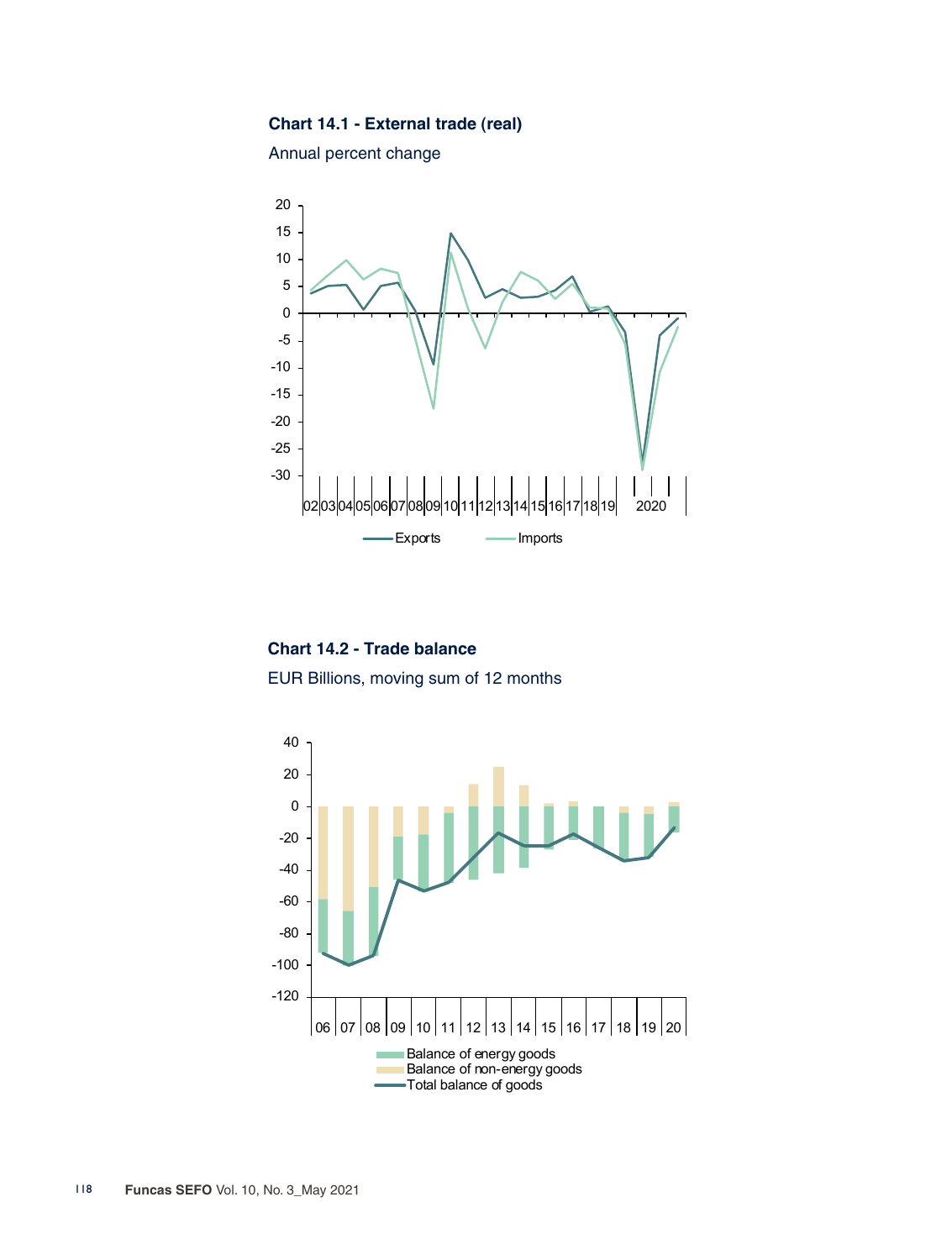#### **Chart 14.1 - External trade (real)**

Annual percent change



**Chart 14.2 - Trade balance** EUR Billions, moving sum of 12 months

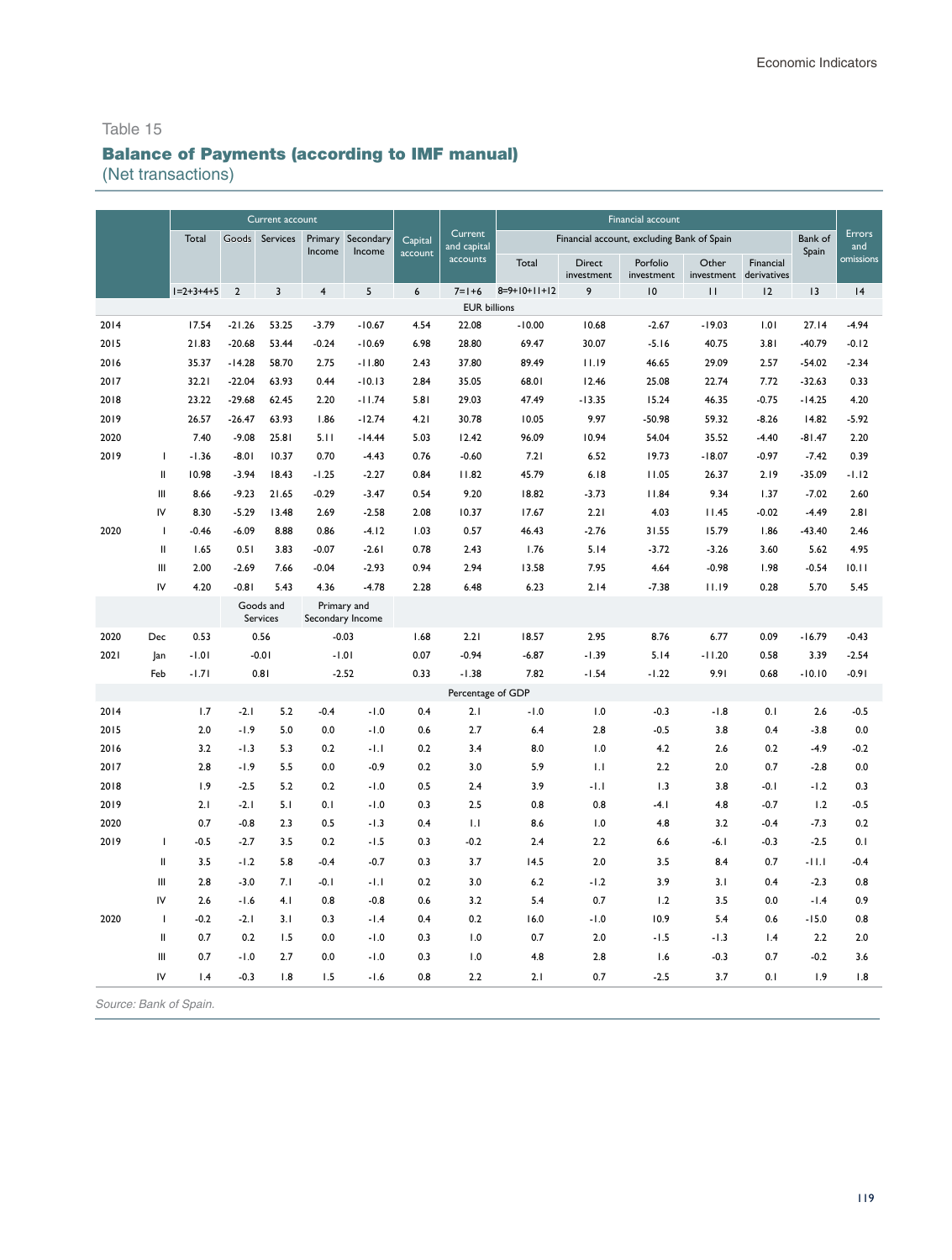# Balance of Payments (according to IMF manual)

(Net transactions)

|      |                |             |                | Current account       |                  |                   |         |                        | Financial account |                      |                                            |              |                                     |          |               |
|------|----------------|-------------|----------------|-----------------------|------------------|-------------------|---------|------------------------|-------------------|----------------------|--------------------------------------------|--------------|-------------------------------------|----------|---------------|
|      |                | Total       |                | Goods Services        |                  | Primary Secondary | Capital | Current<br>and capital |                   |                      | Financial account, excluding Bank of Spain |              |                                     | Bank of  | Errors<br>and |
|      |                |             |                |                       | Income           | Income            | account | accounts               | Total             | Direct<br>investment | Porfolio<br>investment                     | Other        | Financial<br>investment derivatives | Spain    | omissions     |
|      |                | $1=2+3+4+5$ | $\overline{2}$ | $\overline{3}$        | $\overline{4}$   | 5                 | 6       | $7 = 1 + 6$            | $8=9+10+11+12$    | 9                    | 10                                         | $\mathbf{H}$ | 12                                  | 13       | 4             |
|      |                |             |                |                       |                  |                   |         | <b>EUR billions</b>    |                   |                      |                                            |              |                                     |          |               |
| 2014 |                | 17.54       | $-21.26$       | 53.25                 | $-3.79$          | $-10.67$          | 4.54    | 22.08                  | $-10.00$          | 10.68                | $-2.67$                                    | $-19.03$     | 1.01                                | 27.14    | $-4.94$       |
| 2015 |                | 21.83       | $-20.68$       | 53.44                 | $-0.24$          | $-10.69$          | 6.98    | 28.80                  | 69.47             | 30.07                | $-5.16$                                    | 40.75        | 3.81                                | $-40.79$ | $-0.12$       |
| 2016 |                | 35.37       | $-14.28$       | 58.70                 | 2.75             | $-11.80$          | 2.43    | 37.80                  | 89.49             | 11.19                | 46.65                                      | 29.09        | 2.57                                | $-54.02$ | $-2.34$       |
| 2017 |                | 32.21       | $-22.04$       | 63.93                 | 0.44             | $-10.13$          | 2.84    | 35.05                  | 68.01             | 12.46                | 25.08                                      | 22.74        | 7.72                                | $-32.63$ | 0.33          |
| 2018 |                | 23.22       | $-29.68$       | 62.45                 | 2.20             | $-11.74$          | 5.81    | 29.03                  | 47.49             | $-13.35$             | 15.24                                      | 46.35        | $-0.75$                             | $-14.25$ | 4.20          |
| 2019 |                | 26.57       | $-26.47$       | 63.93                 | 1.86             | $-12.74$          | 4.21    | 30.78                  | 10.05             | 9.97                 | $-50.98$                                   | 59.32        | $-8.26$                             | 14.82    | $-5.92$       |
| 2020 |                | 7.40        | $-9.08$        | 25.81                 | 5.11             | $-14.44$          | 5.03    | 12.42                  | 96.09             | 10.94                | 54.04                                      | 35.52        | $-4.40$                             | $-81.47$ | 2.20          |
| 2019 | I              | $-1.36$     | $-8.01$        | 10.37                 | 0.70             | $-4.43$           | 0.76    | $-0.60$                | 7.21              | 6.52                 | 19.73                                      | $-18.07$     | $-0.97$                             | $-7.42$  | 0.39          |
|      | $\mathbf{I}$   | 10.98       | $-3.94$        | 18.43                 | $-1.25$          | $-2.27$           | 0.84    | 11.82                  | 45.79             | 6.18                 | 11.05                                      | 26.37        | 2.19                                | $-35.09$ | $-1.12$       |
|      | Ш              | 8.66        | $-9.23$        | 21.65                 | $-0.29$          | $-3.47$           | 0.54    | 9.20                   | 18.82             | $-3.73$              | 11.84                                      | 9.34         | 1.37                                | $-7.02$  | 2.60          |
|      | IV             | 8.30        | $-5.29$        | 13.48                 | 2.69             | $-2.58$           | 2.08    | 10.37                  | 17.67             | 2.21                 | 4.03                                       | 11.45        | $-0.02$                             | $-4.49$  | 2.81          |
| 2020 | $\overline{1}$ | $-0.46$     | $-6.09$        | 8.88                  | 0.86             | $-4.12$           | 1.03    | 0.57                   | 46.43             | $-2.76$              | 31.55                                      | 15.79        | 1.86                                | $-43.40$ | 2.46          |
|      | $\sf II$       | 1.65        | 0.51           | 3.83                  | $-0.07$          | $-2.61$           | 0.78    | 2.43                   | 1.76              | 5.14                 | $-3.72$                                    | $-3.26$      | 3.60                                | 5.62     | 4.95          |
|      | Ш              | 2.00        | $-2.69$        | 7.66                  | $-0.04$          | $-2.93$           | 0.94    | 2.94                   | 13.58             | 7.95                 | 4.64                                       | $-0.98$      | 1.98                                | $-0.54$  | 10.11         |
|      | IV             | 4.20        | $-0.81$        | 5.43                  | 4.36             | $-4.78$           | 2.28    | 6.48                   | 6.23              | 2.14                 | $-7.38$                                    | 11.19        | 0.28                                | 5.70     | 5.45          |
|      |                |             |                | Goods and<br>Services | Secondary Income | Primary and       |         |                        |                   |                      |                                            |              |                                     |          |               |
| 2020 | Dec            | 0.53        |                | 0.56                  | $-0.03$          |                   | 1.68    | 2.21                   | 18.57             | 2.95                 | 8.76                                       | 6.77         | 0.09                                | $-16.79$ | $-0.43$       |
| 2021 | Jan            | $-1.01$     |                | $-0.01$               | $-1.01$          |                   | 0.07    | $-0.94$                | $-6.87$           | $-1.39$              | 5.14                                       | $-11.20$     | 0.58                                | 3.39     | $-2.54$       |
|      | Feb            | $-1.71$     |                | 0.81                  | $-2.52$          |                   | 0.33    | $-1.38$                | 7.82              | $-1.54$              | $-1.22$                                    | 9.91         | 0.68                                | $-10.10$ | $-0.91$       |
|      |                |             |                |                       |                  |                   |         | Percentage of GDP      |                   |                      |                                            |              |                                     |          |               |
| 2014 |                | 1.7         | $-2.1$         | 5.2                   | $-0.4$           | $-1.0$            | 0.4     | 2.1                    | $-1.0$            | 1.0                  | $-0.3$                                     | $-1.8$       | 0.1                                 | 2.6      | $-0.5$        |
| 2015 |                | 2.0         | $-1.9$         | 5.0                   | 0.0              | $-1.0$            | 0.6     | 2.7                    | 6.4               | 2.8                  | $-0.5$                                     | 3.8          | 0.4                                 | $-3.8$   | 0.0           |
| 2016 |                | 3.2         | $-1.3$         | 5.3                   | 0.2              | $-1.1$            | 0.2     | 3.4                    | 8.0               | 1.0                  | 4.2                                        | 2.6          | 0.2                                 | $-4.9$   | $-0.2$        |
| 2017 |                | 2.8         | $-1.9$         | 5.5                   | 0.0              | $-0.9$            | 0.2     | 3.0                    | 5.9               | 1.1                  | 2.2                                        | 2.0          | 0.7                                 | $-2.8$   | 0.0           |
| 2018 |                | 1.9         | $-2.5$         | 5.2                   | 0.2              | $-1.0$            | 0.5     | 2.4                    | 3.9               | $-1.1$               | 1.3                                        | 3.8          | $-0.1$                              | $-1.2$   | 0.3           |
| 2019 |                | 2.1         | $-2.1$         | 5.1                   | 0.1              | $-1.0$            | 0.3     | 2.5                    | 0.8               | 0.8                  | $-4.1$                                     | 4.8          | $-0.7$                              | 1.2      | $-0.5$        |
| 2020 |                | 0.7         | $-0.8$         | 2.3                   | 0.5              | $-1.3$            | 0.4     | 1.1                    | 8.6               | 1.0                  | 4.8                                        | 3.2          | $-0.4$                              | $-7.3$   | 0.2           |
| 2019 | $\mathbf{I}$   | $-0.5$      | $-2.7$         | 3.5                   | 0.2              | $-1.5$            | 0.3     | $-0.2$                 | 2.4               | 2.2                  | 6.6                                        | $-6.1$       | $-0.3$                              | $-2.5$   | 0.1           |
|      | $\mathbf{  }$  | 3.5         | $-1.2$         | 5.8                   | $-0.4$           | $-0.7$            | 0.3     | 3.7                    | 14.5              | 2.0                  | 3.5                                        | 8.4          | 0.7                                 | $-11.1$  | $-0.4$        |
|      | Ш              | 2.8         | $-3.0$         | 7.1                   | $-0.1$           | $-1.1$            | 0.2     | 3.0                    | 6.2               | $-1.2$               | 3.9                                        | 3.1          | 0.4                                 | $-2.3$   | 0.8           |
|      | IV             | 2.6         | $-1.6$         | 4.1                   | 0.8              | $-0.8$            | 0.6     | 3.2                    | 5.4               | 0.7                  | 1.2                                        | 3.5          | 0.0                                 | $-1.4$   | 0.9           |
| 2020 | $\mathbf{I}$   | $-0.2$      | $-2.1$         | 3.1                   | 0.3              | $-1.4$            | 0.4     | 0.2                    | 16.0              | $-1.0$               | 10.9                                       | 5.4          | 0.6                                 | $-15.0$  | 0.8           |
|      | $\mathbf{H}$   | 0.7         | 0.2            | 1.5                   | 0.0              | $-1.0$            | 0.3     | 1.0                    | 0.7               | 2.0                  | $-1.5$                                     | $-1.3$       | 1.4                                 | 2.2      | 2.0           |
|      | Ш              | 0.7         | $-1.0$         | 2.7                   | 0.0              | $-1.0$            | 0.3     | 1.0                    | 4.8               | 2.8                  | 1.6                                        | $-0.3$       | 0.7                                 | $-0.2$   | 3.6           |
|      | IV             | 1.4         | $-0.3$         | 1.8                   | 1.5              | $-1.6$            | 0.8     | 2.2                    | 2.1               | 0.7                  | $-2.5$                                     | 3.7          | 0.1                                 | 1.9      | 1.8           |
|      |                |             |                |                       |                  |                   |         |                        |                   |                      |                                            |              |                                     |          |               |

Source: Bank of Spain.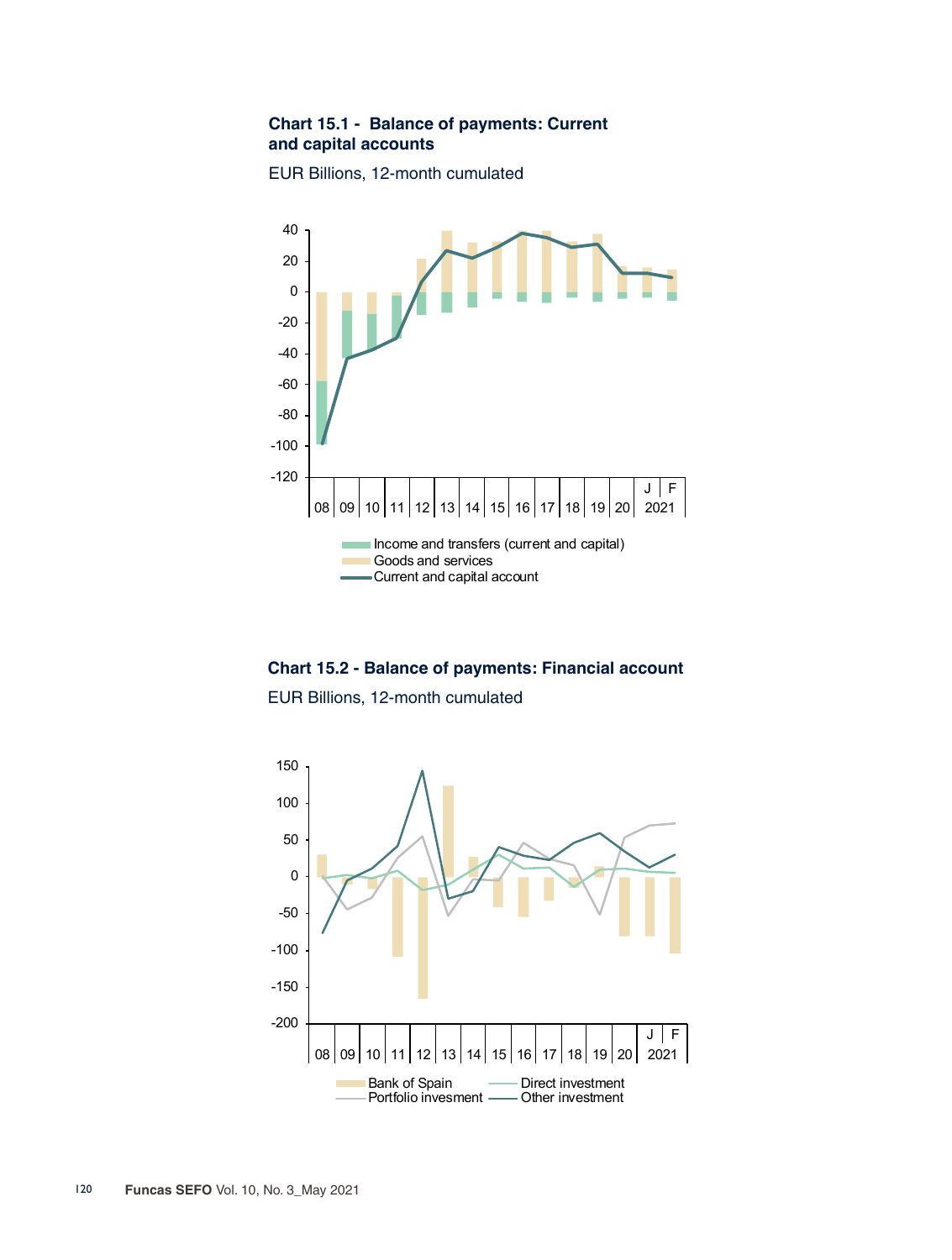### **Chart 15.1 - Balance of payments: Current and capital accounts**

EUR Billions, 12-month cumulated



**Chart 15.2 - Balance of payments: Financial account**

EUR Billions, 12-month cumulated

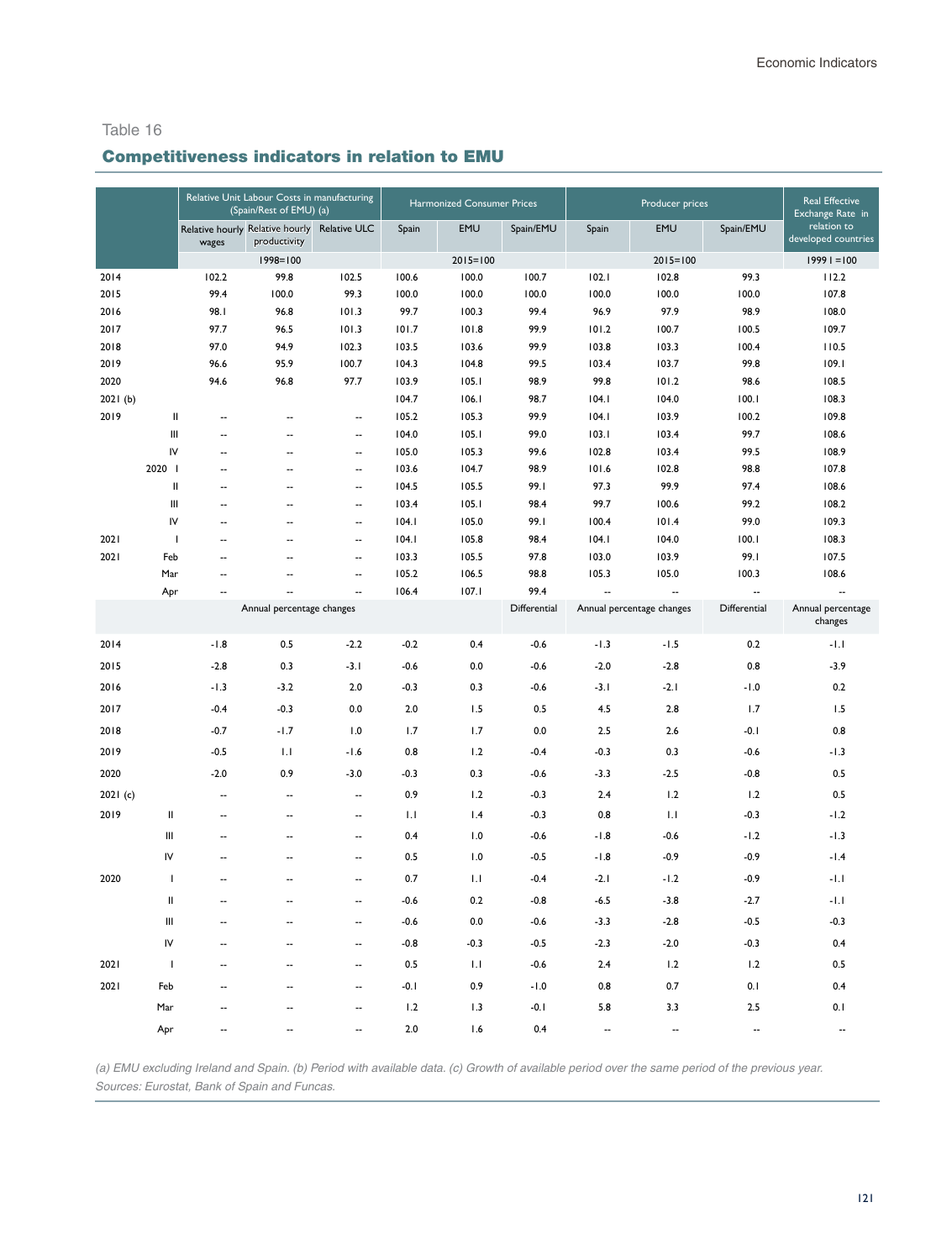## Competitiveness indicators in relation to EMU

|          |                          | Relative Unit Labour Costs in manufacturing<br>(Spain/Rest of EMU) (a) |                                                 |                                                      | Harmonized Consumer Prices |                |              |                | <b>Real Effective</b><br>Exchange Rate in |                          |                                    |
|----------|--------------------------|------------------------------------------------------------------------|-------------------------------------------------|------------------------------------------------------|----------------------------|----------------|--------------|----------------|-------------------------------------------|--------------------------|------------------------------------|
|          |                          | wages                                                                  | Relative hourly Relative hourly<br>productivity | Relative ULC                                         | Spain                      | EMU            | Spain/EMU    | Spain          | EMU                                       | Spain/EMU                | relation to<br>developed countries |
|          |                          |                                                                        | $1998 = 100$                                    |                                                      |                            | $2015 = 100$   |              |                | $2015 = 100$                              |                          | $19991 = 100$                      |
| 2014     |                          | 102.2                                                                  | 99.8                                            | 102.5                                                | 100.6                      | 100.0          | 100.7        | 102.1          | 102.8                                     | 99.3                     | 112.2                              |
| 2015     |                          | 99.4                                                                   | 100.0                                           | 99.3                                                 | 100.0                      | 100.0          | 100.0        | 100.0          | 100.0                                     | 100.0                    | 107.8                              |
| 2016     |                          | 98.1                                                                   | 96.8                                            | 101.3                                                | 99.7                       | 100.3          | 99.4         | 96.9           | 97.9                                      | 98.9                     | 108.0                              |
| 2017     |                          | 97.7                                                                   | 96.5                                            | 101.3                                                | 101.7                      | 101.8          | 99.9         | 101.2          | 100.7                                     | 100.5                    | 109.7                              |
| 2018     |                          | 97.0                                                                   | 94.9                                            | 102.3                                                | 103.5                      | 103.6          | 99.9         | 103.8          | 103.3                                     | 100.4                    | 110.5                              |
| 2019     |                          | 96.6                                                                   | 95.9                                            | 100.7                                                | 104.3                      | 104.8          | 99.5         | 103.4          | 103.7                                     | 99.8                     | 109.1                              |
| 2020     |                          | 94.6                                                                   | 96.8                                            | 97.7                                                 | 103.9                      | 105.1          | 98.9         | 99.8           | 101.2                                     | 98.6                     | 108.5                              |
| 2021(b)  |                          |                                                                        |                                                 |                                                      | 104.7                      | 106.1          | 98.7         | 104.1          | 104.0                                     | 100.1                    | 108.3                              |
| 2019     | $\mathbf{I}$             | Ξ.                                                                     | $\sim$                                          | $\overline{\phantom{a}}$                             | 105.2                      | 105.3          | 99.9         | 104.1          | 103.9                                     | 100.2                    | 109.8                              |
|          | Ш                        | --                                                                     | ۵.                                              | $\overline{\phantom{a}}$                             | 104.0                      | 105.1          | 99.0         | 103.1          | 103.4                                     | 99.7                     | 108.6                              |
|          | IV<br>2020               | Ξ.<br>$\overline{\phantom{a}}$                                         | ٠.<br>٠.                                        | $\overline{\phantom{a}}$<br>$\overline{\phantom{a}}$ | 105.0<br>103.6             | 105.3<br>104.7 | 99.6<br>98.9 | 102.8<br>101.6 | 103.4<br>102.8                            | 99.5<br>98.8             | 108.9<br>107.8                     |
|          | $\mathbf{I}$             | $\overline{\phantom{a}}$                                               |                                                 | $\ddot{\phantom{a}}$                                 | 104.5                      | 105.5          | 99.1         | 97.3           | 99.9                                      | 97.4                     | 108.6                              |
|          | Ш                        | Ξ.                                                                     | ۵.                                              | --                                                   | 103.4                      | 105.1          | 98.4         | 99.7           | 100.6                                     | 99.2                     | 108.2                              |
|          | IV                       | Ξ.                                                                     |                                                 | Ξ.                                                   | 104.1                      | 105.0          | 99.1         | 100.4          | 101.4                                     | 99.0                     | 109.3                              |
| 2021     | $\overline{\phantom{a}}$ | --                                                                     | --                                              | $\overline{\phantom{a}}$                             | 104.1                      | 105.8          | 98.4         | 104.1          | 104.0                                     | 100.1                    | 108.3                              |
| 2021     | Feb                      | Ξ.                                                                     |                                                 | --                                                   | 103.3                      | 105.5          | 97.8         | 103.0          | 103.9                                     | 99.1                     | 107.5                              |
|          | Mar                      | Ξ.                                                                     | ۰.                                              | μ.                                                   | 105.2                      | 106.5          | 98.8         | 105.3          | 105.0                                     | 100.3                    | 108.6                              |
|          | Apr                      | $\overline{\phantom{a}}$                                               | $\sim$                                          | $\overline{\phantom{a}}$                             | 106.4                      | 107.1          | 99.4         |                |                                           | $\overline{\phantom{a}}$ | $\ddot{\phantom{a}}$               |
|          |                          |                                                                        | Annual percentage changes                       |                                                      |                            |                | Differential |                | Annual percentage changes                 | Differential             | Annual percentage<br>changes       |
| 2014     |                          | $-1.8$                                                                 | 0.5                                             | $-2.2$                                               | $-0.2$                     | 0.4            | $-0.6$       | $-1.3$         | $-1.5$                                    | 0.2                      | $-1.1$                             |
| 2015     |                          | $-2.8$                                                                 | 0.3                                             | $-3.1$                                               | $-0.6$                     | 0.0            | $-0.6$       | $-2.0$         | $-2.8$                                    | 0.8                      | $-3.9$                             |
| 2016     |                          | $-1.3$                                                                 | $-3.2$                                          | 2.0                                                  | $-0.3$                     | 0.3            | $-0.6$       | $-3.1$         | $-2.1$                                    | $-1.0$                   | 0.2                                |
| 2017     |                          | $-0.4$                                                                 | $-0.3$                                          | 0.0                                                  | 2.0                        | 1.5            | 0.5          | 4.5            | 2.8                                       | 1.7                      | 1.5                                |
| 2018     |                          | $-0.7$                                                                 | $-1.7$                                          | 1.0                                                  | 1.7                        | 1.7            | 0.0          | 2.5            | 2.6                                       | -0.1                     | 0.8                                |
| 2019     |                          | $-0.5$                                                                 | 1.1                                             | $-1.6$                                               | 0.8                        | 1.2            | $-0.4$       | $-0.3$         | 0.3                                       | $-0.6$                   | $-1.3$                             |
| 2020     |                          | $-2.0$                                                                 | 0.9                                             | $-3.0$                                               | $-0.3$                     | 0.3            | $-0.6$       | $-3.3$         | $-2.5$                                    | $-0.8$                   | 0.5                                |
| 2021 (c) |                          | Ξ.                                                                     | $\overline{\phantom{a}}$                        | Ξ.                                                   | 0.9                        | 1.2            | $-0.3$       | 2.4            | 1.2                                       | 1.2                      | 0.5                                |
| 2019     | $\sf II$                 | --                                                                     | $\overline{\phantom{a}}$                        | $\overline{\phantom{a}}$                             | 1.1                        | 1.4            | $-0.3$       | 0.8            | 1.1                                       | $-0.3$                   | $-1.2$                             |
|          | Ш                        | Ξ.                                                                     | ٠.                                              | Ξ.                                                   | 0.4                        | 1.0            | $-0.6$       | $-1.8$         | $-0.6$                                    | $-1.2$                   | $-1.3$                             |
|          | IV                       | $\overline{\phantom{a}}$                                               | ٠.                                              | $\ddotsc$                                            | 0.5                        | 1.0            | $-0.5$       | $-1.8$         | $-0.9$                                    | $-0.9$                   | $-1.4$                             |
| 2020     | $\mathbf{I}$             | $\overline{a}$                                                         | $\overline{a}$                                  | Ξ.                                                   | 0.7                        | 1.1            | $-0.4$       | $-2.1$         | $-1.2$                                    | $-0.9$                   | $-1.1$                             |
|          | Ш                        | $\overline{\phantom{a}}$                                               | $\overline{\phantom{a}}$                        | $\overline{\phantom{a}}$                             | $-0.6$                     | 0.2            | $-0.8$       | $-6.5$         | $-3.8$                                    | $-2.7$                   | $-1.1$                             |
|          | Ш                        | Ξ.                                                                     |                                                 | Ξ.                                                   | $-0.6$                     | 0.0            | $-0.6$       | $-3.3$         | $-2.8$                                    | $-0.5$                   | $-0.3$                             |
|          | IV                       | $\overline{\phantom{a}}$                                               | $\overline{a}$                                  | $\overline{\phantom{a}}$                             | $-0.8$                     | $-0.3$         | $-0.5$       | $-2.3$         | $-2.0$                                    | $-0.3$                   | 0.4                                |
| 2021     | J.                       | Ξ.                                                                     |                                                 | Ξ.                                                   | 0.5                        | 1.1            | $-0.6$       | 2.4            | 1.2                                       | 1.2                      | 0.5                                |
| 2021     | Feb                      | $\overline{a}$                                                         | ٠.                                              | --                                                   | $-0.1$                     | 0.9            | $-1.0$       | 0.8            | 0.7                                       | 0.1                      | 0.4                                |
|          | Mar                      |                                                                        |                                                 | Ξ.                                                   | 1.2                        | 1.3            | $-0.1$       | 5.8            | 3.3                                       | 2.5                      | 0.1                                |
|          | Apr                      |                                                                        |                                                 | ш.                                                   | 2.0                        | 1.6            | 0.4          | $\overline{a}$ | $\overline{a}$                            | $\overline{\phantom{a}}$ | $\overline{\phantom{a}}$           |

*(a) EMU excluding Ireland and Spain. (b) Period with available data. (c) Growth of available period over the same period of the previous year. Sources: Eurostat, Bank of Spain and Funcas.*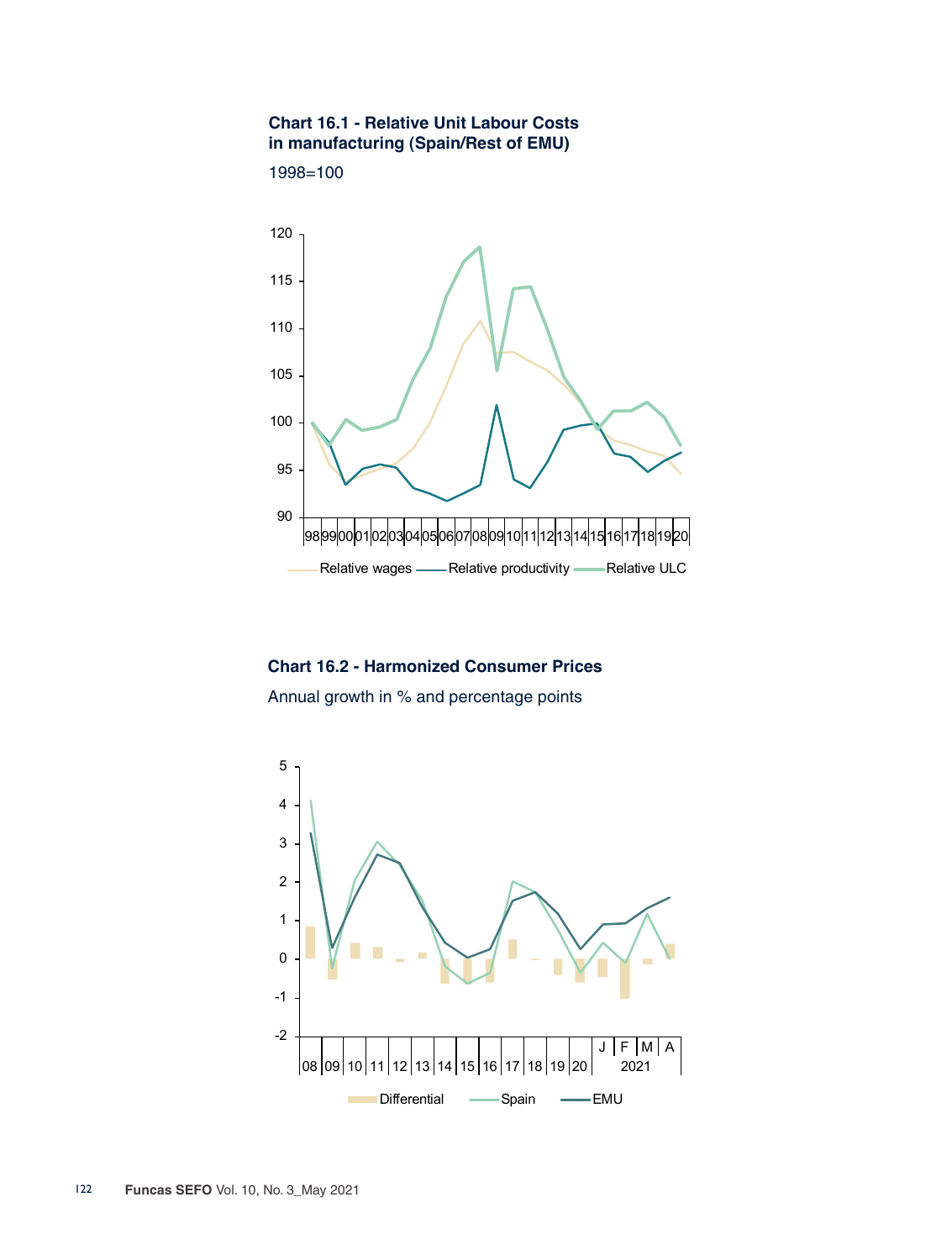#### **Chart 16.1 - Relative Unit Labour Costs in manufacturing (Spain/Rest of EMU)**





**Chart 16.2 - Harmonized Consumer Prices** Annual growth in % and percentage points

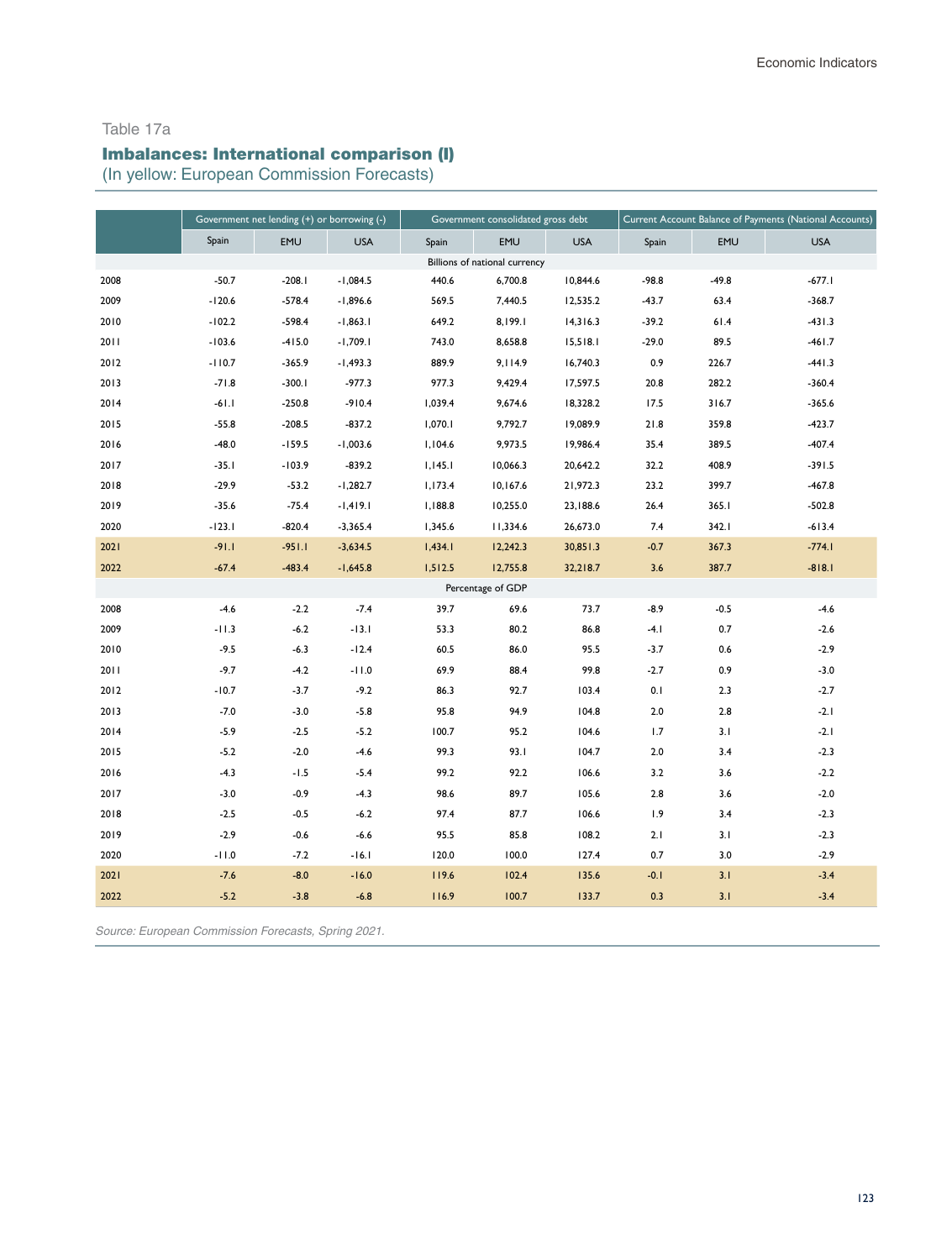#### Table 17a

# Imbalances: International comparison (I)

(In yellow: European Commission Forecasts)

|      | Government net lending (+) or borrowing (-) |            |            |         | Government consolidated gross debt |            | Current Account Balance of Payments (National Accounts) |            |            |
|------|---------------------------------------------|------------|------------|---------|------------------------------------|------------|---------------------------------------------------------|------------|------------|
|      | Spain                                       | <b>EMU</b> | <b>USA</b> | Spain   | <b>EMU</b>                         | <b>USA</b> | Spain                                                   | <b>EMU</b> | <b>USA</b> |
|      |                                             |            |            |         | Billions of national currency      |            |                                                         |            |            |
| 2008 | $-50.7$                                     | $-208.1$   | $-1,084.5$ | 440.6   | 6,700.8                            | 10,844.6   | $-98.8$                                                 | $-49.8$    | $-677.1$   |
| 2009 | $-120.6$                                    | $-578.4$   | $-1,896.6$ | 569.5   | 7,440.5                            | 12,535.2   | $-43.7$                                                 | 63.4       | $-368.7$   |
| 2010 | $-102.2$                                    | $-598.4$   | $-1,863.1$ | 649.2   | 8,199.1                            | 14,316.3   | $-39.2$                                                 | 61.4       | $-431.3$   |
| 2011 | $-103.6$                                    | $-415.0$   | $-1,709.1$ | 743.0   | 8,658.8                            | 15,518.1   | $-29.0$                                                 | 89.5       | $-461.7$   |
| 2012 | $-110.7$                                    | $-365.9$   | $-1,493.3$ | 889.9   | 9,114.9                            | 16,740.3   | 0.9                                                     | 226.7      | $-441.3$   |
| 2013 | $-71.8$                                     | $-300.1$   | $-977.3$   | 977.3   | 9,429.4                            | 17,597.5   | 20.8                                                    | 282.2      | $-360.4$   |
| 2014 | $-61.1$                                     | $-250.8$   | $-910.4$   | 1,039.4 | 9,674.6                            | 18,328.2   | 17.5                                                    | 316.7      | $-365.6$   |
| 2015 | $-55.8$                                     | $-208.5$   | $-837.2$   | 1,070.1 | 9,792.7                            | 19,089.9   | 21.8                                                    | 359.8      | $-423.7$   |
| 2016 | $-48.0$                                     | $-159.5$   | $-1,003.6$ | 1,104.6 | 9,973.5                            | 19,986.4   | 35.4                                                    | 389.5      | $-407.4$   |
| 2017 | $-35.1$                                     | $-103.9$   | $-839.2$   | 1,145.1 | 10,066.3                           | 20,642.2   | 32.2                                                    | 408.9      | $-391.5$   |
| 2018 | $-29.9$                                     | $-53.2$    | $-1,282.7$ | 1,173.4 | 10,167.6                           | 21,972.3   | 23.2                                                    | 399.7      | $-467.8$   |
| 2019 | $-35.6$                                     | $-75.4$    | $-1,419.1$ | 1,188.8 | 10,255.0                           | 23,188.6   | 26.4                                                    | 365.1      | $-502.8$   |
| 2020 | $-123.1$                                    | $-820.4$   | $-3,365.4$ | 1,345.6 | 11,334.6                           | 26,673.0   | 7.4                                                     | 342.1      | $-613.4$   |
| 2021 | $-91.1$                                     | $-951.1$   | $-3,634.5$ | 1,434.1 | 12,242.3                           | 30,851.3   | $-0.7$                                                  | 367.3      | $-774.1$   |
| 2022 | $-67.4$                                     | $-483.4$   | $-1,645.8$ | 1,512.5 | 12,755.8                           | 32,218.7   | 3.6                                                     | 387.7      | $-818.1$   |
|      |                                             |            |            |         | Percentage of GDP                  |            |                                                         |            |            |
| 2008 | $-4.6$                                      | $-2.2$     | $-7.4$     | 39.7    | 69.6                               | 73.7       | $-8.9$                                                  | $-0.5$     | $-4.6$     |
| 2009 | $-11.3$                                     | $-6.2$     | $-13.1$    | 53.3    | 80.2                               | 86.8       | $-4.1$                                                  | 0.7        | $-2.6$     |
| 2010 | $-9.5$                                      | $-6.3$     | $-12.4$    | 60.5    | 86.0                               | 95.5       | $-3.7$                                                  | 0.6        | $-2.9$     |
| 2011 | $-9.7$                                      | $-4.2$     | $-11.0$    | 69.9    | 88.4                               | 99.8       | $-2.7$                                                  | 0.9        | $-3.0$     |
| 2012 | $-10.7$                                     | $-3.7$     | $-9.2$     | 86.3    | 92.7                               | 103.4      | 0.1                                                     | 2.3        | $-2.7$     |
| 2013 | $-7.0$                                      | $-3.0$     | $-5.8$     | 95.8    | 94.9                               | 104.8      | $2.0$                                                   | 2.8        | $-2.1$     |
| 2014 | $-5.9$                                      | $-2.5$     | $-5.2$     | 100.7   | 95.2                               | 104.6      | 1.7                                                     | 3.1        | $-2.1$     |
| 2015 | $-5.2$                                      | $-2.0$     | $-4.6$     | 99.3    | 93.I                               | 104.7      | 2.0                                                     | 3.4        | $-2.3$     |
| 2016 | $-4.3$                                      | $-1.5$     | $-5.4$     | 99.2    | 92.2                               | 106.6      | 3.2                                                     | 3.6        | $-2.2$     |
| 2017 | $-3.0$                                      | $-0.9$     | $-4.3$     | 98.6    | 89.7                               | 105.6      | 2.8                                                     | 3.6        | $-2.0$     |
| 2018 | $-2.5$                                      | $-0.5$     | $-6.2$     | 97.4    | 87.7                               | 106.6      | 1.9                                                     | 3.4        | $-2.3$     |
| 2019 | $-2.9$                                      | $-0.6$     | $-6.6$     | 95.5    | 85.8                               | 108.2      | 2.1                                                     | 3.1        | $-2.3$     |
| 2020 | $-11.0$                                     | $-7.2$     | $-16.1$    | 120.0   | 100.0                              | 127.4      | 0.7                                                     | 3.0        | $-2.9$     |
| 2021 | $-7.6$                                      | $-8.0$     | $-16.0$    | 119.6   | 102.4                              | 135.6      | $-0.1$                                                  | 3.1        | $-3.4$     |
| 2022 | $-5.2$                                      | $-3.8$     | $-6.8$     | 116.9   | 100.7                              | 133.7      | 0.3                                                     | 3.1        | $-3.4$     |

*Source: European Commission Forecasts, Spring 2021.*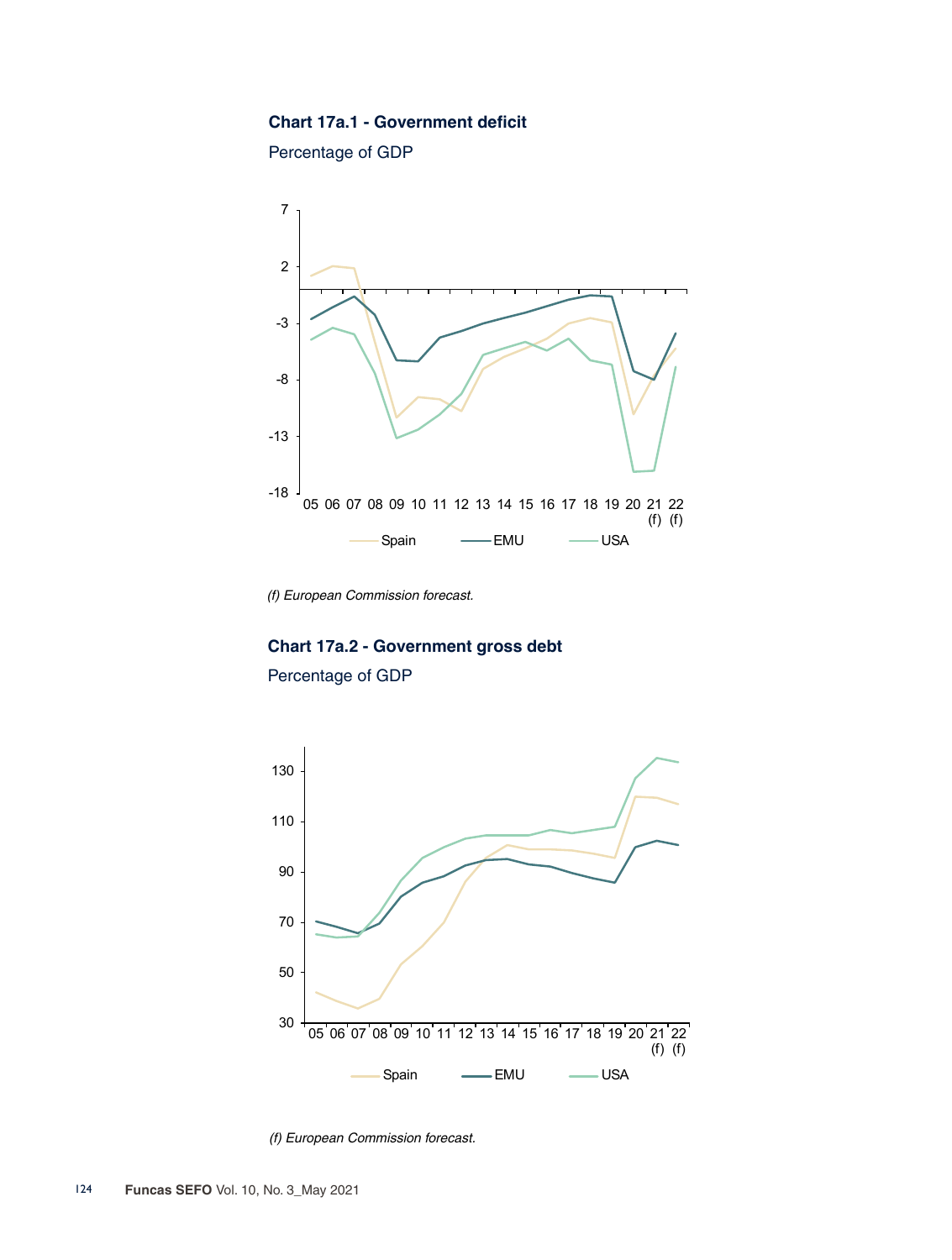#### **Chart 17a.1 - Government deficit**

Percentage of GDP



*(f) European Commission forecast.*

# **Chart 17a.2 - Government gross debt** Percentage of GDP



*(f) European Commission forecast.*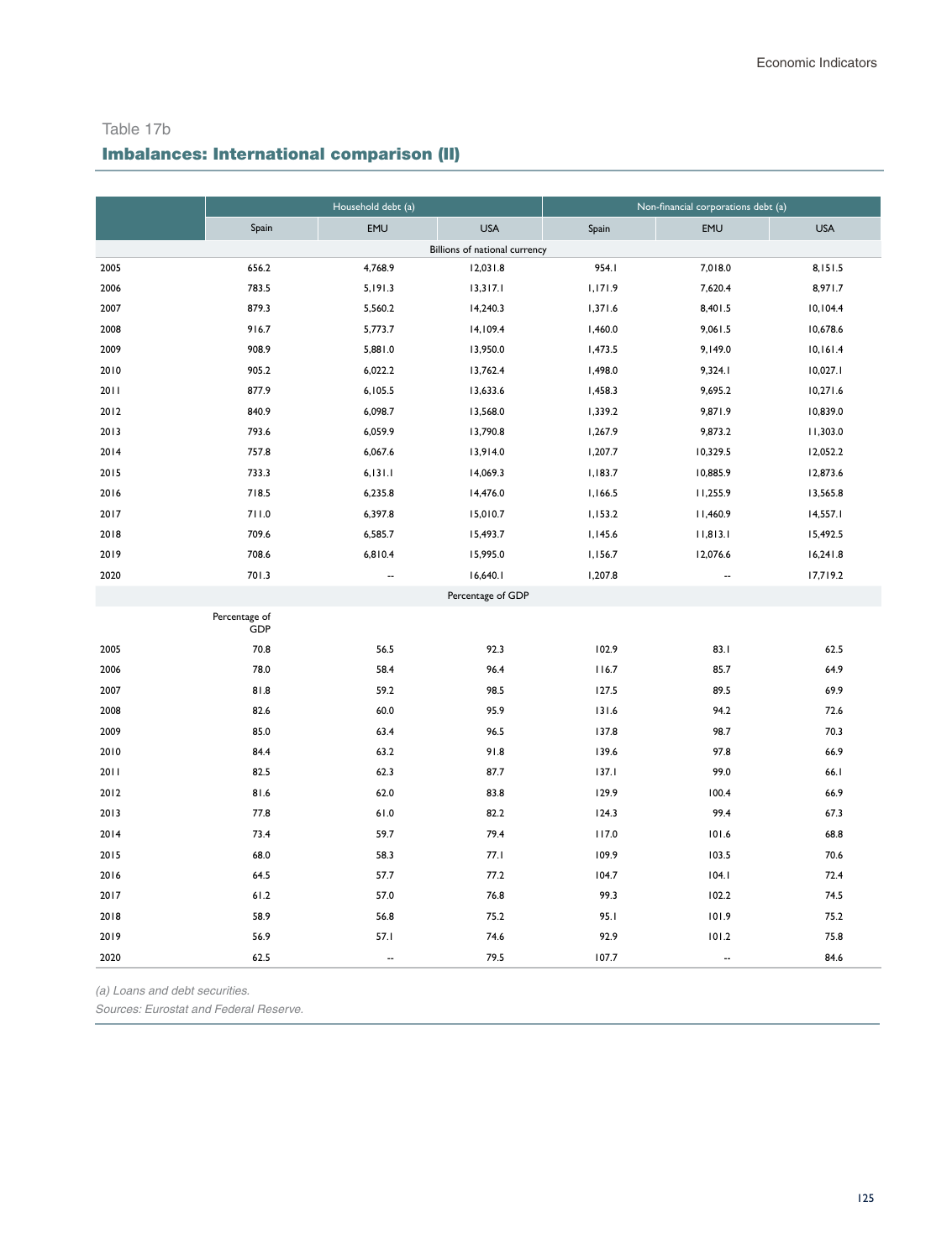Table 17b

# Imbalances: International comparison (II)

|      |                      | Household debt (a)       |                               | Non-financial corporations debt (a) |                          |            |  |  |
|------|----------------------|--------------------------|-------------------------------|-------------------------------------|--------------------------|------------|--|--|
|      | Spain                | EMU                      | <b>USA</b>                    | Spain                               | <b>EMU</b>               | <b>USA</b> |  |  |
|      |                      |                          | Billions of national currency |                                     |                          |            |  |  |
| 2005 | 656.2                | 4,768.9                  | 12,031.8                      | 954.I                               | 7,018.0                  | 8,151.5    |  |  |
| 2006 | 783.5                | 5,191.3                  | 13,317.1                      | 1,171.9                             | 7,620.4                  | 8,971.7    |  |  |
| 2007 | 879.3                | 5,560.2                  | 14,240.3                      | 1,371.6                             | 8,401.5                  | 10,104.4   |  |  |
| 2008 | 916.7                | 5,773.7                  | 14,109.4                      | 1,460.0                             | 9,061.5                  | 10,678.6   |  |  |
| 2009 | 908.9                | 5,881.0                  | 13,950.0                      | 1,473.5                             | 9,149.0                  | 10,161.4   |  |  |
| 2010 | 905.2                | 6,022.2                  | 13,762.4                      | 1,498.0                             | 9,324.1                  | 10,027.1   |  |  |
| 2011 | 877.9                | 6,105.5                  | 13,633.6                      | 1,458.3                             | 9,695.2                  | 10,271.6   |  |  |
| 2012 | 840.9                | 6,098.7                  | 13,568.0                      | 1,339.2                             | 9,871.9                  | 10,839.0   |  |  |
| 2013 | 793.6                | 6,059.9                  | 13,790.8                      | 1,267.9                             | 9,873.2                  | 11,303.0   |  |  |
| 2014 | 757.8                | 6,067.6                  | 13,914.0                      | 1,207.7                             | 10,329.5                 | 12,052.2   |  |  |
| 2015 | 733.3                | 6, 131.1                 | 14,069.3                      | 1,183.7                             | 10,885.9                 | 12,873.6   |  |  |
| 2016 | 718.5                | 6,235.8                  | 14,476.0                      | 1,166.5                             | 11,255.9                 | 13,565.8   |  |  |
| 2017 | 711.0                | 6,397.8                  | 15,010.7                      | 1,153.2                             | 11,460.9                 | 14,557.1   |  |  |
| 2018 | 709.6                | 6,585.7                  | 15,493.7                      | 1,145.6                             | 11,813.1                 | 15,492.5   |  |  |
| 2019 | 708.6                | 6,810.4                  | 15,995.0                      | 1,156.7                             | 12,076.6                 | 16,241.8   |  |  |
| 2020 | 701.3                | $\overline{\phantom{a}}$ | 16,640.1                      | 1,207.8                             | --                       | 17,719.2   |  |  |
|      |                      |                          | Percentage of GDP             |                                     |                          |            |  |  |
|      | Percentage of<br>GDP |                          |                               |                                     |                          |            |  |  |
| 2005 | 70.8                 | 56.5                     | 92.3                          | 102.9                               | 83.1                     | 62.5       |  |  |
| 2006 | 78.0                 | 58.4                     | 96.4                          | 116.7                               | 85.7                     | 64.9       |  |  |
| 2007 | 81.8                 | 59.2                     | 98.5                          | 127.5                               | 89.5                     | 69.9       |  |  |
| 2008 | 82.6                 | 60.0                     | 95.9                          | 131.6                               | 94.2                     | 72.6       |  |  |
| 2009 | 85.0                 | 63.4                     | 96.5                          | 137.8                               | 98.7                     | 70.3       |  |  |
| 2010 | 84.4                 | 63.2                     | 91.8                          | 139.6                               | 97.8                     | 66.9       |  |  |
| 2011 | 82.5                 | 62.3                     | 87.7                          | 137.1                               | 99.0                     | 66.1       |  |  |
| 2012 | 81.6                 | 62.0                     | 83.8                          | 129.9                               | 100.4                    | 66.9       |  |  |
| 2013 | 77.8                 | 61.0                     | 82.2                          | 124.3                               | 99.4                     | 67.3       |  |  |
| 2014 | 73.4                 | 59.7                     | 79.4                          | 117.0                               | 101.6                    | 68.8       |  |  |
| 2015 | 68.0                 | 58.3                     | 77.1                          | 109.9                               | 103.5                    | 70.6       |  |  |
| 2016 | 64.5                 | 57.7                     | 77.2                          | 104.7                               | 104.1                    | 72.4       |  |  |
| 2017 | 61.2                 | 57.0                     | 76.8                          | 99.3                                | 102.2                    | 74.5       |  |  |
| 2018 | 58.9                 | 56.8                     | 75.2                          | 95.1                                | 101.9                    | 75.2       |  |  |
| 2019 | 56.9                 | 57.1                     | 74.6                          | 92.9                                | 101.2                    | 75.8       |  |  |
| 2020 | 62.5                 | $\overline{\phantom{a}}$ | 79.5                          | 107.7                               | $\overline{\phantom{a}}$ | 84.6       |  |  |

*(a) Loans and debt securities.*

*Sources: Eurostat and Federal Reserve.*